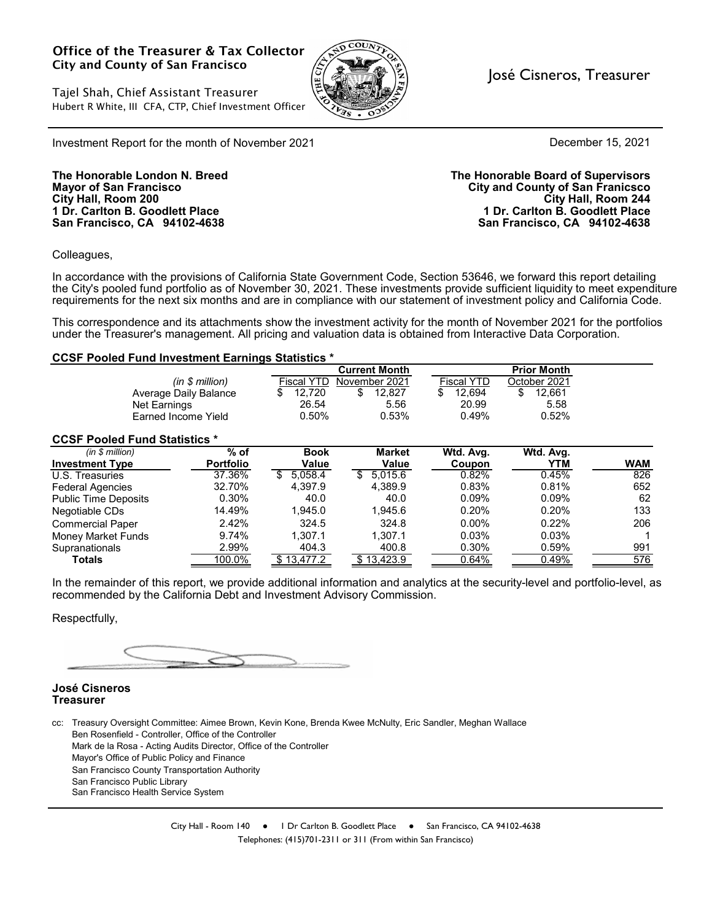#### Office of the Treasurer & Tax Collector City and County of San Francisco

Tajel Shah, Chief Assistant Treasurer Hubert R White, III CFA, CTP, Chief Investment Officer



#### José Cisneros, Treasurer

December 15, 2021

Investment Report for the month of November 2021

**San Francisco, CA 94102-4638 San Francisco, CA 94102-4638**

**The Honorable London N. Breed The Honorable Board of Supervisors Mayor of San Francisco City and County of San Franicsco City Hall, Room 200 City Hall, Room 244 1 Dr. Carlton B. Goodlett Place 1 Dr. Carlton B. Goodlett Place**

Colleagues,

In accordance with the provisions of California State Government Code, Section 53646, we forward this report detailing the City's pooled fund portfolio as of November 30, 2021. These investments provide sufficient liquidity to meet expenditure requirements for the next six months and are in compliance with our statement of investment policy and California Code.

This correspondence and its attachments show the investment activity for the month of November 2021 for the portfolios under the Treasurer's management. All pricing and valuation data is obtained from Interactive Data Corporation.

#### **CCSF Pooled Fund Investment Earnings Statistics \***

|                                      |                  |                   | <b>Current Month</b> |                   | <b>Prior Month</b> |            |  |  |
|--------------------------------------|------------------|-------------------|----------------------|-------------------|--------------------|------------|--|--|
|                                      | (in \$ million)  | <b>Fiscal YTD</b> | November 2021        | <b>Fiscal YTD</b> | October 2021       |            |  |  |
| Average Daily Balance                |                  | 12,720<br>S       | \$<br>12.827         | 12.694<br>\$      | \$<br>12.661       |            |  |  |
| Net Earnings                         |                  | 26.54             | 5.56                 | 20.99             | 5.58               |            |  |  |
| Earned Income Yield                  |                  | 0.50%             | 0.53%                | 0.49%             | 0.52%              |            |  |  |
| <b>CCSF Pooled Fund Statistics *</b> |                  |                   |                      |                   |                    |            |  |  |
| (in \$ million)                      | $%$ of           | <b>Book</b>       | <b>Market</b>        | Wtd. Avg.         | Wtd. Avg.          |            |  |  |
| <b>Investment Type</b>               | <b>Portfolio</b> | Value             | Value                | Coupon            | YTM                | <b>WAM</b> |  |  |
| U.S. Treasuries                      | 37.36%           | 5.058.4<br>\$     | 5.015.6<br>\$.       | 0.82%             | 0.45%              | 826        |  |  |
| <b>Federal Agencies</b>              | 32.70%           | 4.397.9           | 4.389.9              | 0.83%             | 0.81%              | 652        |  |  |
| <b>Public Time Deposits</b>          | 0.30%            | 40.0              | 40.0                 | $0.09\%$          | 0.09%              | 62         |  |  |
| Negotiable CDs                       | 14.49%           | 1.945.0           | 1.945.6              | 0.20%             | 0.20%              | 133        |  |  |
| <b>Commercial Paper</b>              | 2.42%            | 324.5             | 324.8                | $0.00\%$          | 0.22%              | 206        |  |  |
| <b>Money Market Funds</b>            | 9.74%            | 1.307.1           | 1.307.1              | 0.03%             | 0.03%              |            |  |  |
| Supranationals                       | 2.99%            | 404.3             | 400.8                | 0.30%             | 0.59%              | 991        |  |  |
| <b>Totals</b>                        | 100.0%           | \$13,477.2        | \$13,423.9           | 0.64%             | 0.49%              | 576        |  |  |

In the remainder of this report, we provide additional information and analytics at the security-level and portfolio-level, as recommended by the California Debt and Investment Advisory Commission.

Respectfully,

#### **José Cisneros Treasurer**

cc: Treasury Oversight Committee: Aimee Brown, Kevin Kone, Brenda Kwee McNulty, Eric Sandler, Meghan Wallace Ben Rosenfield - Controller, Office of the Controller Mark de la Rosa - Acting Audits Director, Office of the Controller Mayor's Office of Public Policy and Finance San Francisco County Transportation Authority San Francisco Public Library San Francisco Health Service System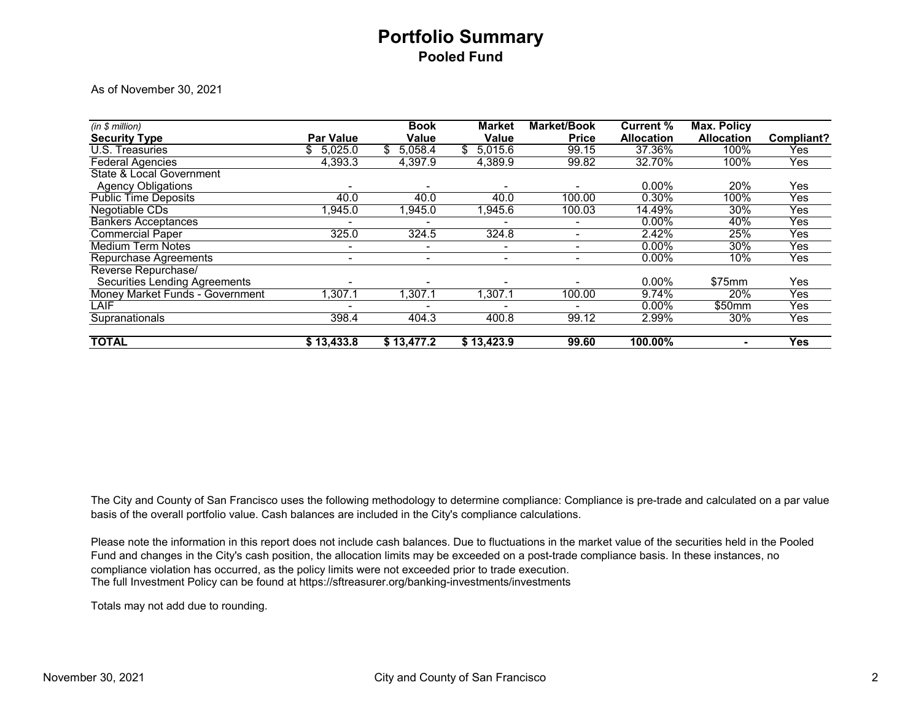# **Portfolio Summary Pooled Fund**

As of November 30, 2021

| (in \$ million)                      |                  | <b>Book</b>              | <b>Market</b> | <b>Market/Book</b> | <b>Current %</b>  | <b>Max. Policy</b> |            |
|--------------------------------------|------------------|--------------------------|---------------|--------------------|-------------------|--------------------|------------|
| <b>Security Type</b>                 | <b>Par Value</b> | Value                    | Value         | <b>Price</b>       | <b>Allocation</b> | <b>Allocation</b>  | Compliant? |
| <b>U.S. Treasuries</b>               | 5,025.0<br>S.    | 5,058.4                  | 5,015.6       | 99.15              | 37.36%            | 100%               | Yes        |
| <b>Federal Agencies</b>              | 4,393.3          | 4,397.9                  | 4,389.9       | 99.82              | 32.70%            | 100%               | Yes        |
| State & Local Government             |                  |                          |               |                    |                   |                    |            |
| <b>Agency Obligations</b>            |                  |                          |               |                    | $0.00\%$          | 20%                | Yes        |
| <b>Public Time Deposits</b>          | 40.0             | 40.0                     | 40.0          | 100.00             | 0.30%             | 100%               | Yes        |
| Negotiable CDs                       | 1,945.0          | 1,945.0                  | 1,945.6       | 100.03             | 14.49%            | 30%                | Yes        |
| <b>Bankers Acceptances</b>           |                  |                          |               |                    | 0.00%             | 40%                | Yes        |
| <b>Commercial Paper</b>              | 325.0            | 324.5                    | 324.8         |                    | 2.42%             | 25%                | Yes        |
| <b>Medium Term Notes</b>             | ۰                | $\overline{\phantom{a}}$ | ۰             | -                  | $0.00\%$          | 30%                | Yes        |
| <b>Repurchase Agreements</b>         | $\blacksquare$   | $\overline{\phantom{a}}$ | ۰             | -                  | 0.00%             | 10%                | Yes        |
| Reverse Repurchase/                  |                  |                          |               |                    |                   |                    |            |
| <b>Securities Lending Agreements</b> |                  |                          |               |                    | $0.00\%$          | \$75mm             | Yes        |
| Money Market Funds - Government      | 1,307.1          | 1,307.1                  | 1,307.1       | 100.00             | 9.74%             | 20%                | Yes        |
| LAIF                                 |                  |                          |               |                    | $0.00\%$          | \$50mm             | Yes        |
| Supranationals                       | 398.4            | 404.3                    | 400.8         | 99.12              | 2.99%             | 30%                | Yes        |
| <b>TOTAL</b>                         | \$13,433.8       | \$13,477.2               | \$13,423.9    | 99.60              | 100.00%           |                    | <b>Yes</b> |

The City and County of San Francisco uses the following methodology to determine compliance: Compliance is pre-trade and calculated on a par value basis of the overall portfolio value. Cash balances are included in the City's compliance calculations.

The full Investment Policy can be found at https://sftreasurer.org/banking-investments/investments Please note the information in this report does not include cash balances. Due to fluctuations in the market value of the securities held in the Pooled Fund and changes in the City's cash position, the allocation limits may be exceeded on a post-trade compliance basis. In these instances, no compliance violation has occurred, as the policy limits were not exceeded prior to trade execution.

Totals may not add due to rounding.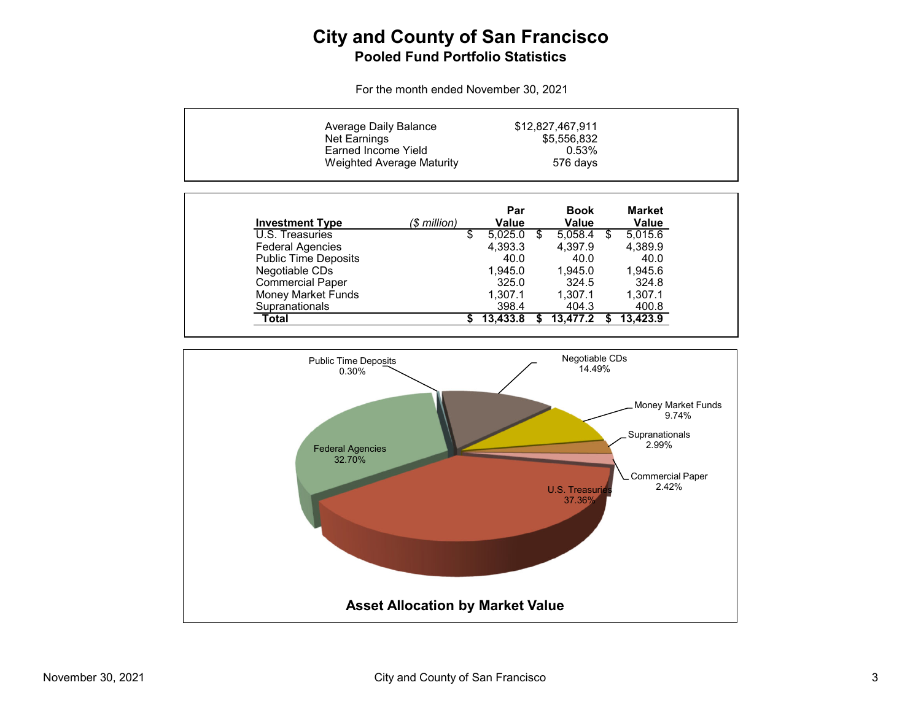# **City and County of San Francisco Pooled Fund Portfolio Statistics**

For the month ended November 30, 2021

| Average Daily Balance<br>Net Earnings<br>Earned Income Yield | <b>Weighted Average Maturity</b> |    | \$12,827,467,911    |                      |    |                        |
|--------------------------------------------------------------|----------------------------------|----|---------------------|----------------------|----|------------------------|
| <b>Investment Type</b>                                       | (\$ million)                     |    | Par<br><b>Value</b> | <b>Book</b><br>Value |    | <b>Market</b><br>Value |
| U.S. Treasuries                                              |                                  | \$ | 5,025.0             | \$<br>5,058.4        | S. | 5,015.6                |
| <b>Federal Agencies</b>                                      |                                  |    | 4.393.3             | 4.397.9              |    | 4,389.9                |
| <b>Public Time Deposits</b>                                  |                                  |    | 40.0                | 40.0                 |    | 40.0                   |
| Negotiable CDs                                               |                                  |    | 1.945.0             | 1.945.0              |    | 1.945.6                |
| <b>Commercial Paper</b>                                      |                                  |    | 325.0               | 324.5                |    | 324.8                  |
| <b>Money Market Funds</b>                                    |                                  |    | 1.307.1             | 1.307.1              |    | 1.307.1                |
| Supranationals                                               |                                  |    | 398.4               | 404.3                |    | 400.8                  |
| Total                                                        |                                  | S. | 13.433.8            | 13,477.2             |    | 13,423.9               |

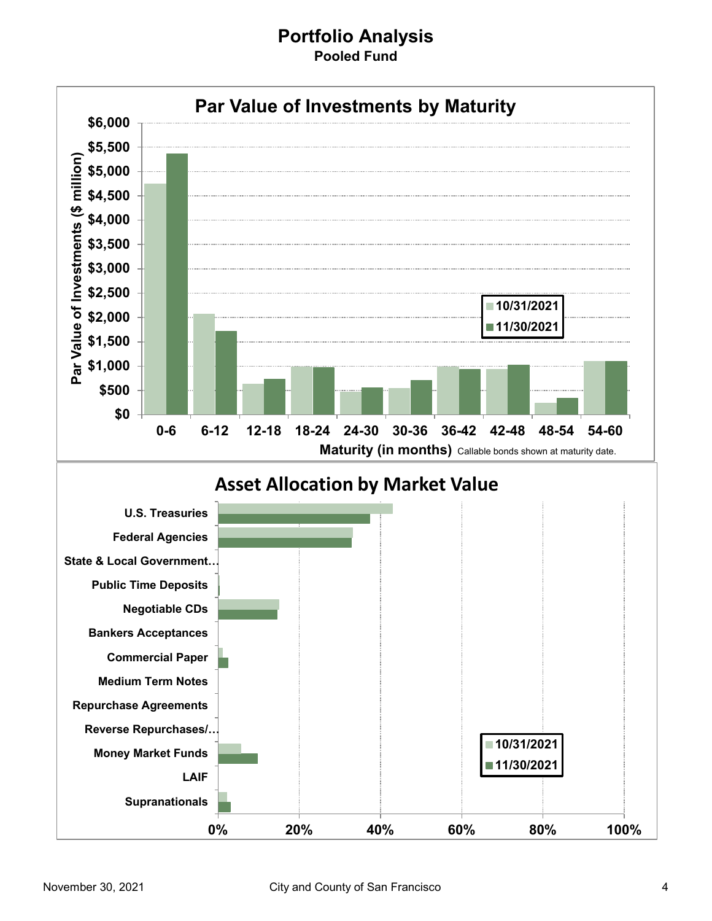### **Portfolio Analysis Pooled Fund**

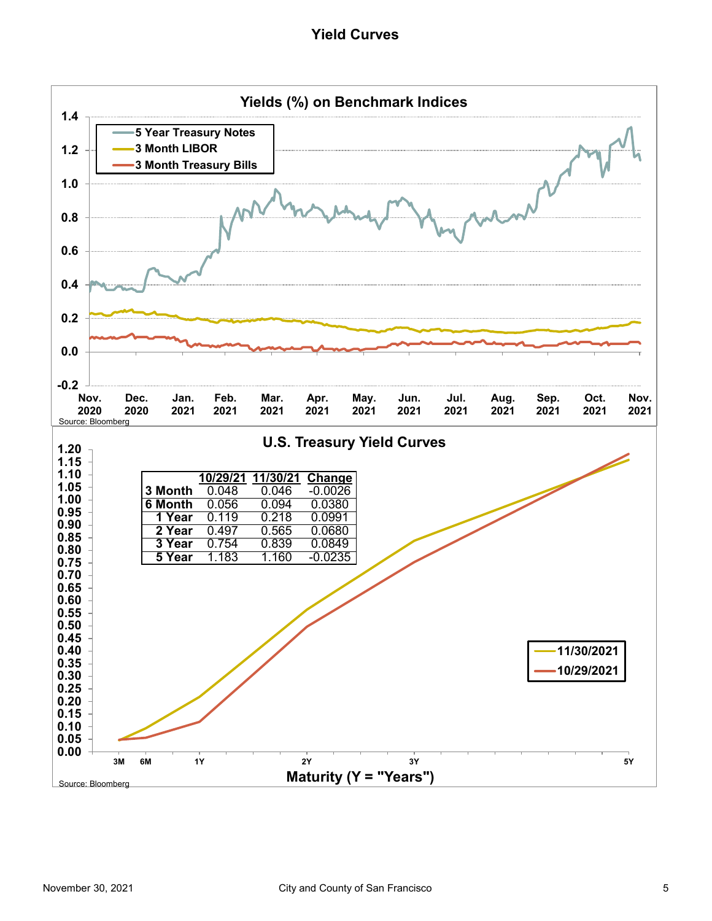#### **Yield Curves**

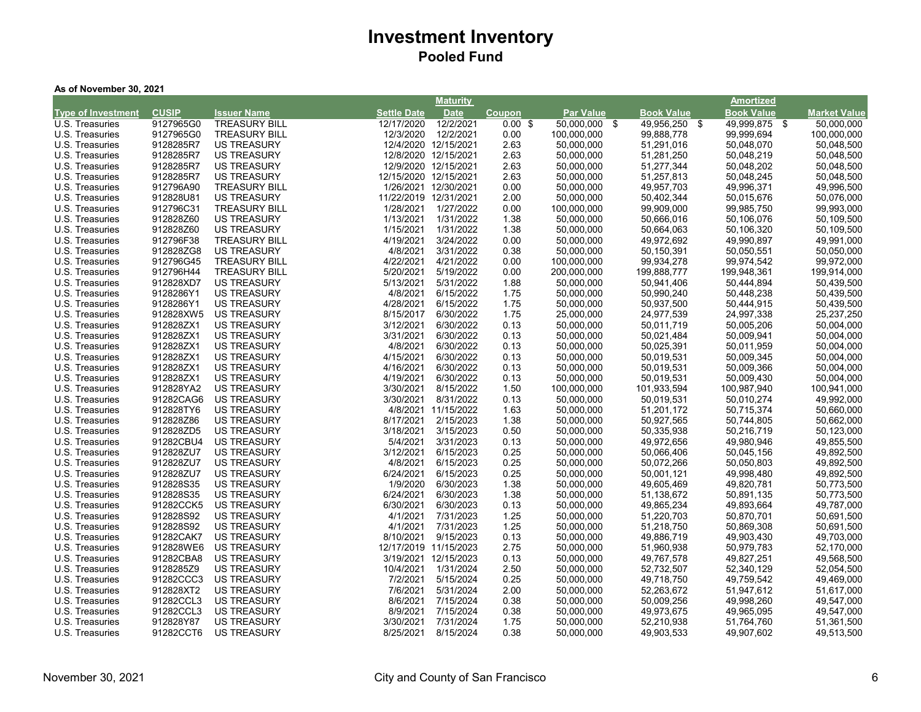#### **As of November 30, 2021**

|                                    |              |                      |                       | <b>Maturity</b>       |                    |                  |                   | Amortized         |                     |
|------------------------------------|--------------|----------------------|-----------------------|-----------------------|--------------------|------------------|-------------------|-------------------|---------------------|
| <b>Type of Investment</b>          | <b>CUSIP</b> | <b>Issuer Name</b>   | <b>Settle Date</b>    | <b>Date</b>           | Coupon             | <b>Par Value</b> | <b>Book Value</b> | <b>Book Value</b> | <b>Market Value</b> |
| U.S. Treasuries                    | 9127965G0    | <b>TREASURY BILL</b> | 12/17/2020            | 12/2/2021             | $0.00 \text{ }$ \$ | 50,000,000 \$    | 49,956,250 \$     | 49,999,875 \$     | 50,000,000          |
| U.S. Treasuries                    | 9127965G0    | <b>TREASURY BILL</b> | 12/3/2020             | 12/2/2021             | 0.00               | 100,000,000      | 99,888,778        | 99,999,694        | 100,000,000         |
| U.S. Treasuries                    | 9128285R7    | <b>US TREASURY</b>   |                       | 12/4/2020 12/15/2021  | 2.63               | 50,000,000       | 51,291,016        | 50,048,070        | 50,048,500          |
| U.S. Treasuries                    | 9128285R7    | <b>US TREASURY</b>   |                       | 12/8/2020 12/15/2021  | 2.63               | 50,000,000       | 51,281,250        | 50,048,219        | 50,048,500          |
| U.S. Treasuries                    | 9128285R7    | <b>US TREASURY</b>   |                       | 12/9/2020 12/15/2021  | 2.63               | 50,000,000       | 51,277,344        | 50,048,202        | 50,048,500          |
| U.S. Treasuries                    | 9128285R7    | <b>US TREASURY</b>   | 12/15/2020 12/15/2021 |                       | 2.63               | 50,000,000       | 51,257,813        | 50,048,245        | 50,048,500          |
| U.S. Treasuries                    | 912796A90    | <b>TREASURY BILL</b> |                       | 1/26/2021 12/30/2021  | 0.00               | 50,000,000       | 49,957,703        | 49,996,371        | 49,996,500          |
| U.S. Treasuries                    | 912828U81    | <b>US TREASURY</b>   | 11/22/2019 12/31/2021 |                       | 2.00               | 50,000,000       | 50,402,344        | 50,015,676        | 50,076,000          |
| U.S. Treasuries                    | 912796C31    | <b>TREASURY BILL</b> | 1/28/2021             | 1/27/2022             | 0.00               | 100,000,000      | 99,909,000        | 99,985,750        | 99,993,000          |
| U.S. Treasuries                    | 912828Z60    | <b>US TREASURY</b>   | 1/13/2021             | 1/31/2022             | 1.38               | 50,000,000       | 50,666,016        | 50,106,076        | 50,109,500          |
| U.S. Treasuries                    | 912828Z60    | <b>US TREASURY</b>   | 1/15/2021             | 1/31/2022             | 1.38               | 50,000,000       | 50,664,063        | 50,106,320        | 50,109,500          |
| U.S. Treasuries                    | 912796F38    | <b>TREASURY BILL</b> | 4/19/2021             | 3/24/2022             | 0.00               | 50,000,000       | 49,972,692        | 49,990,897        | 49,991,000          |
| U.S. Treasuries                    | 912828ZG8    | <b>US TREASURY</b>   | 4/8/2021              | 3/31/2022             | 0.38               | 50,000,000       | 50,150,391        | 50,050,551        | 50,050,000          |
| U.S. Treasuries                    | 912796G45    | <b>TREASURY BILL</b> | 4/22/2021             | 4/21/2022             | 0.00               | 100,000,000      | 99,934,278        | 99,974,542        | 99,972,000          |
| U.S. Treasuries                    | 912796H44    | <b>TREASURY BILL</b> | 5/20/2021             | 5/19/2022             | 0.00               | 200,000,000      | 199,888,777       | 199,948,361       | 199,914,000         |
| U.S. Treasuries                    | 912828XD7    | <b>US TREASURY</b>   | 5/13/2021             | 5/31/2022             | 1.88               | 50,000,000       | 50,941,406        | 50,444,894        | 50,439,500          |
| U.S. Treasuries                    | 9128286Y1    | <b>US TREASURY</b>   | 4/8/2021              | 6/15/2022             | 1.75               | 50,000,000       | 50,990,240        | 50,448,238        | 50,439,500          |
| U.S. Treasuries                    | 9128286Y1    | <b>US TREASURY</b>   | 4/28/2021             | 6/15/2022             | 1.75               | 50,000,000       | 50,937,500        | 50,444,915        | 50,439,500          |
| U.S. Treasuries                    | 912828XW5    | <b>US TREASURY</b>   | 8/15/2017             | 6/30/2022             | 1.75               | 25,000,000       | 24,977,539        | 24,997,338        | 25,237,250          |
| U.S. Treasuries                    | 912828ZX1    | <b>US TREASURY</b>   | 3/12/2021             | 6/30/2022             | 0.13               | 50,000,000       | 50,011,719        | 50,005,206        | 50,004,000          |
| U.S. Treasuries                    | 912828ZX1    | <b>US TREASURY</b>   | 3/31/2021             | 6/30/2022             | 0.13               | 50,000,000       | 50,021,484        | 50,009,941        | 50,004,000          |
| U.S. Treasuries                    | 912828ZX1    | <b>US TREASURY</b>   | 4/8/2021              | 6/30/2022             | 0.13               | 50,000,000       | 50,025,391        | 50,011,959        | 50,004,000          |
| U.S. Treasuries                    | 912828ZX1    | <b>US TREASURY</b>   | 4/15/2021             | 6/30/2022             | 0.13               | 50,000,000       | 50,019,531        | 50,009,345        | 50,004,000          |
| U.S. Treasuries                    | 912828ZX1    | <b>US TREASURY</b>   | 4/16/2021             | 6/30/2022             | 0.13               | 50.000.000       | 50,019,531        | 50,009,366        | 50,004,000          |
| U.S. Treasuries                    | 912828ZX1    | <b>US TREASURY</b>   | 4/19/2021             | 6/30/2022             | 0.13               | 50,000,000       | 50,019,531        | 50,009,430        | 50,004,000          |
| U.S. Treasuries                    | 912828YA2    | <b>US TREASURY</b>   | 3/30/2021             | 8/15/2022             | 1.50               | 100,000,000      | 101,933,594       | 100,987,940       | 100,941,000         |
| U.S. Treasuries                    | 91282CAG6    | <b>US TREASURY</b>   | 3/30/2021             | 8/31/2022             | 0.13               | 50,000,000       | 50,019,531        | 50,010,274        | 49,992,000          |
| U.S. Treasuries                    | 912828TY6    | <b>US TREASURY</b>   |                       | 4/8/2021 11/15/2022   | 1.63               | 50,000,000       | 51,201,172        | 50,715,374        | 50,660,000          |
| U.S. Treasuries                    | 912828Z86    | <b>US TREASURY</b>   | 8/17/2021             | 2/15/2023             | 1.38               | 50,000,000       | 50,927,565        | 50,744,805        | 50,662,000          |
| U.S. Treasuries                    | 912828ZD5    | <b>US TREASURY</b>   | 3/18/2021             | 3/15/2023             | 0.50               | 50,000,000       | 50,335,938        | 50,216,719        | 50,123,000          |
| U.S. Treasuries                    | 91282CBU4    | <b>US TREASURY</b>   | 5/4/2021              | 3/31/2023             | 0.13               | 50,000,000       | 49,972,656        | 49,980,946        | 49,855,500          |
| U.S. Treasuries                    | 912828ZU7    | <b>US TREASURY</b>   | 3/12/2021             | 6/15/2023             | 0.25               | 50,000,000       | 50,066,406        | 50,045,156        | 49,892,500          |
| U.S. Treasuries                    | 912828ZU7    | <b>US TREASURY</b>   | 4/8/2021              | 6/15/2023             | 0.25               | 50,000,000       | 50,072,266        | 50,050,803        | 49,892,500          |
| U.S. Treasuries                    | 912828ZU7    | <b>US TREASURY</b>   | 6/24/2021             | 6/15/2023             | 0.25               | 50,000,000       | 50,001,121        | 49,998,480        | 49,892,500          |
| U.S. Treasuries                    | 912828S35    | <b>US TREASURY</b>   | 1/9/2020              | 6/30/2023             | 1.38               | 50,000,000       | 49,605,469        | 49,820,781        | 50,773,500          |
| U.S. Treasuries                    | 912828S35    | <b>US TREASURY</b>   | 6/24/2021             | 6/30/2023             | 1.38               | 50,000,000       | 51,138,672        | 50,891,135        | 50,773,500          |
| U.S. Treasuries                    | 91282CCK5    | <b>US TREASURY</b>   | 6/30/2021             | 6/30/2023             | 0.13               | 50,000,000       | 49,865,234        | 49,893,664        | 49,787,000          |
| U.S. Treasuries                    | 912828S92    | <b>US TREASURY</b>   | 4/1/2021              | 7/31/2023             | 1.25               | 50,000,000       | 51,220,703        | 50,870,701        | 50,691,500          |
| U.S. Treasuries                    | 912828S92    | <b>US TREASURY</b>   | 4/1/2021              | 7/31/2023             | 1.25               | 50,000,000       | 51,218,750        | 50,869,308        | 50,691,500          |
| U.S. Treasuries                    | 91282CAK7    | <b>US TREASURY</b>   | 8/10/2021             | 9/15/2023             | 0.13               | 50,000,000       | 49,886,719        | 49,903,430        | 49,703,000          |
| U.S. Treasuries                    | 912828WE6    | <b>US TREASURY</b>   |                       | 12/17/2019 11/15/2023 | 2.75               | 50,000,000       | 51,960,938        | 50,979,783        | 52,170,000          |
| U.S. Treasuries                    | 91282CBA8    | <b>US TREASURY</b>   |                       | 3/19/2021 12/15/2023  | 0.13               | 50,000,000       | 49,767,578        | 49,827,251        | 49,568,500          |
| U.S. Treasuries                    | 9128285Z9    | <b>US TREASURY</b>   | 10/4/2021             | 1/31/2024             | 2.50               | 50,000,000       | 52,732,507        | 52,340,129        | 52,054,500          |
|                                    | 91282CCC3    | <b>US TREASURY</b>   | 7/2/2021              | 5/15/2024             | 0.25               | 50,000,000       | 49,718,750        | 49,759,542        | 49,469,000          |
| U.S. Treasuries                    | 912828XT2    | <b>US TREASURY</b>   | 7/6/2021              | 5/31/2024             | 2.00               | 50,000,000       | 52,263,672        | 51,947,612        | 51,617,000          |
| U.S. Treasuries<br>U.S. Treasuries | 91282CCL3    | <b>US TREASURY</b>   | 8/6/2021              | 7/15/2024             | 0.38               | 50,000,000       | 50,009,256        | 49,998,260        | 49,547,000          |
| U.S. Treasuries                    | 91282CCL3    | <b>US TREASURY</b>   | 8/9/2021              | 7/15/2024             | 0.38               | 50,000,000       | 49,973,675        | 49,965,095        | 49,547,000          |
| U.S. Treasuries                    | 912828Y87    | <b>US TREASURY</b>   | 3/30/2021             | 7/31/2024             |                    | 50,000,000       | 52,210,938        | 51,764,760        | 51,361,500          |
|                                    |              |                      |                       |                       | 1.75               |                  |                   |                   |                     |
| U.S. Treasuries                    | 91282CCT6    | <b>US TREASURY</b>   | 8/25/2021             | 8/15/2024             | 0.38               | 50,000,000       | 49,903,533        | 49,907,602        | 49,513,500          |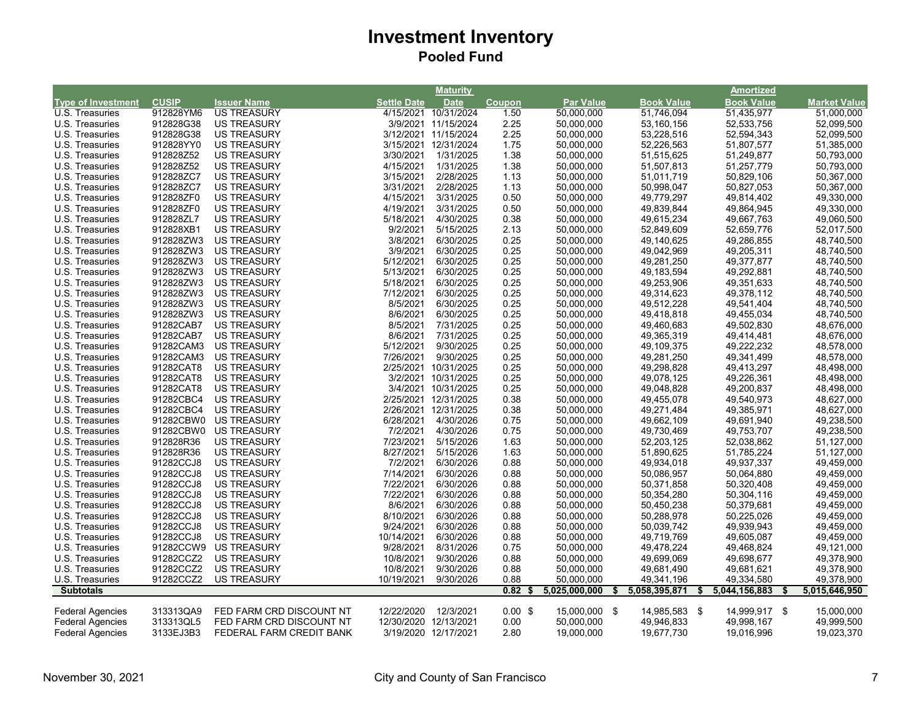|                           |              |                          |                       | <b>Maturity</b>      |           |                  |                     | Amortized           |                     |
|---------------------------|--------------|--------------------------|-----------------------|----------------------|-----------|------------------|---------------------|---------------------|---------------------|
| <b>Type of Investment</b> | <b>CUSIP</b> | <b>Issuer Name</b>       | Settle Date           | <b>Date</b>          | Coupon    | <b>Par Value</b> | <b>Book Value</b>   | <b>Book Value</b>   | <b>Market Value</b> |
| U.S. Treasuries           | 912828YM6    | <b>US TREASURY</b>       |                       | 4/15/2021 10/31/2024 | 1.50      | 50,000,000       | 51,746,094          | 51,435,977          | 51,000,000          |
| U.S. Treasuries           | 912828G38    | <b>US TREASURY</b>       |                       | 3/9/2021 11/15/2024  | 2.25      | 50,000,000       | 53,160,156          | 52,533,756          | 52,099,500          |
| U.S. Treasuries           | 912828G38    | <b>US TREASURY</b>       |                       | 3/12/2021 11/15/2024 | 2.25      | 50,000,000       | 53,228,516          | 52,594,343          | 52,099,500          |
| U.S. Treasuries           | 912828YY0    | <b>US TREASURY</b>       |                       | 3/15/2021 12/31/2024 | 1.75      | 50,000,000       | 52,226,563          | 51,807,577          | 51,385,000          |
| U.S. Treasuries           | 912828Z52    | <b>US TREASURY</b>       | 3/30/2021             | 1/31/2025            | 1.38      | 50,000,000       | 51,515,625          | 51,249,877          | 50,793,000          |
| U.S. Treasuries           | 912828Z52    | <b>US TREASURY</b>       | 4/15/2021             | 1/31/2025            | 1.38      | 50,000,000       | 51,507,813          | 51,257,779          | 50,793,000          |
| U.S. Treasuries           | 912828ZC7    | <b>US TREASURY</b>       | 3/15/2021             | 2/28/2025            | 1.13      | 50,000,000       | 51,011,719          | 50,829,106          | 50,367,000          |
| U.S. Treasuries           | 912828ZC7    | <b>US TREASURY</b>       | 3/31/2021             | 2/28/2025            | 1.13      | 50,000,000       | 50,998,047          | 50,827,053          | 50,367,000          |
| U.S. Treasuries           | 912828ZF0    | <b>US TREASURY</b>       | 4/15/2021             | 3/31/2025            | 0.50      | 50,000,000       | 49,779,297          | 49,814,402          | 49,330,000          |
| U.S. Treasuries           | 912828ZF0    | <b>US TREASURY</b>       | 4/19/2021             | 3/31/2025            | 0.50      | 50,000,000       | 49,839,844          | 49,864,945          | 49,330,000          |
| U.S. Treasuries           | 912828ZL7    | <b>US TREASURY</b>       | 5/18/2021             | 4/30/2025            | 0.38      | 50,000,000       | 49,615,234          | 49,667,763          | 49,060,500          |
| U.S. Treasuries           | 912828XB1    | <b>US TREASURY</b>       | 9/2/2021              | 5/15/2025            | 2.13      | 50,000,000       | 52,849,609          | 52,659,776          | 52,017,500          |
| U.S. Treasuries           | 912828ZW3    | <b>US TREASURY</b>       | 3/8/2021              | 6/30/2025            | 0.25      | 50,000,000       | 49,140,625          | 49,286,855          | 48,740,500          |
| U.S. Treasuries           | 912828ZW3    | <b>US TREASURY</b>       | 3/9/2021              | 6/30/2025            | 0.25      | 50,000,000       | 49,042,969          | 49,205,311          | 48,740,500          |
| U.S. Treasuries           | 912828ZW3    | <b>US TREASURY</b>       | 5/12/2021             | 6/30/2025            | 0.25      | 50,000,000       | 49,281,250          | 49,377,877          | 48,740,500          |
| U.S. Treasuries           | 912828ZW3    | <b>US TREASURY</b>       | 5/13/2021             | 6/30/2025            | 0.25      | 50,000,000       | 49,183,594          | 49,292,881          | 48,740,500          |
| U.S. Treasuries           | 912828ZW3    | <b>US TREASURY</b>       | 5/18/2021             | 6/30/2025            | 0.25      | 50,000,000       | 49,253,906          | 49,351,633          | 48,740,500          |
| U.S. Treasuries           | 912828ZW3    | <b>US TREASURY</b>       | 7/12/2021             | 6/30/2025            | 0.25      | 50,000,000       | 49,314,623          | 49,378,112          | 48,740,500          |
| U.S. Treasuries           | 912828ZW3    | <b>US TREASURY</b>       | 8/5/2021              | 6/30/2025            | 0.25      | 50,000,000       | 49,512,228          | 49,541,404          | 48,740,500          |
| U.S. Treasuries           | 912828ZW3    | US TREASURY              | 8/6/2021              | 6/30/2025            | 0.25      | 50,000,000       | 49,418,818          | 49,455,034          | 48,740,500          |
| U.S. Treasuries           | 91282CAB7    | <b>US TREASURY</b>       | 8/5/2021              | 7/31/2025            | 0.25      | 50,000,000       | 49,460,683          | 49,502,830          | 48,676,000          |
| U.S. Treasuries           | 91282CAB7    | <b>US TREASURY</b>       | 8/6/2021              | 7/31/2025            | 0.25      | 50,000,000       | 49,365,319          | 49,414,481          | 48,676,000          |
| U.S. Treasuries           | 91282CAM3    | <b>US TREASURY</b>       | 5/12/2021             | 9/30/2025            | 0.25      | 50,000,000       | 49,109,375          | 49,222,232          | 48,578,000          |
| U.S. Treasuries           | 91282CAM3    | <b>US TREASURY</b>       | 7/26/2021             | 9/30/2025            | 0.25      | 50,000,000       | 49,281,250          | 49,341,499          | 48,578,000          |
| U.S. Treasuries           | 91282CAT8    | <b>US TREASURY</b>       |                       | 2/25/2021 10/31/2025 | 0.25      | 50,000,000       | 49,298,828          | 49,413,297          | 48,498,000          |
| U.S. Treasuries           | 91282CAT8    | <b>US TREASURY</b>       |                       | 3/2/2021 10/31/2025  | 0.25      | 50,000,000       | 49,078,125          | 49,226,361          | 48,498,000          |
| U.S. Treasuries           | 91282CAT8    | <b>US TREASURY</b>       |                       | 3/4/2021 10/31/2025  | 0.25      | 50,000,000       | 49,048,828          | 49,200,837          | 48,498,000          |
| U.S. Treasuries           | 91282CBC4    | <b>US TREASURY</b>       |                       | 2/25/2021 12/31/2025 | 0.38      | 50,000,000       | 49,455,078          | 49,540,973          | 48,627,000          |
| U.S. Treasuries           | 91282CBC4    | <b>US TREASURY</b>       |                       | 2/26/2021 12/31/2025 | 0.38      | 50,000,000       | 49,271,484          | 49,385,971          | 48,627,000          |
| U.S. Treasuries           | 91282CBW0    | <b>US TREASURY</b>       | 6/28/2021             | 4/30/2026            | 0.75      | 50,000,000       | 49,662,109          | 49,691,940          | 49,238,500          |
| U.S. Treasuries           | 91282CBW0    | <b>US TREASURY</b>       | 7/2/2021              | 4/30/2026            | 0.75      | 50,000,000       | 49,730,469          | 49,753,707          | 49,238,500          |
| U.S. Treasuries           | 912828R36    | <b>US TREASURY</b>       | 7/23/2021             | 5/15/2026            | 1.63      | 50,000,000       | 52,203,125          | 52,038,862          | 51,127,000          |
| U.S. Treasuries           | 912828R36    | <b>US TREASURY</b>       | 8/27/2021             | 5/15/2026            | 1.63      | 50,000,000       | 51,890,625          | 51,785,224          | 51,127,000          |
| U.S. Treasuries           | 91282CCJ8    | <b>US TREASURY</b>       | 7/2/2021              | 6/30/2026            | 0.88      | 50,000,000       | 49,934,018          | 49,937,337          | 49,459,000          |
| U.S. Treasuries           | 91282CCJ8    | <b>US TREASURY</b>       | 7/14/2021             | 6/30/2026            | 0.88      | 50,000,000       | 50,086,957          | 50,064,880          | 49,459,000          |
| U.S. Treasuries           | 91282CCJ8    | <b>US TREASURY</b>       | 7/22/2021             | 6/30/2026            | 0.88      | 50,000,000       | 50,371,858          | 50,320,408          | 49,459,000          |
| U.S. Treasuries           | 91282CCJ8    | <b>US TREASURY</b>       | 7/22/2021             | 6/30/2026            | 0.88      | 50,000,000       | 50,354,280          | 50,304,116          | 49,459,000          |
| U.S. Treasuries           | 91282CCJ8    | <b>US TREASURY</b>       | 8/6/2021              | 6/30/2026            | 0.88      | 50,000,000       | 50,450,238          | 50,379,681          | 49,459,000          |
| U.S. Treasuries           | 91282CCJ8    | <b>US TREASURY</b>       | 8/10/2021             | 6/30/2026            | 0.88      | 50,000,000       | 50,288,978          | 50,225,026          | 49,459,000          |
| U.S. Treasuries           | 91282CCJ8    | <b>US TREASURY</b>       | 9/24/2021             | 6/30/2026            | 0.88      | 50,000,000       | 50,039,742          | 49,939,943          | 49,459,000          |
| U.S. Treasuries           | 91282CCJ8    | <b>US TREASURY</b>       | 10/14/2021            | 6/30/2026            | 0.88      | 50,000,000       | 49,719,769          | 49,605,087          | 49,459,000          |
| U.S. Treasuries           | 91282CCW9    | <b>US TREASURY</b>       | 9/28/2021             | 8/31/2026            | 0.75      | 50,000,000       | 49,478,224          | 49,468,824          | 49,121,000          |
| U.S. Treasuries           | 91282CCZ2    | <b>US TREASURY</b>       | 10/8/2021             | 9/30/2026            | 0.88      | 50,000,000       | 49,699,069          | 49,698,677          | 49,378,900          |
| U.S. Treasuries           | 91282CCZ2    | <b>US TREASURY</b>       | 10/8/2021             | 9/30/2026            | 0.88      | 50,000,000       | 49,681,490          | 49,681,621          | 49,378,900          |
| U.S. Treasuries           | 91282CCZ2    | <b>US TREASURY</b>       | 10/19/2021            | 9/30/2026            | 0.88      | 50,000,000       | 49,341,196          | 49,334,580          | 49,378,900          |
| <b>Subtotals</b>          |              |                          |                       |                      | 0.82      | 5,025,000,000    | 5,058,395,871<br>\$ | 5,044,156,883<br>\$ | 5,015,646,950<br>\$ |
|                           |              |                          |                       |                      |           |                  |                     |                     |                     |
| <b>Federal Agencies</b>   | 313313QA9    | FED FARM CRD DISCOUNT NT | 12/22/2020            | 12/3/2021            | $0.00$ \$ | 15,000,000 \$    | 14,985,583 \$       | 14,999,917 \$       | 15,000,000          |
| <b>Federal Agencies</b>   | 313313QL5    | FED FARM CRD DISCOUNT NT | 12/30/2020 12/13/2021 |                      | 0.00      | 50,000,000       | 49,946,833          | 49,998,167          | 49,999,500          |
| <b>Federal Agencies</b>   | 3133EJ3B3    | FEDERAL FARM CREDIT BANK |                       | 3/19/2020 12/17/2021 | 2.80      | 19,000,000       | 19,677,730          | 19,016,996          | 19,023,370          |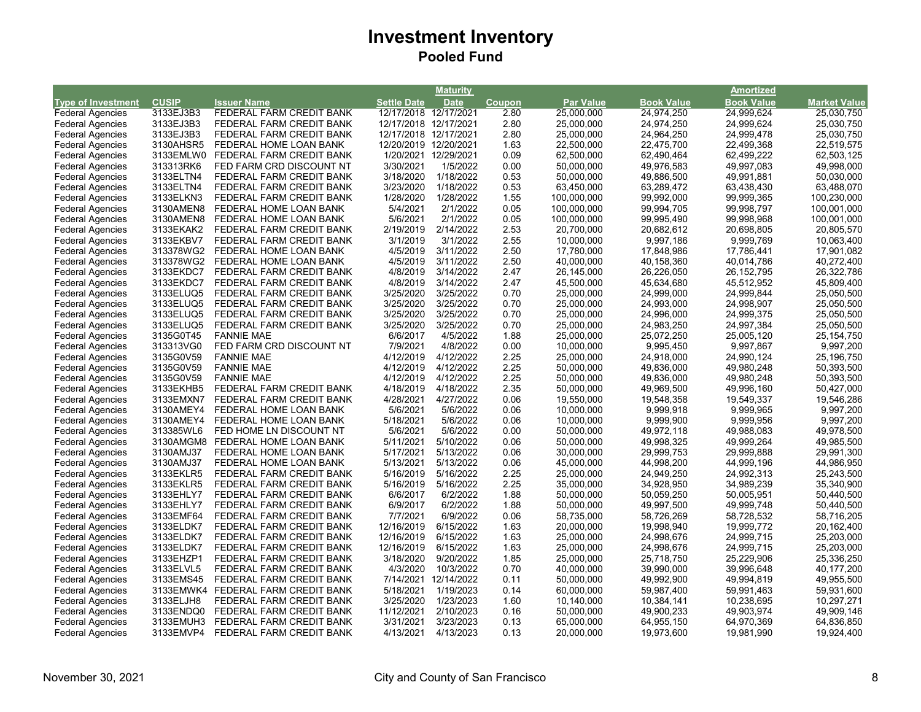|                           |              |                                                    |                       | <b>Maturity</b>       |               |                  |                   | Amortized         |              |
|---------------------------|--------------|----------------------------------------------------|-----------------------|-----------------------|---------------|------------------|-------------------|-------------------|--------------|
| <b>Type of Investment</b> | <b>CUSIP</b> | <b>Issuer Name</b>                                 | <b>Settle Date</b>    | <b>Date</b>           | <b>Coupon</b> | <b>Par Value</b> | <b>Book Value</b> | <b>Book Value</b> | Market Value |
| <b>Federal Agencies</b>   | 3133EJ3B3    | FEDERAL FARM CREDIT BANK                           |                       | 12/17/2018 12/17/2021 | 2.80          | 25,000,000       | 24,974,250        | 24,999,624        | 25,030,750   |
| <b>Federal Agencies</b>   | 3133EJ3B3    | FEDERAL FARM CREDIT BANK                           | 12/17/2018 12/17/2021 |                       | 2.80          | 25,000,000       | 24,974,250        | 24,999,624        | 25,030,750   |
| <b>Federal Agencies</b>   | 3133EJ3B3    | FEDERAL FARM CREDIT BANK                           | 12/17/2018 12/17/2021 |                       | 2.80          | 25,000,000       | 24,964,250        | 24,999,478        | 25,030,750   |
| <b>Federal Agencies</b>   | 3130AHSR5    | FEDERAL HOME LOAN BANK                             | 12/20/2019 12/20/2021 |                       | 1.63          | 22,500,000       | 22,475,700        | 22,499,368        | 22,519,575   |
| <b>Federal Agencies</b>   | 3133EMLW0    | FEDERAL FARM CREDIT BANK                           |                       | 1/20/2021 12/29/2021  | 0.09          | 62,500,000       | 62,490,464        | 62,499,222        | 62,503,125   |
| <b>Federal Agencies</b>   | 313313RK6    | FED FARM CRD DISCOUNT NT                           | 3/30/2021             | 1/5/2022              | 0.00          | 50,000,000       | 49,976,583        | 49,997,083        | 49,998,000   |
| <b>Federal Agencies</b>   | 3133ELTN4    | FEDERAL FARM CREDIT BANK                           | 3/18/2020             | 1/18/2022             | 0.53          | 50,000,000       | 49,886,500        | 49,991,881        | 50,030,000   |
| <b>Federal Agencies</b>   | 3133ELTN4    | FEDERAL FARM CREDIT BANK                           | 3/23/2020             | 1/18/2022             | 0.53          | 63,450,000       | 63,289,472        | 63,438,430        | 63,488,070   |
| <b>Federal Agencies</b>   | 3133ELKN3    | FEDERAL FARM CREDIT BANK                           | 1/28/2020             | 1/28/2022             | 1.55          | 100,000,000      | 99,992,000        | 99,999,365        | 100,230,000  |
| <b>Federal Agencies</b>   | 3130AMEN8    | FEDERAL HOME LOAN BANK                             | 5/4/2021              | 2/1/2022              | 0.05          | 100,000,000      | 99,994,705        | 99,998,797        | 100,001,000  |
| <b>Federal Agencies</b>   | 3130AMEN8    | FEDERAL HOME LOAN BANK                             | 5/6/2021              | 2/1/2022              | 0.05          | 100,000,000      | 99,995,490        | 99,998,968        | 100,001,000  |
| <b>Federal Agencies</b>   | 3133EKAK2    | FEDERAL FARM CREDIT BANK                           | 2/19/2019             | 2/14/2022             | 2.53          | 20,700,000       | 20,682,612        | 20,698,805        | 20,805,570   |
| <b>Federal Agencies</b>   | 3133EKBV7    | FEDERAL FARM CREDIT BANK                           | 3/1/2019              | 3/1/2022              | 2.55          | 10,000,000       | 9,997,186         | 9,999,769         | 10,063,400   |
| <b>Federal Agencies</b>   | 313378WG2    | FEDERAL HOME LOAN BANK                             | 4/5/2019              | 3/11/2022             | 2.50          | 17,780,000       | 17,848,986        | 17,786,441        | 17,901,082   |
| <b>Federal Agencies</b>   | 313378WG2    | FEDERAL HOME LOAN BANK                             | 4/5/2019              | 3/11/2022             | 2.50          | 40,000,000       | 40,158,360        | 40,014,786        | 40,272,400   |
| <b>Federal Agencies</b>   | 3133EKDC7    | FEDERAL FARM CREDIT BANK                           | 4/8/2019              | 3/14/2022             | 2.47          | 26,145,000       | 26,226,050        | 26, 152, 795      | 26,322,786   |
| <b>Federal Agencies</b>   | 3133EKDC7    | FEDERAL FARM CREDIT BANK                           | 4/8/2019              | 3/14/2022             | 2.47          | 45,500,000       | 45,634,680        | 45,512,952        | 45,809,400   |
| <b>Federal Agencies</b>   | 3133ELUQ5    | FEDERAL FARM CREDIT BANK                           | 3/25/2020             | 3/25/2022             | 0.70          | 25,000,000       | 24,999,000        | 24,999,844        | 25,050,500   |
| <b>Federal Agencies</b>   | 3133ELUQ5    | FEDERAL FARM CREDIT BANK                           | 3/25/2020             | 3/25/2022             | 0.70          | 25,000,000       | 24,993,000        | 24,998,907        | 25,050,500   |
| <b>Federal Agencies</b>   | 3133ELUQ5    | FEDERAL FARM CREDIT BANK                           | 3/25/2020             | 3/25/2022             | 0.70          | 25,000,000       | 24,996,000        | 24,999,375        | 25,050,500   |
| <b>Federal Agencies</b>   | 3133ELUQ5    | FEDERAL FARM CREDIT BANK                           | 3/25/2020             | 3/25/2022             | 0.70          | 25,000,000       | 24,983,250        | 24,997,384        | 25,050,500   |
| <b>Federal Agencies</b>   | 3135G0T45    | <b>FANNIE MAE</b>                                  | 6/6/2017              | 4/5/2022              | 1.88          | 25,000,000       | 25,072,250        | 25,005,120        | 25, 154, 750 |
| <b>Federal Agencies</b>   | 313313VG0    | FED FARM CRD DISCOUNT NT                           | 7/9/2021              | 4/8/2022              | 0.00          | 10,000,000       | 9,995,450         | 9,997,867         | 9,997,200    |
| <b>Federal Agencies</b>   | 3135G0V59    | <b>FANNIE MAE</b>                                  | 4/12/2019             | 4/12/2022             | 2.25          | 25,000,000       | 24,918,000        | 24,990,124        | 25,196,750   |
| <b>Federal Agencies</b>   | 3135G0V59    | <b>FANNIE MAE</b>                                  | 4/12/2019             | 4/12/2022             | 2.25          | 50,000,000       | 49,836,000        | 49,980,248        | 50,393,500   |
| <b>Federal Agencies</b>   | 3135G0V59    | <b>FANNIE MAE</b>                                  | 4/12/2019             | 4/12/2022             | 2.25          | 50,000,000       | 49,836,000        | 49,980,248        | 50,393,500   |
| <b>Federal Agencies</b>   | 3133EKHB5    | FEDERAL FARM CREDIT BANK                           | 4/18/2019             | 4/18/2022             | 2.35          | 50,000,000       | 49,969,500        | 49,996,160        | 50,427,000   |
| <b>Federal Agencies</b>   | 3133EMXN7    | FEDERAL FARM CREDIT BANK                           | 4/28/2021             | 4/27/2022             | 0.06          | 19,550,000       | 19,548,358        | 19,549,337        | 19,546,286   |
| <b>Federal Agencies</b>   | 3130AMEY4    | FEDERAL HOME LOAN BANK                             | 5/6/2021              | 5/6/2022              | 0.06          | 10,000,000       | 9,999,918         | 9,999,965         | 9,997,200    |
| <b>Federal Agencies</b>   | 3130AMEY4    | FEDERAL HOME LOAN BANK                             | 5/18/2021             | 5/6/2022              | 0.06          | 10,000,000       | 9,999,900         | 9,999,956         | 9,997,200    |
| <b>Federal Agencies</b>   | 313385WL6    | FED HOME LN DISCOUNT NT                            | 5/6/2021              | 5/6/2022              | 0.00          | 50,000,000       | 49,972,118        | 49,988,083        | 49,978,500   |
| <b>Federal Agencies</b>   |              | 3130AMGM8 FEDERAL HOME LOAN BANK                   | 5/11/2021             | 5/10/2022             | 0.06          | 50,000,000       | 49,998,325        | 49,999,264        | 49,985,500   |
| <b>Federal Agencies</b>   | 3130AMJ37    | FEDERAL HOME LOAN BANK                             | 5/17/2021             | 5/13/2022             | 0.06          | 30,000,000       | 29,999,753        | 29,999,888        | 29,991,300   |
| <b>Federal Agencies</b>   | 3130AMJ37    |                                                    | 5/13/2021             | 5/13/2022             | 0.06          | 45,000,000       | 44,998,200        | 44,999,196        | 44,986,950   |
| <b>Federal Agencies</b>   | 3133EKLR5    | FEDERAL HOME LOAN BANK<br>FEDERAL FARM CREDIT BANK | 5/16/2019             | 5/16/2022             | 2.25          | 25,000,000       | 24,949,250        | 24,992,313        | 25,243,500   |
| <b>Federal Agencies</b>   | 3133EKLR5    | FEDERAL FARM CREDIT BANK                           | 5/16/2019             | 5/16/2022             | 2.25          | 35,000,000       | 34,928,950        | 34,989,239        | 35,340,900   |
|                           |              |                                                    |                       |                       |               |                  |                   |                   |              |
| <b>Federal Agencies</b>   | 3133EHLY7    | FEDERAL FARM CREDIT BANK                           | 6/6/2017              | 6/2/2022              | 1.88          | 50,000,000       | 50,059,250        | 50,005,951        | 50,440,500   |
| <b>Federal Agencies</b>   | 3133EHLY7    | FEDERAL FARM CREDIT BANK                           | 6/9/2017              | 6/2/2022              | 1.88          | 50,000,000       | 49,997,500        | 49,999,748        | 50,440,500   |
| <b>Federal Agencies</b>   | 3133EMF64    | FEDERAL FARM CREDIT BANK                           | 7/7/2021              | 6/9/2022              | 0.06          | 58,735,000       | 58,726,269        | 58,728,532        | 58,716,205   |
| <b>Federal Agencies</b>   | 3133ELDK7    | FEDERAL FARM CREDIT BANK                           | 12/16/2019            | 6/15/2022             | 1.63          | 20,000,000       | 19,998,940        | 19,999,772        | 20,162,400   |
| <b>Federal Agencies</b>   | 3133ELDK7    | FEDERAL FARM CREDIT BANK                           | 12/16/2019            | 6/15/2022             | 1.63          | 25,000,000       | 24,998,676        | 24,999,715        | 25,203,000   |
| <b>Federal Agencies</b>   | 3133ELDK7    | FEDERAL FARM CREDIT BANK                           | 12/16/2019            | 6/15/2022             | 1.63          | 25,000,000       | 24,998,676        | 24,999,715        | 25,203,000   |
| <b>Federal Agencies</b>   | 3133EHZP1    | FEDERAL FARM CREDIT BANK                           | 3/18/2020             | 9/20/2022             | 1.85          | 25,000,000       | 25,718,750        | 25,229,906        | 25,336,250   |
| <b>Federal Agencies</b>   | 3133ELVL5    | FEDERAL FARM CREDIT BANK                           | 4/3/2020              | 10/3/2022             | 0.70          | 40,000,000       | 39,990,000        | 39,996,648        | 40,177,200   |
| <b>Federal Agencies</b>   | 3133EMS45    | FEDERAL FARM CREDIT BANK                           | 7/14/2021             | 12/14/2022            | 0.11          | 50,000,000       | 49,992,900        | 49,994,819        | 49,955,500   |
| <b>Federal Agencies</b>   |              | 3133EMWK4 FEDERAL FARM CREDIT BANK                 | 5/18/2021             | 1/19/2023             | 0.14          | 60,000,000       | 59,987,400        | 59,991,463        | 59,931,600   |
| <b>Federal Agencies</b>   | 3133ELJH8    | FEDERAL FARM CREDIT BANK                           | 3/25/2020             | 1/23/2023             | 1.60          | 10,140,000       | 10,384,141        | 10,238,695        | 10,297,271   |
| <b>Federal Agencies</b>   | 3133ENDQ0    | FEDERAL FARM CREDIT BANK                           | 11/12/2021            | 2/10/2023             | 0.16          | 50,000,000       | 49,900,233        | 49,903,974        | 49,909,146   |
| <b>Federal Agencies</b>   | 3133EMUH3    | FEDERAL FARM CREDIT BANK                           | 3/31/2021             | 3/23/2023             | 0.13          | 65,000,000       | 64,955,150        | 64,970,369        | 64,836,850   |
| <b>Federal Agencies</b>   | 3133EMVP4    | FEDERAL FARM CREDIT BANK                           | 4/13/2021             | 4/13/2023             | 0.13          | 20,000,000       | 19,973,600        | 19,981,990        | 19,924,400   |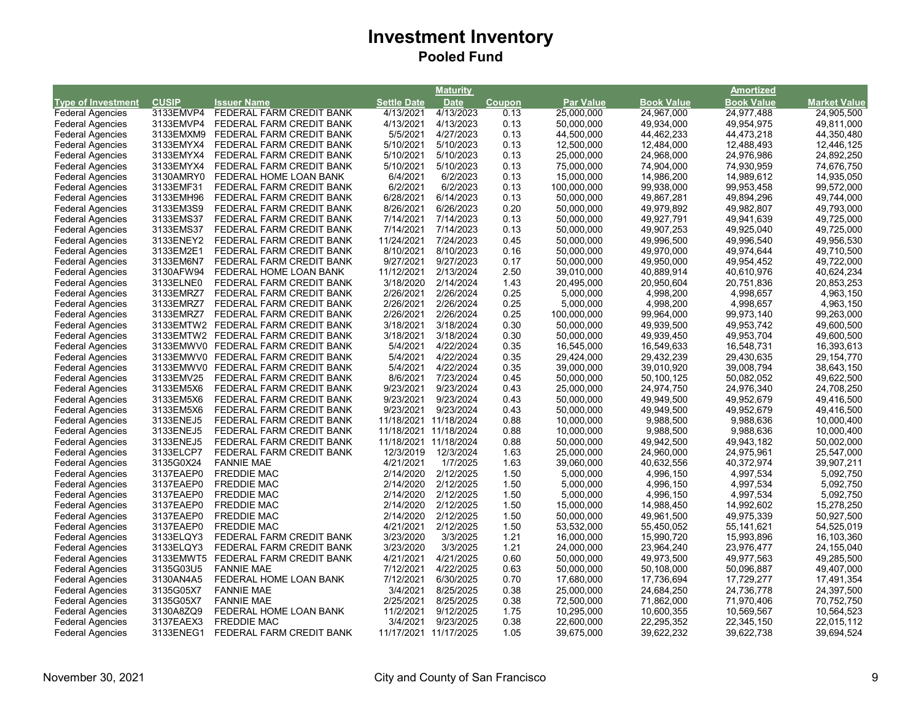| <b>Book Value</b><br><b>Type of Investment</b><br><b>CUSIP</b><br><b>Issuer Name</b><br><b>Settle Date</b><br><b>Date</b><br><b>Par Value</b><br><b>Book Value</b><br><b>Market Value</b><br>Coupon<br>3133EMVP4<br>4/13/2023<br>0.13<br>24,977,488<br><b>Federal Agencies</b><br>FEDERAL FARM CREDIT BANK<br>4/13/2021<br>25,000,000<br>24,967,000<br>24,905,500<br>FEDERAL FARM CREDIT BANK<br>4/13/2021<br>4/13/2023<br>0.13<br>50,000,000<br>49,934,000<br>49,954,975<br><b>Federal Agencies</b><br>3133EMVP4<br>49,811,000<br>5/5/2021<br><b>Federal Agencies</b><br>3133EMXM9<br>FEDERAL FARM CREDIT BANK<br>4/27/2023<br>0.13<br>44,500,000<br>44,462,233<br>44,473,218<br>44,350,480<br><b>Federal Agencies</b><br>3133EMYX4<br>FEDERAL FARM CREDIT BANK<br>5/10/2021<br>5/10/2023<br>0.13<br>12,500,000<br>12,484,000<br>12,488,493<br>12,446,125<br>5/10/2021<br>24,968,000<br><b>Federal Agencies</b><br>3133EMYX4<br>FEDERAL FARM CREDIT BANK<br>5/10/2023<br>0.13<br>25,000,000<br>24,976,986<br>24,892,250<br>74,676,750<br><b>Federal Agencies</b><br>3133EMYX4<br>FEDERAL FARM CREDIT BANK<br>5/10/2021<br>5/10/2023<br>0.13<br>75,000,000<br>74,904,000<br>74,930,959<br>3130AMRY0<br>6/4/2021<br>6/2/2023<br>15,000,000<br>14,986,200<br>14,989,612<br>14,935,050<br><b>Federal Agencies</b><br>FEDERAL HOME LOAN BANK<br>0.13<br>6/2/2021<br><b>Federal Agencies</b><br>3133EMF31<br>6/2/2023<br>0.13<br>99,938,000<br>FEDERAL FARM CREDIT BANK<br>100,000,000<br>99,953,458<br>99,572,000<br>6/28/2021<br>6/14/2023<br><b>Federal Agencies</b><br>3133EMH96<br>FEDERAL FARM CREDIT BANK<br>0.13<br>50,000,000<br>49,867,281<br>49,894,296<br>49,744,000<br>8/26/2021<br>3133EM3S9<br>6/26/2023<br>0.20<br>50,000,000<br>49,979,892<br>49,982,807<br>49,793,000<br><b>Federal Agencies</b><br>FEDERAL FARM CREDIT BANK<br><b>Federal Agencies</b><br>3133EMS37<br>7/14/2021<br>7/14/2023<br>0.13<br>50,000,000<br>49,927,791<br>49,941,639<br>49,725,000<br>FEDERAL FARM CREDIT BANK<br><b>Federal Agencies</b><br>3133EMS37<br>FEDERAL FARM CREDIT BANK<br>7/14/2021<br>7/14/2023<br>0.13<br>50,000,000<br>49,907,253<br>49,925,040<br>49,725,000<br>11/24/2021<br>7/24/2023<br>0.45<br>49,996,500<br>49,996,540<br><b>Federal Agencies</b><br>3133ENEY2<br>FEDERAL FARM CREDIT BANK<br>50,000,000<br>49,956,530<br><b>Federal Agencies</b><br>3133EM2E1<br>FEDERAL FARM CREDIT BANK<br>8/10/2021<br>8/10/2023<br>0.16<br>50,000,000<br>49,970,000<br>49,974,644<br>49,710,500<br><b>Federal Agencies</b><br>3133EM6N7<br>9/27/2021<br>9/27/2023<br>0.17<br>50,000,000<br>49,950,000<br>49,954,452<br>49,722,000<br>FEDERAL FARM CREDIT BANK<br><b>Federal Agencies</b><br>3130AFW94<br>11/12/2021<br>2/13/2024<br>2.50<br>39,010,000<br>40,624,234<br>FEDERAL HOME LOAN BANK<br>40,889,914<br>40,610,976<br>3/18/2020<br><b>Federal Agencies</b><br>3133ELNE0<br>FEDERAL FARM CREDIT BANK<br>2/14/2024<br>1.43<br>20,495,000<br>20,950,604<br>20,751,836<br>20,853,253<br><b>Federal Agencies</b><br>3133EMRZ7<br>2/26/2021<br>2/26/2024<br>0.25<br>5,000,000<br>4,998,200<br>4,998,657<br>4,963,150<br>FEDERAL FARM CREDIT BANK<br><b>Federal Agencies</b><br>3133EMRZ7<br>2/26/2021<br>2/26/2024<br>0.25<br>5,000,000<br>4,998,200<br>4,998,657<br>4,963,150<br>FEDERAL FARM CREDIT BANK<br>0.25<br><b>Federal Agencies</b><br>2/26/2021<br>2/26/2024<br>99,964,000<br>99,973,140<br>99,263,000<br>3133EMRZ7<br>FEDERAL FARM CREDIT BANK<br>100,000,000<br>0.30<br><b>Federal Agencies</b><br>3133EMTW2 FEDERAL FARM CREDIT BANK<br>3/18/2021<br>3/18/2024<br>50,000,000<br>49,939,500<br>49,953,742<br>49,600,500<br>0.30<br><b>Federal Agencies</b><br>3133EMTW2 FEDERAL FARM CREDIT BANK<br>3/18/2021<br>3/18/2024<br>50,000,000<br>49,939,450<br>49,953,704<br>49,600,500<br>5/4/2021<br><b>Federal Agencies</b><br>3133EMWV0 FEDERAL FARM CREDIT BANK<br>4/22/2024<br>0.35<br>16,545,000<br>16,549,633<br>16,548,731<br>16,393,613<br>5/4/2021<br><b>Federal Agencies</b><br>3133EMWV0 FEDERAL FARM CREDIT BANK<br>4/22/2024<br>0.35<br>29,424,000<br>29,432,239<br>29,430,635<br>29,154,770<br>5/4/2021<br>4/22/2024<br>0.35<br>39,000,000<br>39,010,920<br>39,008,794<br>38,643,150<br><b>Federal Agencies</b><br>3133EMWV0 FEDERAL FARM CREDIT BANK<br><b>Federal Agencies</b><br>8/6/2021<br>0.45<br>3133EMV25<br>FEDERAL FARM CREDIT BANK<br>7/23/2024<br>50,000,000<br>50,100,125<br>50,082,052<br>49,622,500<br><b>Federal Agencies</b><br>3133EM5X6<br>FEDERAL FARM CREDIT BANK<br>9/23/2021<br>9/23/2024<br>0.43<br>25,000,000<br>24,974,750<br>24,976,340<br>24,708,250<br><b>Federal Agencies</b><br>3133EM5X6<br>FEDERAL FARM CREDIT BANK<br>9/23/2021<br>9/23/2024<br>0.43<br>50,000,000<br>49,949,500<br>49,952,679<br>49,416,500<br><b>Federal Agencies</b><br>9/23/2021<br>9/23/2024<br>0.43<br>50,000,000<br>49,949,500<br>49,952,679<br>49,416,500<br>3133EM5X6<br>FEDERAL FARM CREDIT BANK<br><b>Federal Agencies</b><br>3133ENEJ5<br>FEDERAL FARM CREDIT BANK<br>11/18/2021 11/18/2024<br>0.88<br>10,000,000<br>9,988,500<br>9,988,636<br>10,000,400<br><b>Federal Agencies</b><br>3133ENEJ5<br>11/18/2021 11/18/2024<br>0.88<br>9,988,636<br>10,000,400<br>FEDERAL FARM CREDIT BANK<br>10,000,000<br>9,988,500<br><b>Federal Agencies</b><br>3133ENEJ5<br>11/18/2021 11/18/2024<br>0.88<br>50,000,000<br>49,943,182<br>50,002,000<br>FEDERAL FARM CREDIT BANK<br>49,942,500<br>1.63<br><b>Federal Agencies</b><br>3133ELCP7<br>FEDERAL FARM CREDIT BANK<br>12/3/2019<br>12/3/2024<br>25,000,000<br>24,960,000<br>24,975,961<br>25,547,000<br><b>Federal Agencies</b><br>3135G0X24<br>4/21/2021<br>1/7/2025<br>1.63<br>39,060,000<br>40,372,974<br>39,907,211<br><b>FANNIE MAE</b><br>40,632,556<br><b>Federal Agencies</b><br>2/14/2020<br>2/12/2025<br>1.50<br>4,996,150<br>4,997,534<br>5,092,750<br>3137EAEP0<br><b>FREDDIE MAC</b><br>5,000,000<br>2/14/2020<br>1.50<br>4,996,150<br>4,997,534<br>5,092,750<br><b>Federal Agencies</b><br>3137EAEP0<br><b>FREDDIE MAC</b><br>2/12/2025<br>5,000,000<br><b>Federal Agencies</b><br>3137EAEP0<br><b>FREDDIE MAC</b><br>2/14/2020<br>2/12/2025<br>1.50<br>5,000,000<br>4,996,150<br>4,997,534<br>5,092,750<br><b>Federal Agencies</b><br>3137EAEP0<br><b>FREDDIE MAC</b><br>2/14/2020<br>2/12/2025<br>1.50<br>15,000,000<br>14,988,450<br>14,992,602<br>15,278,250<br>3137EAEP0<br><b>FREDDIE MAC</b><br>2/14/2020<br>2/12/2025<br>1.50<br>50,927,500<br><b>Federal Agencies</b><br>50,000,000<br>49,961,500<br>49,975,339<br>4/21/2021<br>1.50<br><b>Federal Agencies</b><br>3137EAEP0<br><b>FREDDIE MAC</b><br>2/12/2025<br>53,532,000<br>55,450,052<br>55, 141, 621<br>54,525,019<br>FEDERAL FARM CREDIT BANK<br>3/23/2020<br>3/3/2025<br>15,990,720<br><b>Federal Agencies</b><br>3133ELQY3<br>1.21<br>16,000,000<br>15,993,896<br>16,103,360<br>1.21<br><b>Federal Agencies</b><br>3133ELQY3<br>FEDERAL FARM CREDIT BANK<br>3/23/2020<br>3/3/2025<br>24,000,000<br>23,964,240<br>23,976,477<br>24,155,040<br><b>Federal Agencies</b><br>FEDERAL FARM CREDIT BANK<br>4/21/2021<br>4/21/2025<br>0.60<br>50,000,000<br>49,973,500<br>49,977,563<br>49,285,500<br>3133EMWT5<br>7/12/2021<br>0.63<br>50,096,887<br><b>Federal Agencies</b><br>3135G03U5<br><b>FANNIE MAE</b><br>4/22/2025<br>50,000,000<br>50,108,000<br>49,407,000<br><b>Federal Agencies</b><br>3130AN4A5<br>FEDERAL HOME LOAN BANK<br>7/12/2021<br>6/30/2025<br>0.70<br>17,680,000<br>17,736,694<br>17,729,277<br>17,491,354<br><b>Federal Agencies</b><br>3/4/2021<br>3135G05X7<br><b>FANNIE MAE</b><br>8/25/2025<br>0.38<br>25,000,000<br>24,684,250<br>24,736,778<br>24,397,500<br>2/25/2021<br>0.38<br><b>Federal Agencies</b><br>3135G05X7<br><b>FANNIE MAE</b><br>8/25/2025<br>72,500,000<br>71,862,000<br>71,970,406<br>70,752,750<br>11/2/2021<br><b>Federal Agencies</b><br>3130A8ZQ9<br>FEDERAL HOME LOAN BANK<br>9/12/2025<br>1.75<br>10,295,000<br>10,600,355<br>10,569,567<br>10,564,523<br>3/4/2021<br>0.38<br><b>Federal Agencies</b><br>3137EAEX3<br><b>FREDDIE MAC</b><br>9/23/2025<br>22,600,000<br>22,295,352<br>22,345,150<br>22,015,112<br>11/17/2021 11/17/2025 |                         |           |                          | <b>Maturity</b> |      |            |            | <b>Amortized</b> |            |
|------------------------------------------------------------------------------------------------------------------------------------------------------------------------------------------------------------------------------------------------------------------------------------------------------------------------------------------------------------------------------------------------------------------------------------------------------------------------------------------------------------------------------------------------------------------------------------------------------------------------------------------------------------------------------------------------------------------------------------------------------------------------------------------------------------------------------------------------------------------------------------------------------------------------------------------------------------------------------------------------------------------------------------------------------------------------------------------------------------------------------------------------------------------------------------------------------------------------------------------------------------------------------------------------------------------------------------------------------------------------------------------------------------------------------------------------------------------------------------------------------------------------------------------------------------------------------------------------------------------------------------------------------------------------------------------------------------------------------------------------------------------------------------------------------------------------------------------------------------------------------------------------------------------------------------------------------------------------------------------------------------------------------------------------------------------------------------------------------------------------------------------------------------------------------------------------------------------------------------------------------------------------------------------------------------------------------------------------------------------------------------------------------------------------------------------------------------------------------------------------------------------------------------------------------------------------------------------------------------------------------------------------------------------------------------------------------------------------------------------------------------------------------------------------------------------------------------------------------------------------------------------------------------------------------------------------------------------------------------------------------------------------------------------------------------------------------------------------------------------------------------------------------------------------------------------------------------------------------------------------------------------------------------------------------------------------------------------------------------------------------------------------------------------------------------------------------------------------------------------------------------------------------------------------------------------------------------------------------------------------------------------------------------------------------------------------------------------------------------------------------------------------------------------------------------------------------------------------------------------------------------------------------------------------------------------------------------------------------------------------------------------------------------------------------------------------------------------------------------------------------------------------------------------------------------------------------------------------------------------------------------------------------------------------------------------------------------------------------------------------------------------------------------------------------------------------------------------------------------------------------------------------------------------------------------------------------------------------------------------------------------------------------------------------------------------------------------------------------------------------------------------------------------------------------------------------------------------------------------------------------------------------------------------------------------------------------------------------------------------------------------------------------------------------------------------------------------------------------------------------------------------------------------------------------------------------------------------------------------------------------------------------------------------------------------------------------------------------------------------------------------------------------------------------------------------------------------------------------------------------------------------------------------------------------------------------------------------------------------------------------------------------------------------------------------------------------------------------------------------------------------------------------------------------------------------------------------------------------------------------------------------------------------------------------------------------------------------------------------------------------------------------------------------------------------------------------------------------------------------------------------------------------------------------------------------------------------------------------------------------------------------------------------------------------------------------------------------------------------------------------------------------------------------------------------------------------------------------------------------------------------------------------------------------------------------------------------------------------------------------------------------------------------------------------------------------------------------------------------------------------------------------------------------------------------------------------------------------------------------------------------------------------------------------------------------------------------------------------------------------------------------------------------------------------------------------------------------------------------------------------------------------------------------------------------------------------------------------------------------------------------------------------------------------------------------------------------------------------------------------------------------------------------------------------------------------------------------------------------------------------------------------------------------------------------------------------------------------------------------------------------------------------------------------------------------------------------------------------------------------------------------------------------------------------------------------------------------------------------------------------------------------------------------------------------------------------------------------------------------------------------------------------------------------------------------------------------------------------------------------------------------------------------|-------------------------|-----------|--------------------------|-----------------|------|------------|------------|------------------|------------|
|                                                                                                                                                                                                                                                                                                                                                                                                                                                                                                                                                                                                                                                                                                                                                                                                                                                                                                                                                                                                                                                                                                                                                                                                                                                                                                                                                                                                                                                                                                                                                                                                                                                                                                                                                                                                                                                                                                                                                                                                                                                                                                                                                                                                                                                                                                                                                                                                                                                                                                                                                                                                                                                                                                                                                                                                                                                                                                                                                                                                                                                                                                                                                                                                                                                                                                                                                                                                                                                                                                                                                                                                                                                                                                                                                                                                                                                                                                                                                                                                                                                                                                                                                                                                                                                                                                                                                                                                                                                                                                                                                                                                                                                                                                                                                                                                                                                                                                                                                                                                                                                                                                                                                                                                                                                                                                                                                                                                                                                                                                                                                                                                                                                                                                                                                                                                                                                                                                                                                                                                                                                                                                                                                                                                                                                                                                                                                                                                                                                                                                                                                                                                                                                                                                                                                                                                                                                                                                                                                                                                                                                                                                                                                                                                                                                                                                                                                                                                                                                                                                                                                                                                                                                                                                                                                                                                                                                                                                                                                                                                                                                                                                                                                            |                         |           |                          |                 |      |            |            |                  |            |
|                                                                                                                                                                                                                                                                                                                                                                                                                                                                                                                                                                                                                                                                                                                                                                                                                                                                                                                                                                                                                                                                                                                                                                                                                                                                                                                                                                                                                                                                                                                                                                                                                                                                                                                                                                                                                                                                                                                                                                                                                                                                                                                                                                                                                                                                                                                                                                                                                                                                                                                                                                                                                                                                                                                                                                                                                                                                                                                                                                                                                                                                                                                                                                                                                                                                                                                                                                                                                                                                                                                                                                                                                                                                                                                                                                                                                                                                                                                                                                                                                                                                                                                                                                                                                                                                                                                                                                                                                                                                                                                                                                                                                                                                                                                                                                                                                                                                                                                                                                                                                                                                                                                                                                                                                                                                                                                                                                                                                                                                                                                                                                                                                                                                                                                                                                                                                                                                                                                                                                                                                                                                                                                                                                                                                                                                                                                                                                                                                                                                                                                                                                                                                                                                                                                                                                                                                                                                                                                                                                                                                                                                                                                                                                                                                                                                                                                                                                                                                                                                                                                                                                                                                                                                                                                                                                                                                                                                                                                                                                                                                                                                                                                                                            |                         |           |                          |                 |      |            |            |                  |            |
|                                                                                                                                                                                                                                                                                                                                                                                                                                                                                                                                                                                                                                                                                                                                                                                                                                                                                                                                                                                                                                                                                                                                                                                                                                                                                                                                                                                                                                                                                                                                                                                                                                                                                                                                                                                                                                                                                                                                                                                                                                                                                                                                                                                                                                                                                                                                                                                                                                                                                                                                                                                                                                                                                                                                                                                                                                                                                                                                                                                                                                                                                                                                                                                                                                                                                                                                                                                                                                                                                                                                                                                                                                                                                                                                                                                                                                                                                                                                                                                                                                                                                                                                                                                                                                                                                                                                                                                                                                                                                                                                                                                                                                                                                                                                                                                                                                                                                                                                                                                                                                                                                                                                                                                                                                                                                                                                                                                                                                                                                                                                                                                                                                                                                                                                                                                                                                                                                                                                                                                                                                                                                                                                                                                                                                                                                                                                                                                                                                                                                                                                                                                                                                                                                                                                                                                                                                                                                                                                                                                                                                                                                                                                                                                                                                                                                                                                                                                                                                                                                                                                                                                                                                                                                                                                                                                                                                                                                                                                                                                                                                                                                                                                                            |                         |           |                          |                 |      |            |            |                  |            |
|                                                                                                                                                                                                                                                                                                                                                                                                                                                                                                                                                                                                                                                                                                                                                                                                                                                                                                                                                                                                                                                                                                                                                                                                                                                                                                                                                                                                                                                                                                                                                                                                                                                                                                                                                                                                                                                                                                                                                                                                                                                                                                                                                                                                                                                                                                                                                                                                                                                                                                                                                                                                                                                                                                                                                                                                                                                                                                                                                                                                                                                                                                                                                                                                                                                                                                                                                                                                                                                                                                                                                                                                                                                                                                                                                                                                                                                                                                                                                                                                                                                                                                                                                                                                                                                                                                                                                                                                                                                                                                                                                                                                                                                                                                                                                                                                                                                                                                                                                                                                                                                                                                                                                                                                                                                                                                                                                                                                                                                                                                                                                                                                                                                                                                                                                                                                                                                                                                                                                                                                                                                                                                                                                                                                                                                                                                                                                                                                                                                                                                                                                                                                                                                                                                                                                                                                                                                                                                                                                                                                                                                                                                                                                                                                                                                                                                                                                                                                                                                                                                                                                                                                                                                                                                                                                                                                                                                                                                                                                                                                                                                                                                                                                            |                         |           |                          |                 |      |            |            |                  |            |
|                                                                                                                                                                                                                                                                                                                                                                                                                                                                                                                                                                                                                                                                                                                                                                                                                                                                                                                                                                                                                                                                                                                                                                                                                                                                                                                                                                                                                                                                                                                                                                                                                                                                                                                                                                                                                                                                                                                                                                                                                                                                                                                                                                                                                                                                                                                                                                                                                                                                                                                                                                                                                                                                                                                                                                                                                                                                                                                                                                                                                                                                                                                                                                                                                                                                                                                                                                                                                                                                                                                                                                                                                                                                                                                                                                                                                                                                                                                                                                                                                                                                                                                                                                                                                                                                                                                                                                                                                                                                                                                                                                                                                                                                                                                                                                                                                                                                                                                                                                                                                                                                                                                                                                                                                                                                                                                                                                                                                                                                                                                                                                                                                                                                                                                                                                                                                                                                                                                                                                                                                                                                                                                                                                                                                                                                                                                                                                                                                                                                                                                                                                                                                                                                                                                                                                                                                                                                                                                                                                                                                                                                                                                                                                                                                                                                                                                                                                                                                                                                                                                                                                                                                                                                                                                                                                                                                                                                                                                                                                                                                                                                                                                                                            |                         |           |                          |                 |      |            |            |                  |            |
|                                                                                                                                                                                                                                                                                                                                                                                                                                                                                                                                                                                                                                                                                                                                                                                                                                                                                                                                                                                                                                                                                                                                                                                                                                                                                                                                                                                                                                                                                                                                                                                                                                                                                                                                                                                                                                                                                                                                                                                                                                                                                                                                                                                                                                                                                                                                                                                                                                                                                                                                                                                                                                                                                                                                                                                                                                                                                                                                                                                                                                                                                                                                                                                                                                                                                                                                                                                                                                                                                                                                                                                                                                                                                                                                                                                                                                                                                                                                                                                                                                                                                                                                                                                                                                                                                                                                                                                                                                                                                                                                                                                                                                                                                                                                                                                                                                                                                                                                                                                                                                                                                                                                                                                                                                                                                                                                                                                                                                                                                                                                                                                                                                                                                                                                                                                                                                                                                                                                                                                                                                                                                                                                                                                                                                                                                                                                                                                                                                                                                                                                                                                                                                                                                                                                                                                                                                                                                                                                                                                                                                                                                                                                                                                                                                                                                                                                                                                                                                                                                                                                                                                                                                                                                                                                                                                                                                                                                                                                                                                                                                                                                                                                                            |                         |           |                          |                 |      |            |            |                  |            |
|                                                                                                                                                                                                                                                                                                                                                                                                                                                                                                                                                                                                                                                                                                                                                                                                                                                                                                                                                                                                                                                                                                                                                                                                                                                                                                                                                                                                                                                                                                                                                                                                                                                                                                                                                                                                                                                                                                                                                                                                                                                                                                                                                                                                                                                                                                                                                                                                                                                                                                                                                                                                                                                                                                                                                                                                                                                                                                                                                                                                                                                                                                                                                                                                                                                                                                                                                                                                                                                                                                                                                                                                                                                                                                                                                                                                                                                                                                                                                                                                                                                                                                                                                                                                                                                                                                                                                                                                                                                                                                                                                                                                                                                                                                                                                                                                                                                                                                                                                                                                                                                                                                                                                                                                                                                                                                                                                                                                                                                                                                                                                                                                                                                                                                                                                                                                                                                                                                                                                                                                                                                                                                                                                                                                                                                                                                                                                                                                                                                                                                                                                                                                                                                                                                                                                                                                                                                                                                                                                                                                                                                                                                                                                                                                                                                                                                                                                                                                                                                                                                                                                                                                                                                                                                                                                                                                                                                                                                                                                                                                                                                                                                                                                            |                         |           |                          |                 |      |            |            |                  |            |
|                                                                                                                                                                                                                                                                                                                                                                                                                                                                                                                                                                                                                                                                                                                                                                                                                                                                                                                                                                                                                                                                                                                                                                                                                                                                                                                                                                                                                                                                                                                                                                                                                                                                                                                                                                                                                                                                                                                                                                                                                                                                                                                                                                                                                                                                                                                                                                                                                                                                                                                                                                                                                                                                                                                                                                                                                                                                                                                                                                                                                                                                                                                                                                                                                                                                                                                                                                                                                                                                                                                                                                                                                                                                                                                                                                                                                                                                                                                                                                                                                                                                                                                                                                                                                                                                                                                                                                                                                                                                                                                                                                                                                                                                                                                                                                                                                                                                                                                                                                                                                                                                                                                                                                                                                                                                                                                                                                                                                                                                                                                                                                                                                                                                                                                                                                                                                                                                                                                                                                                                                                                                                                                                                                                                                                                                                                                                                                                                                                                                                                                                                                                                                                                                                                                                                                                                                                                                                                                                                                                                                                                                                                                                                                                                                                                                                                                                                                                                                                                                                                                                                                                                                                                                                                                                                                                                                                                                                                                                                                                                                                                                                                                                                            |                         |           |                          |                 |      |            |            |                  |            |
|                                                                                                                                                                                                                                                                                                                                                                                                                                                                                                                                                                                                                                                                                                                                                                                                                                                                                                                                                                                                                                                                                                                                                                                                                                                                                                                                                                                                                                                                                                                                                                                                                                                                                                                                                                                                                                                                                                                                                                                                                                                                                                                                                                                                                                                                                                                                                                                                                                                                                                                                                                                                                                                                                                                                                                                                                                                                                                                                                                                                                                                                                                                                                                                                                                                                                                                                                                                                                                                                                                                                                                                                                                                                                                                                                                                                                                                                                                                                                                                                                                                                                                                                                                                                                                                                                                                                                                                                                                                                                                                                                                                                                                                                                                                                                                                                                                                                                                                                                                                                                                                                                                                                                                                                                                                                                                                                                                                                                                                                                                                                                                                                                                                                                                                                                                                                                                                                                                                                                                                                                                                                                                                                                                                                                                                                                                                                                                                                                                                                                                                                                                                                                                                                                                                                                                                                                                                                                                                                                                                                                                                                                                                                                                                                                                                                                                                                                                                                                                                                                                                                                                                                                                                                                                                                                                                                                                                                                                                                                                                                                                                                                                                                                            |                         |           |                          |                 |      |            |            |                  |            |
|                                                                                                                                                                                                                                                                                                                                                                                                                                                                                                                                                                                                                                                                                                                                                                                                                                                                                                                                                                                                                                                                                                                                                                                                                                                                                                                                                                                                                                                                                                                                                                                                                                                                                                                                                                                                                                                                                                                                                                                                                                                                                                                                                                                                                                                                                                                                                                                                                                                                                                                                                                                                                                                                                                                                                                                                                                                                                                                                                                                                                                                                                                                                                                                                                                                                                                                                                                                                                                                                                                                                                                                                                                                                                                                                                                                                                                                                                                                                                                                                                                                                                                                                                                                                                                                                                                                                                                                                                                                                                                                                                                                                                                                                                                                                                                                                                                                                                                                                                                                                                                                                                                                                                                                                                                                                                                                                                                                                                                                                                                                                                                                                                                                                                                                                                                                                                                                                                                                                                                                                                                                                                                                                                                                                                                                                                                                                                                                                                                                                                                                                                                                                                                                                                                                                                                                                                                                                                                                                                                                                                                                                                                                                                                                                                                                                                                                                                                                                                                                                                                                                                                                                                                                                                                                                                                                                                                                                                                                                                                                                                                                                                                                                                            |                         |           |                          |                 |      |            |            |                  |            |
|                                                                                                                                                                                                                                                                                                                                                                                                                                                                                                                                                                                                                                                                                                                                                                                                                                                                                                                                                                                                                                                                                                                                                                                                                                                                                                                                                                                                                                                                                                                                                                                                                                                                                                                                                                                                                                                                                                                                                                                                                                                                                                                                                                                                                                                                                                                                                                                                                                                                                                                                                                                                                                                                                                                                                                                                                                                                                                                                                                                                                                                                                                                                                                                                                                                                                                                                                                                                                                                                                                                                                                                                                                                                                                                                                                                                                                                                                                                                                                                                                                                                                                                                                                                                                                                                                                                                                                                                                                                                                                                                                                                                                                                                                                                                                                                                                                                                                                                                                                                                                                                                                                                                                                                                                                                                                                                                                                                                                                                                                                                                                                                                                                                                                                                                                                                                                                                                                                                                                                                                                                                                                                                                                                                                                                                                                                                                                                                                                                                                                                                                                                                                                                                                                                                                                                                                                                                                                                                                                                                                                                                                                                                                                                                                                                                                                                                                                                                                                                                                                                                                                                                                                                                                                                                                                                                                                                                                                                                                                                                                                                                                                                                                                            |                         |           |                          |                 |      |            |            |                  |            |
|                                                                                                                                                                                                                                                                                                                                                                                                                                                                                                                                                                                                                                                                                                                                                                                                                                                                                                                                                                                                                                                                                                                                                                                                                                                                                                                                                                                                                                                                                                                                                                                                                                                                                                                                                                                                                                                                                                                                                                                                                                                                                                                                                                                                                                                                                                                                                                                                                                                                                                                                                                                                                                                                                                                                                                                                                                                                                                                                                                                                                                                                                                                                                                                                                                                                                                                                                                                                                                                                                                                                                                                                                                                                                                                                                                                                                                                                                                                                                                                                                                                                                                                                                                                                                                                                                                                                                                                                                                                                                                                                                                                                                                                                                                                                                                                                                                                                                                                                                                                                                                                                                                                                                                                                                                                                                                                                                                                                                                                                                                                                                                                                                                                                                                                                                                                                                                                                                                                                                                                                                                                                                                                                                                                                                                                                                                                                                                                                                                                                                                                                                                                                                                                                                                                                                                                                                                                                                                                                                                                                                                                                                                                                                                                                                                                                                                                                                                                                                                                                                                                                                                                                                                                                                                                                                                                                                                                                                                                                                                                                                                                                                                                                                            |                         |           |                          |                 |      |            |            |                  |            |
|                                                                                                                                                                                                                                                                                                                                                                                                                                                                                                                                                                                                                                                                                                                                                                                                                                                                                                                                                                                                                                                                                                                                                                                                                                                                                                                                                                                                                                                                                                                                                                                                                                                                                                                                                                                                                                                                                                                                                                                                                                                                                                                                                                                                                                                                                                                                                                                                                                                                                                                                                                                                                                                                                                                                                                                                                                                                                                                                                                                                                                                                                                                                                                                                                                                                                                                                                                                                                                                                                                                                                                                                                                                                                                                                                                                                                                                                                                                                                                                                                                                                                                                                                                                                                                                                                                                                                                                                                                                                                                                                                                                                                                                                                                                                                                                                                                                                                                                                                                                                                                                                                                                                                                                                                                                                                                                                                                                                                                                                                                                                                                                                                                                                                                                                                                                                                                                                                                                                                                                                                                                                                                                                                                                                                                                                                                                                                                                                                                                                                                                                                                                                                                                                                                                                                                                                                                                                                                                                                                                                                                                                                                                                                                                                                                                                                                                                                                                                                                                                                                                                                                                                                                                                                                                                                                                                                                                                                                                                                                                                                                                                                                                                                            |                         |           |                          |                 |      |            |            |                  |            |
|                                                                                                                                                                                                                                                                                                                                                                                                                                                                                                                                                                                                                                                                                                                                                                                                                                                                                                                                                                                                                                                                                                                                                                                                                                                                                                                                                                                                                                                                                                                                                                                                                                                                                                                                                                                                                                                                                                                                                                                                                                                                                                                                                                                                                                                                                                                                                                                                                                                                                                                                                                                                                                                                                                                                                                                                                                                                                                                                                                                                                                                                                                                                                                                                                                                                                                                                                                                                                                                                                                                                                                                                                                                                                                                                                                                                                                                                                                                                                                                                                                                                                                                                                                                                                                                                                                                                                                                                                                                                                                                                                                                                                                                                                                                                                                                                                                                                                                                                                                                                                                                                                                                                                                                                                                                                                                                                                                                                                                                                                                                                                                                                                                                                                                                                                                                                                                                                                                                                                                                                                                                                                                                                                                                                                                                                                                                                                                                                                                                                                                                                                                                                                                                                                                                                                                                                                                                                                                                                                                                                                                                                                                                                                                                                                                                                                                                                                                                                                                                                                                                                                                                                                                                                                                                                                                                                                                                                                                                                                                                                                                                                                                                                                            |                         |           |                          |                 |      |            |            |                  |            |
|                                                                                                                                                                                                                                                                                                                                                                                                                                                                                                                                                                                                                                                                                                                                                                                                                                                                                                                                                                                                                                                                                                                                                                                                                                                                                                                                                                                                                                                                                                                                                                                                                                                                                                                                                                                                                                                                                                                                                                                                                                                                                                                                                                                                                                                                                                                                                                                                                                                                                                                                                                                                                                                                                                                                                                                                                                                                                                                                                                                                                                                                                                                                                                                                                                                                                                                                                                                                                                                                                                                                                                                                                                                                                                                                                                                                                                                                                                                                                                                                                                                                                                                                                                                                                                                                                                                                                                                                                                                                                                                                                                                                                                                                                                                                                                                                                                                                                                                                                                                                                                                                                                                                                                                                                                                                                                                                                                                                                                                                                                                                                                                                                                                                                                                                                                                                                                                                                                                                                                                                                                                                                                                                                                                                                                                                                                                                                                                                                                                                                                                                                                                                                                                                                                                                                                                                                                                                                                                                                                                                                                                                                                                                                                                                                                                                                                                                                                                                                                                                                                                                                                                                                                                                                                                                                                                                                                                                                                                                                                                                                                                                                                                                                            |                         |           |                          |                 |      |            |            |                  |            |
|                                                                                                                                                                                                                                                                                                                                                                                                                                                                                                                                                                                                                                                                                                                                                                                                                                                                                                                                                                                                                                                                                                                                                                                                                                                                                                                                                                                                                                                                                                                                                                                                                                                                                                                                                                                                                                                                                                                                                                                                                                                                                                                                                                                                                                                                                                                                                                                                                                                                                                                                                                                                                                                                                                                                                                                                                                                                                                                                                                                                                                                                                                                                                                                                                                                                                                                                                                                                                                                                                                                                                                                                                                                                                                                                                                                                                                                                                                                                                                                                                                                                                                                                                                                                                                                                                                                                                                                                                                                                                                                                                                                                                                                                                                                                                                                                                                                                                                                                                                                                                                                                                                                                                                                                                                                                                                                                                                                                                                                                                                                                                                                                                                                                                                                                                                                                                                                                                                                                                                                                                                                                                                                                                                                                                                                                                                                                                                                                                                                                                                                                                                                                                                                                                                                                                                                                                                                                                                                                                                                                                                                                                                                                                                                                                                                                                                                                                                                                                                                                                                                                                                                                                                                                                                                                                                                                                                                                                                                                                                                                                                                                                                                                                            |                         |           |                          |                 |      |            |            |                  |            |
|                                                                                                                                                                                                                                                                                                                                                                                                                                                                                                                                                                                                                                                                                                                                                                                                                                                                                                                                                                                                                                                                                                                                                                                                                                                                                                                                                                                                                                                                                                                                                                                                                                                                                                                                                                                                                                                                                                                                                                                                                                                                                                                                                                                                                                                                                                                                                                                                                                                                                                                                                                                                                                                                                                                                                                                                                                                                                                                                                                                                                                                                                                                                                                                                                                                                                                                                                                                                                                                                                                                                                                                                                                                                                                                                                                                                                                                                                                                                                                                                                                                                                                                                                                                                                                                                                                                                                                                                                                                                                                                                                                                                                                                                                                                                                                                                                                                                                                                                                                                                                                                                                                                                                                                                                                                                                                                                                                                                                                                                                                                                                                                                                                                                                                                                                                                                                                                                                                                                                                                                                                                                                                                                                                                                                                                                                                                                                                                                                                                                                                                                                                                                                                                                                                                                                                                                                                                                                                                                                                                                                                                                                                                                                                                                                                                                                                                                                                                                                                                                                                                                                                                                                                                                                                                                                                                                                                                                                                                                                                                                                                                                                                                                                            |                         |           |                          |                 |      |            |            |                  |            |
|                                                                                                                                                                                                                                                                                                                                                                                                                                                                                                                                                                                                                                                                                                                                                                                                                                                                                                                                                                                                                                                                                                                                                                                                                                                                                                                                                                                                                                                                                                                                                                                                                                                                                                                                                                                                                                                                                                                                                                                                                                                                                                                                                                                                                                                                                                                                                                                                                                                                                                                                                                                                                                                                                                                                                                                                                                                                                                                                                                                                                                                                                                                                                                                                                                                                                                                                                                                                                                                                                                                                                                                                                                                                                                                                                                                                                                                                                                                                                                                                                                                                                                                                                                                                                                                                                                                                                                                                                                                                                                                                                                                                                                                                                                                                                                                                                                                                                                                                                                                                                                                                                                                                                                                                                                                                                                                                                                                                                                                                                                                                                                                                                                                                                                                                                                                                                                                                                                                                                                                                                                                                                                                                                                                                                                                                                                                                                                                                                                                                                                                                                                                                                                                                                                                                                                                                                                                                                                                                                                                                                                                                                                                                                                                                                                                                                                                                                                                                                                                                                                                                                                                                                                                                                                                                                                                                                                                                                                                                                                                                                                                                                                                                                            |                         |           |                          |                 |      |            |            |                  |            |
|                                                                                                                                                                                                                                                                                                                                                                                                                                                                                                                                                                                                                                                                                                                                                                                                                                                                                                                                                                                                                                                                                                                                                                                                                                                                                                                                                                                                                                                                                                                                                                                                                                                                                                                                                                                                                                                                                                                                                                                                                                                                                                                                                                                                                                                                                                                                                                                                                                                                                                                                                                                                                                                                                                                                                                                                                                                                                                                                                                                                                                                                                                                                                                                                                                                                                                                                                                                                                                                                                                                                                                                                                                                                                                                                                                                                                                                                                                                                                                                                                                                                                                                                                                                                                                                                                                                                                                                                                                                                                                                                                                                                                                                                                                                                                                                                                                                                                                                                                                                                                                                                                                                                                                                                                                                                                                                                                                                                                                                                                                                                                                                                                                                                                                                                                                                                                                                                                                                                                                                                                                                                                                                                                                                                                                                                                                                                                                                                                                                                                                                                                                                                                                                                                                                                                                                                                                                                                                                                                                                                                                                                                                                                                                                                                                                                                                                                                                                                                                                                                                                                                                                                                                                                                                                                                                                                                                                                                                                                                                                                                                                                                                                                                            |                         |           |                          |                 |      |            |            |                  |            |
|                                                                                                                                                                                                                                                                                                                                                                                                                                                                                                                                                                                                                                                                                                                                                                                                                                                                                                                                                                                                                                                                                                                                                                                                                                                                                                                                                                                                                                                                                                                                                                                                                                                                                                                                                                                                                                                                                                                                                                                                                                                                                                                                                                                                                                                                                                                                                                                                                                                                                                                                                                                                                                                                                                                                                                                                                                                                                                                                                                                                                                                                                                                                                                                                                                                                                                                                                                                                                                                                                                                                                                                                                                                                                                                                                                                                                                                                                                                                                                                                                                                                                                                                                                                                                                                                                                                                                                                                                                                                                                                                                                                                                                                                                                                                                                                                                                                                                                                                                                                                                                                                                                                                                                                                                                                                                                                                                                                                                                                                                                                                                                                                                                                                                                                                                                                                                                                                                                                                                                                                                                                                                                                                                                                                                                                                                                                                                                                                                                                                                                                                                                                                                                                                                                                                                                                                                                                                                                                                                                                                                                                                                                                                                                                                                                                                                                                                                                                                                                                                                                                                                                                                                                                                                                                                                                                                                                                                                                                                                                                                                                                                                                                                                            |                         |           |                          |                 |      |            |            |                  |            |
|                                                                                                                                                                                                                                                                                                                                                                                                                                                                                                                                                                                                                                                                                                                                                                                                                                                                                                                                                                                                                                                                                                                                                                                                                                                                                                                                                                                                                                                                                                                                                                                                                                                                                                                                                                                                                                                                                                                                                                                                                                                                                                                                                                                                                                                                                                                                                                                                                                                                                                                                                                                                                                                                                                                                                                                                                                                                                                                                                                                                                                                                                                                                                                                                                                                                                                                                                                                                                                                                                                                                                                                                                                                                                                                                                                                                                                                                                                                                                                                                                                                                                                                                                                                                                                                                                                                                                                                                                                                                                                                                                                                                                                                                                                                                                                                                                                                                                                                                                                                                                                                                                                                                                                                                                                                                                                                                                                                                                                                                                                                                                                                                                                                                                                                                                                                                                                                                                                                                                                                                                                                                                                                                                                                                                                                                                                                                                                                                                                                                                                                                                                                                                                                                                                                                                                                                                                                                                                                                                                                                                                                                                                                                                                                                                                                                                                                                                                                                                                                                                                                                                                                                                                                                                                                                                                                                                                                                                                                                                                                                                                                                                                                                                            |                         |           |                          |                 |      |            |            |                  |            |
|                                                                                                                                                                                                                                                                                                                                                                                                                                                                                                                                                                                                                                                                                                                                                                                                                                                                                                                                                                                                                                                                                                                                                                                                                                                                                                                                                                                                                                                                                                                                                                                                                                                                                                                                                                                                                                                                                                                                                                                                                                                                                                                                                                                                                                                                                                                                                                                                                                                                                                                                                                                                                                                                                                                                                                                                                                                                                                                                                                                                                                                                                                                                                                                                                                                                                                                                                                                                                                                                                                                                                                                                                                                                                                                                                                                                                                                                                                                                                                                                                                                                                                                                                                                                                                                                                                                                                                                                                                                                                                                                                                                                                                                                                                                                                                                                                                                                                                                                                                                                                                                                                                                                                                                                                                                                                                                                                                                                                                                                                                                                                                                                                                                                                                                                                                                                                                                                                                                                                                                                                                                                                                                                                                                                                                                                                                                                                                                                                                                                                                                                                                                                                                                                                                                                                                                                                                                                                                                                                                                                                                                                                                                                                                                                                                                                                                                                                                                                                                                                                                                                                                                                                                                                                                                                                                                                                                                                                                                                                                                                                                                                                                                                                            |                         |           |                          |                 |      |            |            |                  |            |
|                                                                                                                                                                                                                                                                                                                                                                                                                                                                                                                                                                                                                                                                                                                                                                                                                                                                                                                                                                                                                                                                                                                                                                                                                                                                                                                                                                                                                                                                                                                                                                                                                                                                                                                                                                                                                                                                                                                                                                                                                                                                                                                                                                                                                                                                                                                                                                                                                                                                                                                                                                                                                                                                                                                                                                                                                                                                                                                                                                                                                                                                                                                                                                                                                                                                                                                                                                                                                                                                                                                                                                                                                                                                                                                                                                                                                                                                                                                                                                                                                                                                                                                                                                                                                                                                                                                                                                                                                                                                                                                                                                                                                                                                                                                                                                                                                                                                                                                                                                                                                                                                                                                                                                                                                                                                                                                                                                                                                                                                                                                                                                                                                                                                                                                                                                                                                                                                                                                                                                                                                                                                                                                                                                                                                                                                                                                                                                                                                                                                                                                                                                                                                                                                                                                                                                                                                                                                                                                                                                                                                                                                                                                                                                                                                                                                                                                                                                                                                                                                                                                                                                                                                                                                                                                                                                                                                                                                                                                                                                                                                                                                                                                                                            |                         |           |                          |                 |      |            |            |                  |            |
|                                                                                                                                                                                                                                                                                                                                                                                                                                                                                                                                                                                                                                                                                                                                                                                                                                                                                                                                                                                                                                                                                                                                                                                                                                                                                                                                                                                                                                                                                                                                                                                                                                                                                                                                                                                                                                                                                                                                                                                                                                                                                                                                                                                                                                                                                                                                                                                                                                                                                                                                                                                                                                                                                                                                                                                                                                                                                                                                                                                                                                                                                                                                                                                                                                                                                                                                                                                                                                                                                                                                                                                                                                                                                                                                                                                                                                                                                                                                                                                                                                                                                                                                                                                                                                                                                                                                                                                                                                                                                                                                                                                                                                                                                                                                                                                                                                                                                                                                                                                                                                                                                                                                                                                                                                                                                                                                                                                                                                                                                                                                                                                                                                                                                                                                                                                                                                                                                                                                                                                                                                                                                                                                                                                                                                                                                                                                                                                                                                                                                                                                                                                                                                                                                                                                                                                                                                                                                                                                                                                                                                                                                                                                                                                                                                                                                                                                                                                                                                                                                                                                                                                                                                                                                                                                                                                                                                                                                                                                                                                                                                                                                                                                                            |                         |           |                          |                 |      |            |            |                  |            |
|                                                                                                                                                                                                                                                                                                                                                                                                                                                                                                                                                                                                                                                                                                                                                                                                                                                                                                                                                                                                                                                                                                                                                                                                                                                                                                                                                                                                                                                                                                                                                                                                                                                                                                                                                                                                                                                                                                                                                                                                                                                                                                                                                                                                                                                                                                                                                                                                                                                                                                                                                                                                                                                                                                                                                                                                                                                                                                                                                                                                                                                                                                                                                                                                                                                                                                                                                                                                                                                                                                                                                                                                                                                                                                                                                                                                                                                                                                                                                                                                                                                                                                                                                                                                                                                                                                                                                                                                                                                                                                                                                                                                                                                                                                                                                                                                                                                                                                                                                                                                                                                                                                                                                                                                                                                                                                                                                                                                                                                                                                                                                                                                                                                                                                                                                                                                                                                                                                                                                                                                                                                                                                                                                                                                                                                                                                                                                                                                                                                                                                                                                                                                                                                                                                                                                                                                                                                                                                                                                                                                                                                                                                                                                                                                                                                                                                                                                                                                                                                                                                                                                                                                                                                                                                                                                                                                                                                                                                                                                                                                                                                                                                                                                            |                         |           |                          |                 |      |            |            |                  |            |
|                                                                                                                                                                                                                                                                                                                                                                                                                                                                                                                                                                                                                                                                                                                                                                                                                                                                                                                                                                                                                                                                                                                                                                                                                                                                                                                                                                                                                                                                                                                                                                                                                                                                                                                                                                                                                                                                                                                                                                                                                                                                                                                                                                                                                                                                                                                                                                                                                                                                                                                                                                                                                                                                                                                                                                                                                                                                                                                                                                                                                                                                                                                                                                                                                                                                                                                                                                                                                                                                                                                                                                                                                                                                                                                                                                                                                                                                                                                                                                                                                                                                                                                                                                                                                                                                                                                                                                                                                                                                                                                                                                                                                                                                                                                                                                                                                                                                                                                                                                                                                                                                                                                                                                                                                                                                                                                                                                                                                                                                                                                                                                                                                                                                                                                                                                                                                                                                                                                                                                                                                                                                                                                                                                                                                                                                                                                                                                                                                                                                                                                                                                                                                                                                                                                                                                                                                                                                                                                                                                                                                                                                                                                                                                                                                                                                                                                                                                                                                                                                                                                                                                                                                                                                                                                                                                                                                                                                                                                                                                                                                                                                                                                                                            |                         |           |                          |                 |      |            |            |                  |            |
|                                                                                                                                                                                                                                                                                                                                                                                                                                                                                                                                                                                                                                                                                                                                                                                                                                                                                                                                                                                                                                                                                                                                                                                                                                                                                                                                                                                                                                                                                                                                                                                                                                                                                                                                                                                                                                                                                                                                                                                                                                                                                                                                                                                                                                                                                                                                                                                                                                                                                                                                                                                                                                                                                                                                                                                                                                                                                                                                                                                                                                                                                                                                                                                                                                                                                                                                                                                                                                                                                                                                                                                                                                                                                                                                                                                                                                                                                                                                                                                                                                                                                                                                                                                                                                                                                                                                                                                                                                                                                                                                                                                                                                                                                                                                                                                                                                                                                                                                                                                                                                                                                                                                                                                                                                                                                                                                                                                                                                                                                                                                                                                                                                                                                                                                                                                                                                                                                                                                                                                                                                                                                                                                                                                                                                                                                                                                                                                                                                                                                                                                                                                                                                                                                                                                                                                                                                                                                                                                                                                                                                                                                                                                                                                                                                                                                                                                                                                                                                                                                                                                                                                                                                                                                                                                                                                                                                                                                                                                                                                                                                                                                                                                                            |                         |           |                          |                 |      |            |            |                  |            |
|                                                                                                                                                                                                                                                                                                                                                                                                                                                                                                                                                                                                                                                                                                                                                                                                                                                                                                                                                                                                                                                                                                                                                                                                                                                                                                                                                                                                                                                                                                                                                                                                                                                                                                                                                                                                                                                                                                                                                                                                                                                                                                                                                                                                                                                                                                                                                                                                                                                                                                                                                                                                                                                                                                                                                                                                                                                                                                                                                                                                                                                                                                                                                                                                                                                                                                                                                                                                                                                                                                                                                                                                                                                                                                                                                                                                                                                                                                                                                                                                                                                                                                                                                                                                                                                                                                                                                                                                                                                                                                                                                                                                                                                                                                                                                                                                                                                                                                                                                                                                                                                                                                                                                                                                                                                                                                                                                                                                                                                                                                                                                                                                                                                                                                                                                                                                                                                                                                                                                                                                                                                                                                                                                                                                                                                                                                                                                                                                                                                                                                                                                                                                                                                                                                                                                                                                                                                                                                                                                                                                                                                                                                                                                                                                                                                                                                                                                                                                                                                                                                                                                                                                                                                                                                                                                                                                                                                                                                                                                                                                                                                                                                                                                            |                         |           |                          |                 |      |            |            |                  |            |
|                                                                                                                                                                                                                                                                                                                                                                                                                                                                                                                                                                                                                                                                                                                                                                                                                                                                                                                                                                                                                                                                                                                                                                                                                                                                                                                                                                                                                                                                                                                                                                                                                                                                                                                                                                                                                                                                                                                                                                                                                                                                                                                                                                                                                                                                                                                                                                                                                                                                                                                                                                                                                                                                                                                                                                                                                                                                                                                                                                                                                                                                                                                                                                                                                                                                                                                                                                                                                                                                                                                                                                                                                                                                                                                                                                                                                                                                                                                                                                                                                                                                                                                                                                                                                                                                                                                                                                                                                                                                                                                                                                                                                                                                                                                                                                                                                                                                                                                                                                                                                                                                                                                                                                                                                                                                                                                                                                                                                                                                                                                                                                                                                                                                                                                                                                                                                                                                                                                                                                                                                                                                                                                                                                                                                                                                                                                                                                                                                                                                                                                                                                                                                                                                                                                                                                                                                                                                                                                                                                                                                                                                                                                                                                                                                                                                                                                                                                                                                                                                                                                                                                                                                                                                                                                                                                                                                                                                                                                                                                                                                                                                                                                                                            |                         |           |                          |                 |      |            |            |                  |            |
|                                                                                                                                                                                                                                                                                                                                                                                                                                                                                                                                                                                                                                                                                                                                                                                                                                                                                                                                                                                                                                                                                                                                                                                                                                                                                                                                                                                                                                                                                                                                                                                                                                                                                                                                                                                                                                                                                                                                                                                                                                                                                                                                                                                                                                                                                                                                                                                                                                                                                                                                                                                                                                                                                                                                                                                                                                                                                                                                                                                                                                                                                                                                                                                                                                                                                                                                                                                                                                                                                                                                                                                                                                                                                                                                                                                                                                                                                                                                                                                                                                                                                                                                                                                                                                                                                                                                                                                                                                                                                                                                                                                                                                                                                                                                                                                                                                                                                                                                                                                                                                                                                                                                                                                                                                                                                                                                                                                                                                                                                                                                                                                                                                                                                                                                                                                                                                                                                                                                                                                                                                                                                                                                                                                                                                                                                                                                                                                                                                                                                                                                                                                                                                                                                                                                                                                                                                                                                                                                                                                                                                                                                                                                                                                                                                                                                                                                                                                                                                                                                                                                                                                                                                                                                                                                                                                                                                                                                                                                                                                                                                                                                                                                                            |                         |           |                          |                 |      |            |            |                  |            |
|                                                                                                                                                                                                                                                                                                                                                                                                                                                                                                                                                                                                                                                                                                                                                                                                                                                                                                                                                                                                                                                                                                                                                                                                                                                                                                                                                                                                                                                                                                                                                                                                                                                                                                                                                                                                                                                                                                                                                                                                                                                                                                                                                                                                                                                                                                                                                                                                                                                                                                                                                                                                                                                                                                                                                                                                                                                                                                                                                                                                                                                                                                                                                                                                                                                                                                                                                                                                                                                                                                                                                                                                                                                                                                                                                                                                                                                                                                                                                                                                                                                                                                                                                                                                                                                                                                                                                                                                                                                                                                                                                                                                                                                                                                                                                                                                                                                                                                                                                                                                                                                                                                                                                                                                                                                                                                                                                                                                                                                                                                                                                                                                                                                                                                                                                                                                                                                                                                                                                                                                                                                                                                                                                                                                                                                                                                                                                                                                                                                                                                                                                                                                                                                                                                                                                                                                                                                                                                                                                                                                                                                                                                                                                                                                                                                                                                                                                                                                                                                                                                                                                                                                                                                                                                                                                                                                                                                                                                                                                                                                                                                                                                                                                            |                         |           |                          |                 |      |            |            |                  |            |
|                                                                                                                                                                                                                                                                                                                                                                                                                                                                                                                                                                                                                                                                                                                                                                                                                                                                                                                                                                                                                                                                                                                                                                                                                                                                                                                                                                                                                                                                                                                                                                                                                                                                                                                                                                                                                                                                                                                                                                                                                                                                                                                                                                                                                                                                                                                                                                                                                                                                                                                                                                                                                                                                                                                                                                                                                                                                                                                                                                                                                                                                                                                                                                                                                                                                                                                                                                                                                                                                                                                                                                                                                                                                                                                                                                                                                                                                                                                                                                                                                                                                                                                                                                                                                                                                                                                                                                                                                                                                                                                                                                                                                                                                                                                                                                                                                                                                                                                                                                                                                                                                                                                                                                                                                                                                                                                                                                                                                                                                                                                                                                                                                                                                                                                                                                                                                                                                                                                                                                                                                                                                                                                                                                                                                                                                                                                                                                                                                                                                                                                                                                                                                                                                                                                                                                                                                                                                                                                                                                                                                                                                                                                                                                                                                                                                                                                                                                                                                                                                                                                                                                                                                                                                                                                                                                                                                                                                                                                                                                                                                                                                                                                                                            |                         |           |                          |                 |      |            |            |                  |            |
|                                                                                                                                                                                                                                                                                                                                                                                                                                                                                                                                                                                                                                                                                                                                                                                                                                                                                                                                                                                                                                                                                                                                                                                                                                                                                                                                                                                                                                                                                                                                                                                                                                                                                                                                                                                                                                                                                                                                                                                                                                                                                                                                                                                                                                                                                                                                                                                                                                                                                                                                                                                                                                                                                                                                                                                                                                                                                                                                                                                                                                                                                                                                                                                                                                                                                                                                                                                                                                                                                                                                                                                                                                                                                                                                                                                                                                                                                                                                                                                                                                                                                                                                                                                                                                                                                                                                                                                                                                                                                                                                                                                                                                                                                                                                                                                                                                                                                                                                                                                                                                                                                                                                                                                                                                                                                                                                                                                                                                                                                                                                                                                                                                                                                                                                                                                                                                                                                                                                                                                                                                                                                                                                                                                                                                                                                                                                                                                                                                                                                                                                                                                                                                                                                                                                                                                                                                                                                                                                                                                                                                                                                                                                                                                                                                                                                                                                                                                                                                                                                                                                                                                                                                                                                                                                                                                                                                                                                                                                                                                                                                                                                                                                                            |                         |           |                          |                 |      |            |            |                  |            |
|                                                                                                                                                                                                                                                                                                                                                                                                                                                                                                                                                                                                                                                                                                                                                                                                                                                                                                                                                                                                                                                                                                                                                                                                                                                                                                                                                                                                                                                                                                                                                                                                                                                                                                                                                                                                                                                                                                                                                                                                                                                                                                                                                                                                                                                                                                                                                                                                                                                                                                                                                                                                                                                                                                                                                                                                                                                                                                                                                                                                                                                                                                                                                                                                                                                                                                                                                                                                                                                                                                                                                                                                                                                                                                                                                                                                                                                                                                                                                                                                                                                                                                                                                                                                                                                                                                                                                                                                                                                                                                                                                                                                                                                                                                                                                                                                                                                                                                                                                                                                                                                                                                                                                                                                                                                                                                                                                                                                                                                                                                                                                                                                                                                                                                                                                                                                                                                                                                                                                                                                                                                                                                                                                                                                                                                                                                                                                                                                                                                                                                                                                                                                                                                                                                                                                                                                                                                                                                                                                                                                                                                                                                                                                                                                                                                                                                                                                                                                                                                                                                                                                                                                                                                                                                                                                                                                                                                                                                                                                                                                                                                                                                                                                            |                         |           |                          |                 |      |            |            |                  |            |
|                                                                                                                                                                                                                                                                                                                                                                                                                                                                                                                                                                                                                                                                                                                                                                                                                                                                                                                                                                                                                                                                                                                                                                                                                                                                                                                                                                                                                                                                                                                                                                                                                                                                                                                                                                                                                                                                                                                                                                                                                                                                                                                                                                                                                                                                                                                                                                                                                                                                                                                                                                                                                                                                                                                                                                                                                                                                                                                                                                                                                                                                                                                                                                                                                                                                                                                                                                                                                                                                                                                                                                                                                                                                                                                                                                                                                                                                                                                                                                                                                                                                                                                                                                                                                                                                                                                                                                                                                                                                                                                                                                                                                                                                                                                                                                                                                                                                                                                                                                                                                                                                                                                                                                                                                                                                                                                                                                                                                                                                                                                                                                                                                                                                                                                                                                                                                                                                                                                                                                                                                                                                                                                                                                                                                                                                                                                                                                                                                                                                                                                                                                                                                                                                                                                                                                                                                                                                                                                                                                                                                                                                                                                                                                                                                                                                                                                                                                                                                                                                                                                                                                                                                                                                                                                                                                                                                                                                                                                                                                                                                                                                                                                                                            |                         |           |                          |                 |      |            |            |                  |            |
|                                                                                                                                                                                                                                                                                                                                                                                                                                                                                                                                                                                                                                                                                                                                                                                                                                                                                                                                                                                                                                                                                                                                                                                                                                                                                                                                                                                                                                                                                                                                                                                                                                                                                                                                                                                                                                                                                                                                                                                                                                                                                                                                                                                                                                                                                                                                                                                                                                                                                                                                                                                                                                                                                                                                                                                                                                                                                                                                                                                                                                                                                                                                                                                                                                                                                                                                                                                                                                                                                                                                                                                                                                                                                                                                                                                                                                                                                                                                                                                                                                                                                                                                                                                                                                                                                                                                                                                                                                                                                                                                                                                                                                                                                                                                                                                                                                                                                                                                                                                                                                                                                                                                                                                                                                                                                                                                                                                                                                                                                                                                                                                                                                                                                                                                                                                                                                                                                                                                                                                                                                                                                                                                                                                                                                                                                                                                                                                                                                                                                                                                                                                                                                                                                                                                                                                                                                                                                                                                                                                                                                                                                                                                                                                                                                                                                                                                                                                                                                                                                                                                                                                                                                                                                                                                                                                                                                                                                                                                                                                                                                                                                                                                                            |                         |           |                          |                 |      |            |            |                  |            |
|                                                                                                                                                                                                                                                                                                                                                                                                                                                                                                                                                                                                                                                                                                                                                                                                                                                                                                                                                                                                                                                                                                                                                                                                                                                                                                                                                                                                                                                                                                                                                                                                                                                                                                                                                                                                                                                                                                                                                                                                                                                                                                                                                                                                                                                                                                                                                                                                                                                                                                                                                                                                                                                                                                                                                                                                                                                                                                                                                                                                                                                                                                                                                                                                                                                                                                                                                                                                                                                                                                                                                                                                                                                                                                                                                                                                                                                                                                                                                                                                                                                                                                                                                                                                                                                                                                                                                                                                                                                                                                                                                                                                                                                                                                                                                                                                                                                                                                                                                                                                                                                                                                                                                                                                                                                                                                                                                                                                                                                                                                                                                                                                                                                                                                                                                                                                                                                                                                                                                                                                                                                                                                                                                                                                                                                                                                                                                                                                                                                                                                                                                                                                                                                                                                                                                                                                                                                                                                                                                                                                                                                                                                                                                                                                                                                                                                                                                                                                                                                                                                                                                                                                                                                                                                                                                                                                                                                                                                                                                                                                                                                                                                                                                            |                         |           |                          |                 |      |            |            |                  |            |
|                                                                                                                                                                                                                                                                                                                                                                                                                                                                                                                                                                                                                                                                                                                                                                                                                                                                                                                                                                                                                                                                                                                                                                                                                                                                                                                                                                                                                                                                                                                                                                                                                                                                                                                                                                                                                                                                                                                                                                                                                                                                                                                                                                                                                                                                                                                                                                                                                                                                                                                                                                                                                                                                                                                                                                                                                                                                                                                                                                                                                                                                                                                                                                                                                                                                                                                                                                                                                                                                                                                                                                                                                                                                                                                                                                                                                                                                                                                                                                                                                                                                                                                                                                                                                                                                                                                                                                                                                                                                                                                                                                                                                                                                                                                                                                                                                                                                                                                                                                                                                                                                                                                                                                                                                                                                                                                                                                                                                                                                                                                                                                                                                                                                                                                                                                                                                                                                                                                                                                                                                                                                                                                                                                                                                                                                                                                                                                                                                                                                                                                                                                                                                                                                                                                                                                                                                                                                                                                                                                                                                                                                                                                                                                                                                                                                                                                                                                                                                                                                                                                                                                                                                                                                                                                                                                                                                                                                                                                                                                                                                                                                                                                                                            |                         |           |                          |                 |      |            |            |                  |            |
|                                                                                                                                                                                                                                                                                                                                                                                                                                                                                                                                                                                                                                                                                                                                                                                                                                                                                                                                                                                                                                                                                                                                                                                                                                                                                                                                                                                                                                                                                                                                                                                                                                                                                                                                                                                                                                                                                                                                                                                                                                                                                                                                                                                                                                                                                                                                                                                                                                                                                                                                                                                                                                                                                                                                                                                                                                                                                                                                                                                                                                                                                                                                                                                                                                                                                                                                                                                                                                                                                                                                                                                                                                                                                                                                                                                                                                                                                                                                                                                                                                                                                                                                                                                                                                                                                                                                                                                                                                                                                                                                                                                                                                                                                                                                                                                                                                                                                                                                                                                                                                                                                                                                                                                                                                                                                                                                                                                                                                                                                                                                                                                                                                                                                                                                                                                                                                                                                                                                                                                                                                                                                                                                                                                                                                                                                                                                                                                                                                                                                                                                                                                                                                                                                                                                                                                                                                                                                                                                                                                                                                                                                                                                                                                                                                                                                                                                                                                                                                                                                                                                                                                                                                                                                                                                                                                                                                                                                                                                                                                                                                                                                                                                                            |                         |           |                          |                 |      |            |            |                  |            |
|                                                                                                                                                                                                                                                                                                                                                                                                                                                                                                                                                                                                                                                                                                                                                                                                                                                                                                                                                                                                                                                                                                                                                                                                                                                                                                                                                                                                                                                                                                                                                                                                                                                                                                                                                                                                                                                                                                                                                                                                                                                                                                                                                                                                                                                                                                                                                                                                                                                                                                                                                                                                                                                                                                                                                                                                                                                                                                                                                                                                                                                                                                                                                                                                                                                                                                                                                                                                                                                                                                                                                                                                                                                                                                                                                                                                                                                                                                                                                                                                                                                                                                                                                                                                                                                                                                                                                                                                                                                                                                                                                                                                                                                                                                                                                                                                                                                                                                                                                                                                                                                                                                                                                                                                                                                                                                                                                                                                                                                                                                                                                                                                                                                                                                                                                                                                                                                                                                                                                                                                                                                                                                                                                                                                                                                                                                                                                                                                                                                                                                                                                                                                                                                                                                                                                                                                                                                                                                                                                                                                                                                                                                                                                                                                                                                                                                                                                                                                                                                                                                                                                                                                                                                                                                                                                                                                                                                                                                                                                                                                                                                                                                                                                            |                         |           |                          |                 |      |            |            |                  |            |
|                                                                                                                                                                                                                                                                                                                                                                                                                                                                                                                                                                                                                                                                                                                                                                                                                                                                                                                                                                                                                                                                                                                                                                                                                                                                                                                                                                                                                                                                                                                                                                                                                                                                                                                                                                                                                                                                                                                                                                                                                                                                                                                                                                                                                                                                                                                                                                                                                                                                                                                                                                                                                                                                                                                                                                                                                                                                                                                                                                                                                                                                                                                                                                                                                                                                                                                                                                                                                                                                                                                                                                                                                                                                                                                                                                                                                                                                                                                                                                                                                                                                                                                                                                                                                                                                                                                                                                                                                                                                                                                                                                                                                                                                                                                                                                                                                                                                                                                                                                                                                                                                                                                                                                                                                                                                                                                                                                                                                                                                                                                                                                                                                                                                                                                                                                                                                                                                                                                                                                                                                                                                                                                                                                                                                                                                                                                                                                                                                                                                                                                                                                                                                                                                                                                                                                                                                                                                                                                                                                                                                                                                                                                                                                                                                                                                                                                                                                                                                                                                                                                                                                                                                                                                                                                                                                                                                                                                                                                                                                                                                                                                                                                                                            |                         |           |                          |                 |      |            |            |                  |            |
|                                                                                                                                                                                                                                                                                                                                                                                                                                                                                                                                                                                                                                                                                                                                                                                                                                                                                                                                                                                                                                                                                                                                                                                                                                                                                                                                                                                                                                                                                                                                                                                                                                                                                                                                                                                                                                                                                                                                                                                                                                                                                                                                                                                                                                                                                                                                                                                                                                                                                                                                                                                                                                                                                                                                                                                                                                                                                                                                                                                                                                                                                                                                                                                                                                                                                                                                                                                                                                                                                                                                                                                                                                                                                                                                                                                                                                                                                                                                                                                                                                                                                                                                                                                                                                                                                                                                                                                                                                                                                                                                                                                                                                                                                                                                                                                                                                                                                                                                                                                                                                                                                                                                                                                                                                                                                                                                                                                                                                                                                                                                                                                                                                                                                                                                                                                                                                                                                                                                                                                                                                                                                                                                                                                                                                                                                                                                                                                                                                                                                                                                                                                                                                                                                                                                                                                                                                                                                                                                                                                                                                                                                                                                                                                                                                                                                                                                                                                                                                                                                                                                                                                                                                                                                                                                                                                                                                                                                                                                                                                                                                                                                                                                                            |                         |           |                          |                 |      |            |            |                  |            |
|                                                                                                                                                                                                                                                                                                                                                                                                                                                                                                                                                                                                                                                                                                                                                                                                                                                                                                                                                                                                                                                                                                                                                                                                                                                                                                                                                                                                                                                                                                                                                                                                                                                                                                                                                                                                                                                                                                                                                                                                                                                                                                                                                                                                                                                                                                                                                                                                                                                                                                                                                                                                                                                                                                                                                                                                                                                                                                                                                                                                                                                                                                                                                                                                                                                                                                                                                                                                                                                                                                                                                                                                                                                                                                                                                                                                                                                                                                                                                                                                                                                                                                                                                                                                                                                                                                                                                                                                                                                                                                                                                                                                                                                                                                                                                                                                                                                                                                                                                                                                                                                                                                                                                                                                                                                                                                                                                                                                                                                                                                                                                                                                                                                                                                                                                                                                                                                                                                                                                                                                                                                                                                                                                                                                                                                                                                                                                                                                                                                                                                                                                                                                                                                                                                                                                                                                                                                                                                                                                                                                                                                                                                                                                                                                                                                                                                                                                                                                                                                                                                                                                                                                                                                                                                                                                                                                                                                                                                                                                                                                                                                                                                                                                            |                         |           |                          |                 |      |            |            |                  |            |
|                                                                                                                                                                                                                                                                                                                                                                                                                                                                                                                                                                                                                                                                                                                                                                                                                                                                                                                                                                                                                                                                                                                                                                                                                                                                                                                                                                                                                                                                                                                                                                                                                                                                                                                                                                                                                                                                                                                                                                                                                                                                                                                                                                                                                                                                                                                                                                                                                                                                                                                                                                                                                                                                                                                                                                                                                                                                                                                                                                                                                                                                                                                                                                                                                                                                                                                                                                                                                                                                                                                                                                                                                                                                                                                                                                                                                                                                                                                                                                                                                                                                                                                                                                                                                                                                                                                                                                                                                                                                                                                                                                                                                                                                                                                                                                                                                                                                                                                                                                                                                                                                                                                                                                                                                                                                                                                                                                                                                                                                                                                                                                                                                                                                                                                                                                                                                                                                                                                                                                                                                                                                                                                                                                                                                                                                                                                                                                                                                                                                                                                                                                                                                                                                                                                                                                                                                                                                                                                                                                                                                                                                                                                                                                                                                                                                                                                                                                                                                                                                                                                                                                                                                                                                                                                                                                                                                                                                                                                                                                                                                                                                                                                                                            |                         |           |                          |                 |      |            |            |                  |            |
|                                                                                                                                                                                                                                                                                                                                                                                                                                                                                                                                                                                                                                                                                                                                                                                                                                                                                                                                                                                                                                                                                                                                                                                                                                                                                                                                                                                                                                                                                                                                                                                                                                                                                                                                                                                                                                                                                                                                                                                                                                                                                                                                                                                                                                                                                                                                                                                                                                                                                                                                                                                                                                                                                                                                                                                                                                                                                                                                                                                                                                                                                                                                                                                                                                                                                                                                                                                                                                                                                                                                                                                                                                                                                                                                                                                                                                                                                                                                                                                                                                                                                                                                                                                                                                                                                                                                                                                                                                                                                                                                                                                                                                                                                                                                                                                                                                                                                                                                                                                                                                                                                                                                                                                                                                                                                                                                                                                                                                                                                                                                                                                                                                                                                                                                                                                                                                                                                                                                                                                                                                                                                                                                                                                                                                                                                                                                                                                                                                                                                                                                                                                                                                                                                                                                                                                                                                                                                                                                                                                                                                                                                                                                                                                                                                                                                                                                                                                                                                                                                                                                                                                                                                                                                                                                                                                                                                                                                                                                                                                                                                                                                                                                                            |                         |           |                          |                 |      |            |            |                  |            |
|                                                                                                                                                                                                                                                                                                                                                                                                                                                                                                                                                                                                                                                                                                                                                                                                                                                                                                                                                                                                                                                                                                                                                                                                                                                                                                                                                                                                                                                                                                                                                                                                                                                                                                                                                                                                                                                                                                                                                                                                                                                                                                                                                                                                                                                                                                                                                                                                                                                                                                                                                                                                                                                                                                                                                                                                                                                                                                                                                                                                                                                                                                                                                                                                                                                                                                                                                                                                                                                                                                                                                                                                                                                                                                                                                                                                                                                                                                                                                                                                                                                                                                                                                                                                                                                                                                                                                                                                                                                                                                                                                                                                                                                                                                                                                                                                                                                                                                                                                                                                                                                                                                                                                                                                                                                                                                                                                                                                                                                                                                                                                                                                                                                                                                                                                                                                                                                                                                                                                                                                                                                                                                                                                                                                                                                                                                                                                                                                                                                                                                                                                                                                                                                                                                                                                                                                                                                                                                                                                                                                                                                                                                                                                                                                                                                                                                                                                                                                                                                                                                                                                                                                                                                                                                                                                                                                                                                                                                                                                                                                                                                                                                                                                            |                         |           |                          |                 |      |            |            |                  |            |
|                                                                                                                                                                                                                                                                                                                                                                                                                                                                                                                                                                                                                                                                                                                                                                                                                                                                                                                                                                                                                                                                                                                                                                                                                                                                                                                                                                                                                                                                                                                                                                                                                                                                                                                                                                                                                                                                                                                                                                                                                                                                                                                                                                                                                                                                                                                                                                                                                                                                                                                                                                                                                                                                                                                                                                                                                                                                                                                                                                                                                                                                                                                                                                                                                                                                                                                                                                                                                                                                                                                                                                                                                                                                                                                                                                                                                                                                                                                                                                                                                                                                                                                                                                                                                                                                                                                                                                                                                                                                                                                                                                                                                                                                                                                                                                                                                                                                                                                                                                                                                                                                                                                                                                                                                                                                                                                                                                                                                                                                                                                                                                                                                                                                                                                                                                                                                                                                                                                                                                                                                                                                                                                                                                                                                                                                                                                                                                                                                                                                                                                                                                                                                                                                                                                                                                                                                                                                                                                                                                                                                                                                                                                                                                                                                                                                                                                                                                                                                                                                                                                                                                                                                                                                                                                                                                                                                                                                                                                                                                                                                                                                                                                                                            |                         |           |                          |                 |      |            |            |                  |            |
|                                                                                                                                                                                                                                                                                                                                                                                                                                                                                                                                                                                                                                                                                                                                                                                                                                                                                                                                                                                                                                                                                                                                                                                                                                                                                                                                                                                                                                                                                                                                                                                                                                                                                                                                                                                                                                                                                                                                                                                                                                                                                                                                                                                                                                                                                                                                                                                                                                                                                                                                                                                                                                                                                                                                                                                                                                                                                                                                                                                                                                                                                                                                                                                                                                                                                                                                                                                                                                                                                                                                                                                                                                                                                                                                                                                                                                                                                                                                                                                                                                                                                                                                                                                                                                                                                                                                                                                                                                                                                                                                                                                                                                                                                                                                                                                                                                                                                                                                                                                                                                                                                                                                                                                                                                                                                                                                                                                                                                                                                                                                                                                                                                                                                                                                                                                                                                                                                                                                                                                                                                                                                                                                                                                                                                                                                                                                                                                                                                                                                                                                                                                                                                                                                                                                                                                                                                                                                                                                                                                                                                                                                                                                                                                                                                                                                                                                                                                                                                                                                                                                                                                                                                                                                                                                                                                                                                                                                                                                                                                                                                                                                                                                                            |                         |           |                          |                 |      |            |            |                  |            |
|                                                                                                                                                                                                                                                                                                                                                                                                                                                                                                                                                                                                                                                                                                                                                                                                                                                                                                                                                                                                                                                                                                                                                                                                                                                                                                                                                                                                                                                                                                                                                                                                                                                                                                                                                                                                                                                                                                                                                                                                                                                                                                                                                                                                                                                                                                                                                                                                                                                                                                                                                                                                                                                                                                                                                                                                                                                                                                                                                                                                                                                                                                                                                                                                                                                                                                                                                                                                                                                                                                                                                                                                                                                                                                                                                                                                                                                                                                                                                                                                                                                                                                                                                                                                                                                                                                                                                                                                                                                                                                                                                                                                                                                                                                                                                                                                                                                                                                                                                                                                                                                                                                                                                                                                                                                                                                                                                                                                                                                                                                                                                                                                                                                                                                                                                                                                                                                                                                                                                                                                                                                                                                                                                                                                                                                                                                                                                                                                                                                                                                                                                                                                                                                                                                                                                                                                                                                                                                                                                                                                                                                                                                                                                                                                                                                                                                                                                                                                                                                                                                                                                                                                                                                                                                                                                                                                                                                                                                                                                                                                                                                                                                                                                            |                         |           |                          |                 |      |            |            |                  |            |
|                                                                                                                                                                                                                                                                                                                                                                                                                                                                                                                                                                                                                                                                                                                                                                                                                                                                                                                                                                                                                                                                                                                                                                                                                                                                                                                                                                                                                                                                                                                                                                                                                                                                                                                                                                                                                                                                                                                                                                                                                                                                                                                                                                                                                                                                                                                                                                                                                                                                                                                                                                                                                                                                                                                                                                                                                                                                                                                                                                                                                                                                                                                                                                                                                                                                                                                                                                                                                                                                                                                                                                                                                                                                                                                                                                                                                                                                                                                                                                                                                                                                                                                                                                                                                                                                                                                                                                                                                                                                                                                                                                                                                                                                                                                                                                                                                                                                                                                                                                                                                                                                                                                                                                                                                                                                                                                                                                                                                                                                                                                                                                                                                                                                                                                                                                                                                                                                                                                                                                                                                                                                                                                                                                                                                                                                                                                                                                                                                                                                                                                                                                                                                                                                                                                                                                                                                                                                                                                                                                                                                                                                                                                                                                                                                                                                                                                                                                                                                                                                                                                                                                                                                                                                                                                                                                                                                                                                                                                                                                                                                                                                                                                                                            |                         |           |                          |                 |      |            |            |                  |            |
|                                                                                                                                                                                                                                                                                                                                                                                                                                                                                                                                                                                                                                                                                                                                                                                                                                                                                                                                                                                                                                                                                                                                                                                                                                                                                                                                                                                                                                                                                                                                                                                                                                                                                                                                                                                                                                                                                                                                                                                                                                                                                                                                                                                                                                                                                                                                                                                                                                                                                                                                                                                                                                                                                                                                                                                                                                                                                                                                                                                                                                                                                                                                                                                                                                                                                                                                                                                                                                                                                                                                                                                                                                                                                                                                                                                                                                                                                                                                                                                                                                                                                                                                                                                                                                                                                                                                                                                                                                                                                                                                                                                                                                                                                                                                                                                                                                                                                                                                                                                                                                                                                                                                                                                                                                                                                                                                                                                                                                                                                                                                                                                                                                                                                                                                                                                                                                                                                                                                                                                                                                                                                                                                                                                                                                                                                                                                                                                                                                                                                                                                                                                                                                                                                                                                                                                                                                                                                                                                                                                                                                                                                                                                                                                                                                                                                                                                                                                                                                                                                                                                                                                                                                                                                                                                                                                                                                                                                                                                                                                                                                                                                                                                                            | <b>Federal Agencies</b> | 3133ENEG1 | FEDERAL FARM CREDIT BANK |                 | 1.05 | 39,675,000 | 39,622,232 | 39,622,738       | 39,694,524 |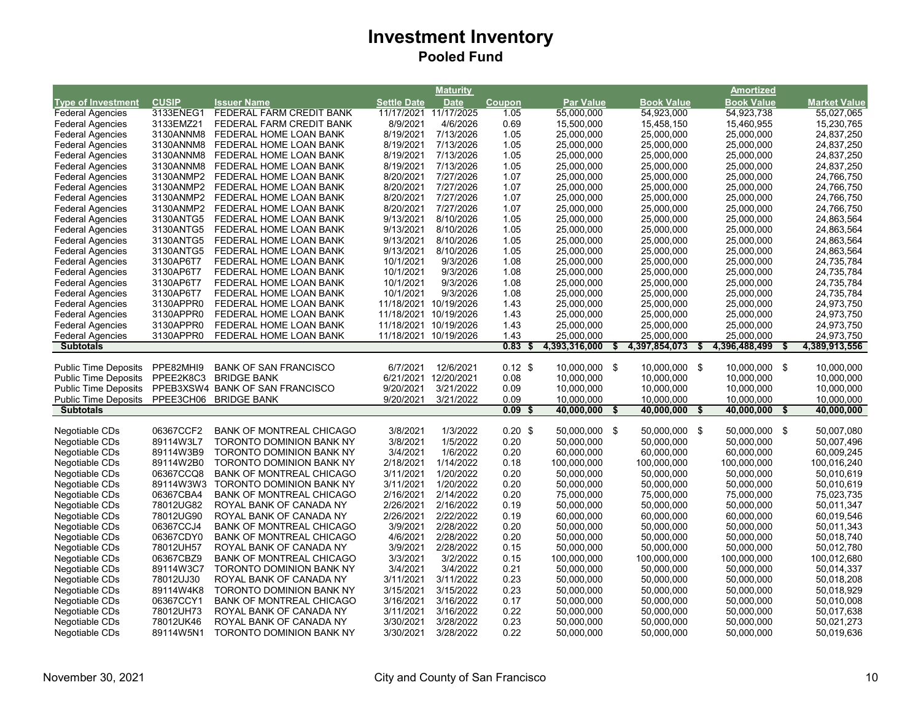|                             |              |                                 |                    | <b>Maturity</b>       |               |                  |                     | <b>Amortized</b>    |                     |
|-----------------------------|--------------|---------------------------------|--------------------|-----------------------|---------------|------------------|---------------------|---------------------|---------------------|
| <b>Type of Investment</b>   | <b>CUSIP</b> | <b>Issuer Name</b>              | <b>Settle Date</b> | <b>Date</b>           | <b>Coupon</b> | <b>Par Value</b> | <b>Book Value</b>   | <b>Book Value</b>   | <b>Market Value</b> |
| <b>Federal Agencies</b>     | 3133ENEG1    | FEDERAL FARM CREDIT BANK        | 11/17/2021         | 11/17/2025            | 1.05          | 55,000,000       | 54,923,000          | 54,923,738          | 55,027,065          |
| <b>Federal Agencies</b>     | 3133EMZ21    | FEDERAL FARM CREDIT BANK        | 8/9/2021           | 4/6/2026              | 0.69          | 15,500,000       | 15,458,150          | 15,460,955          | 15,230,765          |
| <b>Federal Agencies</b>     | 3130ANNM8    | FEDERAL HOME LOAN BANK          | 8/19/2021          | 7/13/2026             | 1.05          | 25,000,000       | 25,000,000          | 25,000,000          | 24,837,250          |
| <b>Federal Agencies</b>     | 3130ANNM8    | FEDERAL HOME LOAN BANK          | 8/19/2021          | 7/13/2026             | 1.05          | 25,000,000       | 25,000,000          | 25,000,000          | 24,837,250          |
| <b>Federal Agencies</b>     | 3130ANNM8    | FEDERAL HOME LOAN BANK          | 8/19/2021          | 7/13/2026             | 1.05          | 25,000,000       | 25,000,000          | 25,000,000          | 24,837,250          |
| <b>Federal Agencies</b>     | 3130ANNM8    | FEDERAL HOME LOAN BANK          | 8/19/2021          | 7/13/2026             | 1.05          | 25,000,000       | 25,000,000          | 25,000,000          | 24,837,250          |
| <b>Federal Agencies</b>     | 3130ANMP2    | FEDERAL HOME LOAN BANK          | 8/20/2021          | 7/27/2026             | 1.07          | 25,000,000       | 25,000,000          | 25,000,000          | 24,766,750          |
| <b>Federal Agencies</b>     | 3130ANMP2    | FEDERAL HOME LOAN BANK          | 8/20/2021          | 7/27/2026             | 1.07          | 25,000,000       | 25,000,000          | 25,000,000          | 24,766,750          |
| <b>Federal Agencies</b>     | 3130ANMP2    | FEDERAL HOME LOAN BANK          | 8/20/2021          | 7/27/2026             | 1.07          | 25,000,000       | 25,000,000          | 25,000,000          | 24,766,750          |
| <b>Federal Agencies</b>     | 3130ANMP2    | FEDERAL HOME LOAN BANK          | 8/20/2021          | 7/27/2026             | 1.07          | 25,000,000       | 25,000,000          | 25,000,000          | 24,766,750          |
| <b>Federal Agencies</b>     | 3130ANTG5    | FEDERAL HOME LOAN BANK          | 9/13/2021          | 8/10/2026             | 1.05          | 25,000,000       | 25,000,000          | 25,000,000          | 24,863,564          |
| <b>Federal Agencies</b>     | 3130ANTG5    | FEDERAL HOME LOAN BANK          | 9/13/2021          | 8/10/2026             | 1.05          | 25,000,000       | 25,000,000          | 25,000,000          | 24,863,564          |
| <b>Federal Agencies</b>     | 3130ANTG5    | FEDERAL HOME LOAN BANK          | 9/13/2021          | 8/10/2026             | 1.05          | 25,000,000       | 25,000,000          | 25,000,000          | 24,863,564          |
| <b>Federal Agencies</b>     | 3130ANTG5    | FEDERAL HOME LOAN BANK          | 9/13/2021          | 8/10/2026             | 1.05          | 25,000,000       | 25,000,000          | 25,000,000          | 24,863,564          |
| <b>Federal Agencies</b>     | 3130AP6T7    | FEDERAL HOME LOAN BANK          | 10/1/2021          | 9/3/2026              | 1.08          | 25,000,000       | 25,000,000          | 25,000,000          | 24,735,784          |
| <b>Federal Agencies</b>     | 3130AP6T7    | FEDERAL HOME LOAN BANK          | 10/1/2021          | 9/3/2026              | 1.08          | 25,000,000       | 25,000,000          | 25,000,000          | 24,735,784          |
| <b>Federal Agencies</b>     | 3130AP6T7    | FEDERAL HOME LOAN BANK          | 10/1/2021          | 9/3/2026              | 1.08          | 25,000,000       | 25,000,000          | 25,000,000          | 24,735,784          |
| <b>Federal Agencies</b>     | 3130AP6T7    | FEDERAL HOME LOAN BANK          | 10/1/2021          | 9/3/2026              | 1.08          | 25,000,000       | 25,000,000          | 25,000,000          | 24,735,784          |
| <b>Federal Agencies</b>     | 3130APPR0    | FEDERAL HOME LOAN BANK          | 11/18/2021         | 10/19/2026            | 1.43          | 25,000,000       | 25,000,000          | 25,000,000          | 24,973,750          |
| <b>Federal Agencies</b>     | 3130APPR0    | FEDERAL HOME LOAN BANK          |                    | 11/18/2021 10/19/2026 | 1.43          | 25,000,000       | 25,000,000          | 25,000,000          | 24,973,750          |
| <b>Federal Agencies</b>     | 3130APPR0    | FEDERAL HOME LOAN BANK          |                    | 11/18/2021 10/19/2026 | 1.43          | 25,000,000       | 25,000,000          | 25,000,000          | 24,973,750          |
| <b>Federal Agencies</b>     | 3130APPR0    |                                 |                    | 11/18/2021 10/19/2026 | 1.43          | 25,000,000       | 25,000,000          | 25,000,000          | 24,973,750          |
| <b>Subtotals</b>            |              | FEDERAL HOME LOAN BANK          |                    |                       | 0.83<br>S     | 4,393,316,000    | 4,397,854,073<br>S. | 4,396,488,499<br>\$ | 4,389,913,556<br>S. |
|                             |              |                                 |                    |                       |               |                  |                     |                     |                     |
| Public Time Deposits        | PPE82MHI9    | <b>BANK OF SAN FRANCISCO</b>    | 6/7/2021           | 12/6/2021             | $0.12$ \$     | 10,000,000 \$    | 10,000,000 \$       | 10,000,000 \$       | 10,000,000          |
| <b>Public Time Deposits</b> | PPEE2K8C3    | <b>BRIDGE BANK</b>              | 6/21/2021          | 12/20/2021            | 0.08          | 10,000,000       | 10,000,000          | 10,000,000          | 10,000,000          |
| <b>Public Time Deposits</b> |              | PPEB3XSW4 BANK OF SAN FRANCISCO | 9/20/2021          | 3/21/2022             | 0.09          | 10,000,000       | 10,000,000          | 10,000,000          | 10,000,000          |
| Public Time Deposits        | PPEE3CH06    | <b>BRIDGE BANK</b>              | 9/20/2021          | 3/21/2022             | 0.09          | 10,000,000       | 10,000,000          | 10,000,000          | 10,000,000          |
| <b>Subtotals</b>            |              |                                 |                    |                       | 0.09<br>-\$   | 40,000,000       | 40,000,000          | 40,000,000<br>- \$  | 40,000,000<br>\$    |
|                             |              |                                 |                    |                       |               |                  |                     |                     |                     |
| Negotiable CDs              | 06367CCF2    | <b>BANK OF MONTREAL CHICAGO</b> | 3/8/2021           | 1/3/2022              | 0.20~\$       | 50,000,000 \$    | 50,000,000 \$       | 50,000,000 \$       | 50,007,080          |
| Negotiable CDs              | 89114W3L7    | <b>TORONTO DOMINION BANK NY</b> | 3/8/2021           | 1/5/2022              | 0.20          | 50,000,000       | 50,000,000          | 50,000,000          | 50,007,496          |
| Negotiable CDs              | 89114W3B9    | <b>TORONTO DOMINION BANK NY</b> | 3/4/2021           | 1/6/2022              | 0.20          | 60,000,000       | 60,000,000          | 60,000,000          | 60,009,245          |
| Negotiable CDs              | 89114W2B0    | <b>TORONTO DOMINION BANK NY</b> | 2/18/2021          | 1/14/2022             | 0.18          | 100,000,000      | 100,000,000         | 100,000,000         | 100,016,240         |
| Negotiable CDs              | 06367CCQ8    | <b>BANK OF MONTREAL CHICAGO</b> | 3/11/2021          | 1/20/2022             | 0.20          | 50,000,000       | 50,000,000          | 50,000,000          | 50,010,619          |
| Negotiable CDs              | 89114W3W3    | TORONTO DOMINION BANK NY        | 3/11/2021          | 1/20/2022             | 0.20          | 50,000,000       | 50,000,000          | 50,000,000          | 50,010,619          |
| Negotiable CDs              | 06367CBA4    | <b>BANK OF MONTREAL CHICAGO</b> | 2/16/2021          | 2/14/2022             | 0.20          | 75,000,000       | 75,000,000          | 75,000,000          | 75,023,735          |
| Negotiable CDs              | 78012UG82    | ROYAL BANK OF CANADA NY         | 2/26/2021          | 2/16/2022             | 0.19          | 50,000,000       | 50,000,000          | 50,000,000          | 50,011,347          |
| Negotiable CDs              | 78012UG90    | ROYAL BANK OF CANADA NY         | 2/26/2021          | 2/22/2022             | 0.19          | 60,000,000       | 60,000,000          | 60,000,000          | 60,019,546          |
| Negotiable CDs              | 06367CCJ4    | <b>BANK OF MONTREAL CHICAGO</b> | 3/9/2021           | 2/28/2022             | 0.20          | 50,000,000       | 50,000,000          | 50,000,000          | 50,011,343          |
| Negotiable CDs              | 06367CDY0    | <b>BANK OF MONTREAL CHICAGO</b> | 4/6/2021           | 2/28/2022             | 0.20          | 50,000,000       | 50,000,000          | 50,000,000          | 50,018,740          |
| Negotiable CDs              | 78012UH57    | ROYAL BANK OF CANADA NY         | 3/9/2021           | 2/28/2022             | 0.15          | 50,000,000       | 50,000,000          | 50,000,000          | 50,012,780          |
| Negotiable CDs              | 06367CBZ9    | <b>BANK OF MONTREAL CHICAGO</b> | 3/3/2021           | 3/2/2022              | 0.15          | 100,000,000      | 100,000,000         | 100,000,000         | 100,012,680         |
| Negotiable CDs              | 89114W3C7    | TORONTO DOMINION BANK NY        | 3/4/2021           | 3/4/2022              | 0.21          | 50,000,000       | 50,000,000          | 50,000,000          | 50,014,337          |
| Negotiable CDs              | 78012UJ30    | ROYAL BANK OF CANADA NY         | 3/11/2021          | 3/11/2022             | 0.23          | 50,000,000       | 50,000,000          | 50,000,000          | 50,018,208          |
| Negotiable CDs              | 89114W4K8    | <b>TORONTO DOMINION BANK NY</b> | 3/15/2021          | 3/15/2022             | 0.23          | 50,000,000       | 50,000,000          | 50,000,000          | 50,018,929          |
| Negotiable CDs              | 06367CCY1    | <b>BANK OF MONTREAL CHICAGO</b> | 3/16/2021          | 3/16/2022             | 0.17          | 50,000,000       | 50,000,000          | 50,000,000          | 50,010,008          |
| Negotiable CDs              | 78012UH73    | ROYAL BANK OF CANADA NY         | 3/11/2021          | 3/16/2022             | 0.22          | 50,000,000       | 50,000,000          | 50,000,000          | 50,017,638          |
| Negotiable CDs              | 78012UK46    | ROYAL BANK OF CANADA NY         | 3/30/2021          | 3/28/2022             | 0.23          | 50,000,000       | 50,000,000          | 50,000,000          | 50,021,273          |
| Negotiable CDs              | 89114W5N1    | <b>TORONTO DOMINION BANK NY</b> | 3/30/2021          | 3/28/2022             | 0.22          | 50,000,000       | 50,000,000          | 50,000,000          | 50,019,636          |
|                             |              |                                 |                    |                       |               |                  |                     |                     |                     |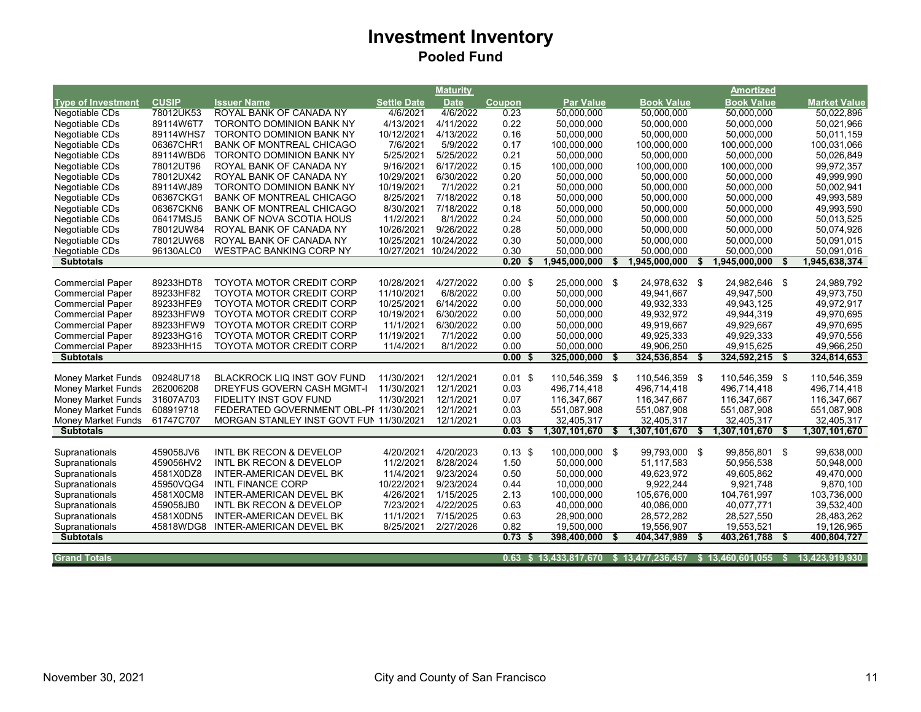|                           |              |                                         |                    | <b>Maturity</b> |               |                                                         |                     |    | <b>Amortized</b>  |    |                     |
|---------------------------|--------------|-----------------------------------------|--------------------|-----------------|---------------|---------------------------------------------------------|---------------------|----|-------------------|----|---------------------|
| <b>Type of Investment</b> | <b>CUSIP</b> | <b>Issuer Name</b>                      | <b>Settle Date</b> | <b>Date</b>     | <b>Coupon</b> | <b>Par Value</b>                                        | <b>Book Value</b>   |    | <b>Book Value</b> |    | <b>Market Value</b> |
| <b>Negotiable CDs</b>     | 78012UK53    | ROYAL BANK OF CANADA NY                 | 4/6/2021           | 4/6/2022        | 0.23          | 50,000,000                                              | 50,000,000          |    | 50,000,000        |    | 50,022,896          |
| Negotiable CDs            | 89114W6T7    | <b>TORONTO DOMINION BANK NY</b>         | 4/13/2021          | 4/11/2022       | 0.22          | 50.000.000                                              | 50.000.000          |    | 50.000.000        |    | 50.021.966          |
| Negotiable CDs            | 89114WHS7    | <b>TORONTO DOMINION BANK NY</b>         | 10/12/2021         | 4/13/2022       | 0.16          | 50,000,000                                              | 50,000,000          |    | 50,000,000        |    | 50,011,159          |
| Negotiable CDs            | 06367CHR1    | <b>BANK OF MONTREAL CHICAGO</b>         | 7/6/2021           | 5/9/2022        | 0.17          | 100,000,000                                             | 100,000,000         |    | 100,000,000       |    | 100,031,066         |
| Negotiable CDs            | 89114WBD6    | TORONTO DOMINION BANK NY                | 5/25/2021          | 5/25/2022       | 0.21          | 50,000,000                                              | 50,000,000          |    | 50,000,000        |    | 50,026,849          |
| Negotiable CDs            | 78012UT96    | ROYAL BANK OF CANADA NY                 | 9/16/2021          | 6/17/2022       | 0.15          | 100,000,000                                             | 100,000,000         |    | 100,000,000       |    | 99,972,357          |
| Negotiable CDs            | 78012UX42    | ROYAL BANK OF CANADA NY                 | 10/29/2021         | 6/30/2022       | 0.20          | 50,000,000                                              | 50,000,000          |    | 50,000,000        |    | 49,999,990          |
| Negotiable CDs            | 89114WJ89    | TORONTO DOMINION BANK NY                | 10/19/2021         | 7/1/2022        | 0.21          | 50,000,000                                              | 50,000,000          |    | 50,000,000        |    | 50,002,941          |
| Negotiable CDs            | 06367CKG1    | <b>BANK OF MONTREAL CHICAGO</b>         | 8/25/2021          | 7/18/2022       | 0.18          | 50,000,000                                              | 50,000,000          |    | 50,000,000        |    | 49,993,589          |
| Negotiable CDs            | 06367CKN6    | <b>BANK OF MONTREAL CHICAGO</b>         | 8/30/2021          | 7/18/2022       | 0.18          | 50,000,000                                              | 50,000,000          |    | 50,000,000        |    | 49,993,590          |
| Negotiable CDs            | 06417MSJ5    | <b>BANK OF NOVA SCOTIA HOUS</b>         | 11/2/2021          | 8/1/2022        | 0.24          | 50,000,000                                              | 50,000,000          |    | 50,000,000        |    | 50,013,525          |
| Negotiable CDs            | 78012UW84    | ROYAL BANK OF CANADA NY                 | 10/26/2021         | 9/26/2022       | 0.28          | 50,000,000                                              | 50,000,000          |    | 50,000,000        |    | 50,074,926          |
| Negotiable CDs            | 78012UW68    | ROYAL BANK OF CANADA NY                 | 10/25/2021         | 10/24/2022      | 0.30          | 50,000,000                                              | 50,000,000          |    | 50,000,000        |    | 50,091,015          |
| Negotiable CDs            | 96130ALC0    | <b>WESTPAC BANKING CORP NY</b>          | 10/27/2021         | 10/24/2022      | 0.30          | 50,000,000                                              | 50,000,000          |    | 50,000,000        |    | 50,091,016          |
| <b>Subtotals</b>          |              |                                         |                    |                 | 0.20          | ,945,000,000                                            | 1,945,000,000       |    | 1,945,000,000     |    | 1,945,638,374       |
|                           |              |                                         |                    |                 |               |                                                         |                     |    |                   |    |                     |
| <b>Commercial Paper</b>   | 89233HDT8    | <b>TOYOTA MOTOR CREDIT CORP</b>         | 10/28/2021         | 4/27/2022       | $0.00$ \$     | 25,000,000 \$                                           | 24,978,632 \$       |    | 24,982,646 \$     |    | 24,989,792          |
| <b>Commercial Paper</b>   | 89233HF82    | <b>TOYOTA MOTOR CREDIT CORP</b>         | 11/10/2021         | 6/8/2022        | 0.00          | 50,000,000                                              | 49,941,667          |    | 49,947,500        |    | 49,973,750          |
| <b>Commercial Paper</b>   | 89233HFE9    | <b>TOYOTA MOTOR CREDIT CORP</b>         | 10/25/2021         | 6/14/2022       | 0.00          | 50,000,000                                              | 49,932,333          |    | 49,943,125        |    | 49,972,917          |
| <b>Commercial Paper</b>   | 89233HFW9    | <b>TOYOTA MOTOR CREDIT CORP</b>         | 10/19/2021         | 6/30/2022       | 0.00          | 50,000,000                                              | 49,932,972          |    | 49,944,319        |    | 49,970,695          |
| <b>Commercial Paper</b>   | 89233HFW9    | <b>TOYOTA MOTOR CREDIT CORP</b>         | 11/1/2021          | 6/30/2022       | 0.00          | 50,000,000                                              | 49,919,667          |    | 49,929,667        |    | 49,970,695          |
| <b>Commercial Paper</b>   | 89233HG16    | TOYOTA MOTOR CREDIT CORP                | 11/19/2021         | 7/1/2022        | 0.00          | 50,000,000                                              | 49,925,333          |    | 49,929,333        |    | 49,970,556          |
| <b>Commercial Paper</b>   | 89233HH15    | <b>TOYOTA MOTOR CREDIT CORP</b>         | 11/4/2021          | 8/1/2022        | 0.00          | 50,000,000                                              | 49,906,250          |    | 49,915,625        |    | 49,966,250          |
| <b>Subtotals</b>          |              |                                         |                    |                 | 0.00<br>- S   | 325,000,000                                             | 324,536,854         | Ŝ. | 324,592,215       | \$ | 324,814,653         |
|                           |              |                                         |                    |                 |               |                                                         |                     |    |                   |    |                     |
| Money Market Funds        | 09248U718    | <b>BLACKROCK LIQ INST GOV FUND</b>      | 11/30/2021         | 12/1/2021       | $0.01$ \$     | 110,546,359 \$                                          | 110,546,359 \$      |    | 110,546,359 \$    |    | 110,546,359         |
| <b>Money Market Funds</b> | 262006208    | <b>DREYFUS GOVERN CASH MGMT-I</b>       | 11/30/2021         | 12/1/2021       | 0.03          | 496,714,418                                             | 496,714,418         |    | 496,714,418       |    | 496,714,418         |
| Money Market Funds        | 31607A703    | FIDELITY INST GOV FUND                  | 11/30/2021         | 12/1/2021       | 0.07          | 116,347,667                                             | 116,347,667         |    | 116,347,667       |    | 116,347,667         |
| Money Market Funds        | 608919718    | FEDERATED GOVERNMENT OBL-PI 11/30/2021  |                    | 12/1/2021       | 0.03          | 551,087,908                                             | 551,087,908         |    | 551,087,908       |    | 551,087,908         |
| <b>Money Market Funds</b> | 61747C707    | MORGAN STANLEY INST GOVT FUN 11/30/2021 |                    | 12/1/2021       | 0.03          | 32,405,317                                              | 32,405,317          |    | 32,405,317        |    | 32,405,317          |
| <b>Subtotals</b>          |              |                                         |                    |                 | 0.03          | 1,307,101,670                                           | \$<br>1,307,101,670 | Ŝ. | 1,307,101,670     | \$ | 1,307,101,670       |
|                           |              |                                         |                    |                 |               |                                                         |                     |    |                   |    |                     |
| Supranationals            | 459058JV6    | INTL BK RECON & DEVELOP                 | 4/20/2021          | 4/20/2023       | $0.13$ \$     | 100,000,000 \$                                          | 99,793,000 \$       |    | 99,856,801 \$     |    | 99,638,000          |
| Supranationals            | 459056HV2    | <b>INTL BK RECON &amp; DEVELOP</b>      | 11/2/2021          | 8/28/2024       | 1.50          | 50,000,000                                              | 51,117,583          |    | 50,956,538        |    | 50,948,000          |
| Supranationals            | 4581X0DZ8    | INTER-AMERICAN DEVEL BK                 | 11/4/2021          | 9/23/2024       | 0.50          | 50,000,000                                              | 49,623,972          |    | 49,605,862        |    | 49,470,000          |
| Supranationals            | 45950VQG4    | <b>INTL FINANCE CORP</b>                | 10/22/2021         | 9/23/2024       | 0.44          | 10,000,000                                              | 9,922,244           |    | 9,921,748         |    | 9,870,100           |
| Supranationals            | 4581X0CM8    | <b>INTER-AMERICAN DEVEL BK</b>          | 4/26/2021          | 1/15/2025       | 2.13          | 100,000,000                                             | 105,676,000         |    | 104,761,997       |    | 103,736,000         |
| Supranationals            | 459058JB0    | INTL BK RECON & DEVELOP                 | 7/23/2021          | 4/22/2025       | 0.63          | 40,000,000                                              | 40,086,000          |    | 40.077.771        |    | 39,532,400          |
| Supranationals            | 4581X0DN5    | INTER-AMERICAN DEVEL BK                 | 11/1/2021          | 7/15/2025       | 0.63          | 28,900,000                                              | 28,572,282          |    | 28,527,550        |    | 28,483,262          |
| Supranationals            | 45818WDG8    | INTER-AMERICAN DEVEL BK                 | 8/25/2021          | 2/27/2026       | 0.82          | 19,500,000                                              | 19,556,907          |    | 19,553,521        |    | 19,126,965          |
| <b>Subtotals</b>          |              |                                         |                    |                 | 0.73<br>- \$  | 398,400,000                                             | 404,347,989         | S  | 403,261,788       | \$ | 400,804,727         |
|                           |              |                                         |                    |                 |               |                                                         |                     |    |                   |    |                     |
| <b>Grand Totals</b>       |              |                                         |                    |                 |               | 0.63 \$13,433,817,670 \$13,477,236,457 \$13,460,601,055 |                     |    |                   | -S | 13,423,919,930      |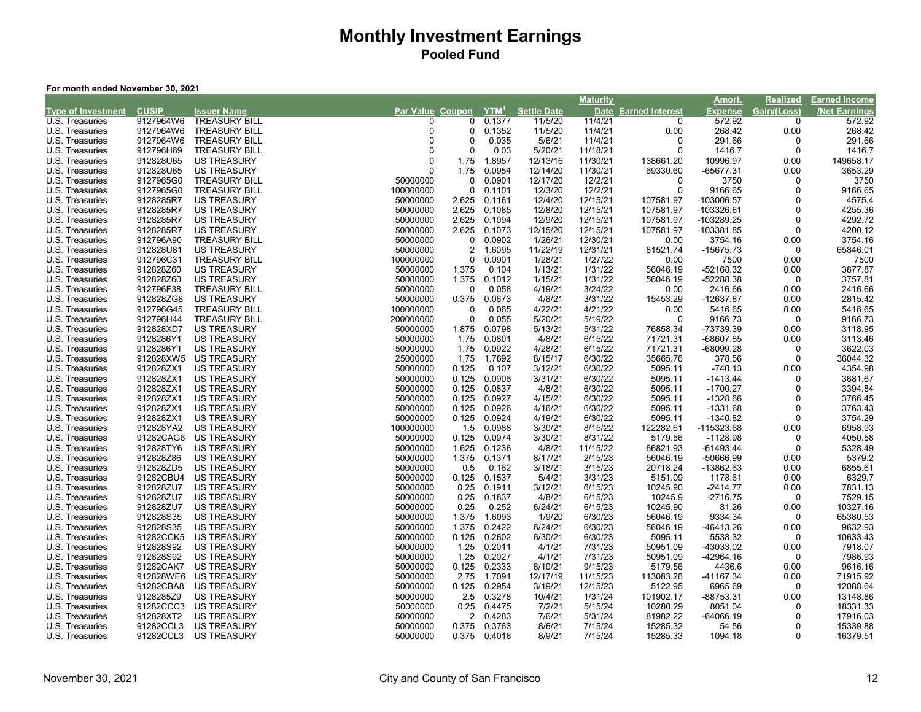#### **For month ended November 30, 2021**

|                           |              |                      |                  |          |                  |                    | <b>Maturity</b> |                        | Amort.         | <b>Realized</b> | <b>Earned Income</b> |
|---------------------------|--------------|----------------------|------------------|----------|------------------|--------------------|-----------------|------------------------|----------------|-----------------|----------------------|
| <b>Type of Investment</b> | <b>CUSIP</b> | <b>Issuer Name</b>   | Par Value Coupon |          | YTM <sup>1</sup> | <b>Settle Date</b> | <b>Date</b>     | <b>Earned Interest</b> | <b>Expense</b> | Gain/(Loss)     | <b>Net Earnings</b>  |
| U.S. Treasuries           | 9127964W6    | <b>TREASURY BILL</b> | ∩                | 0        | 0.1377           | 11/5/20            | 11/4/21         | 0                      | 572.92         | $\Omega$        | 572.92               |
| U.S. Treasuries           | 9127964W6    | <b>TREASURY BILL</b> | $\Omega$         | 0        | 0.1352           | 11/5/20            | 11/4/21         | 0.00                   | 268.42         | 0.00            | 268.42               |
| U.S. Treasuries           | 9127964W6    | <b>TREASURY BILL</b> | <sup>0</sup>     | $\Omega$ | 0.035            | 5/6/21             | 11/4/21         | 0                      | 291.66         | $\Omega$        | 291.66               |
| U.S. Treasuries           | 912796H69    | <b>TREASURY BILL</b> | $\Omega$         | 0        | 0.03             | 5/20/21            | 11/18/21        | 0                      | 1416.7         | $\Omega$        | 1416.7               |
| U.S. Treasuries           | 912828U65    | <b>US TREASURY</b>   | $\Omega$         | 1.75     | 1.8957           | 12/13/16           | 11/30/21        | 138661.20              | 10996.97       | 0.00            | 149658.17            |
| U.S. Treasuries           | 912828U65    | <b>US TREASURY</b>   | $\Omega$         | 1.75     | 0.0954           | 12/14/20           | 11/30/21        | 69330.60               | -65677.31      | 0.00            | 3653.29              |
| U.S. Treasuries           | 9127965G0    | <b>TREASURY BILL</b> | 50000000         | 0        | 0.0901           | 12/17/20           | 12/2/21         | 0                      | 3750           | $\Omega$        | 3750                 |
| U.S. Treasuries           | 9127965G0    | <b>TREASURY BILL</b> | 100000000        | 0        | 0.1101           | 12/3/20            | 12/2/21         | $\mathbf 0$            | 9166.65        | $\Omega$        | 9166.65              |
| U.S. Treasuries           | 9128285R7    | <b>US TREASURY</b>   | 50000000         | 2.625    | 0.1161           | 12/4/20            | 12/15/21        | 107581.97              | -103006.57     | $\Omega$        | 4575.4               |
| U.S. Treasuries           | 9128285R7    | <b>US TREASURY</b>   | 50000000         | 2.625    | 0.1085           | 12/8/20            | 12/15/21        | 107581.97              | -103326.61     | $\Omega$        | 4255.36              |
| U.S. Treasuries           | 9128285R7    | <b>US TREASURY</b>   | 50000000         | 2.625    | 0.1094           | 12/9/20            | 12/15/21        | 107581.97              | -103289.25     | $\Omega$        | 4292.72              |
| U.S. Treasuries           | 9128285R7    | <b>US TREASURY</b>   | 50000000         | 2.625    | 0.1073           | 12/15/20           | 12/15/21        | 107581.97              | -103381.85     | 0               | 4200.12              |
| U.S. Treasuries           | 912796A90    | <b>TREASURY BILL</b> | 50000000         | 0        | 0.0902           | 1/26/21            | 12/30/21        | 0.00                   | 3754.16        | 0.00            | 3754.16              |
| U.S. Treasuries           | 912828U81    | <b>US TREASURY</b>   | 50000000         | 2        | 1.6095           | 11/22/19           | 12/31/21        | 81521.74               | -15675.73      | 0               | 65846.01             |
| U.S. Treasuries           | 912796C31    | <b>TREASURY BILL</b> | 100000000        | 0        | 0.0901           | 1/28/21            | 1/27/22         | 0.00                   | 7500           | 0.00            | 7500                 |
| U.S. Treasuries           | 912828Z60    | <b>US TREASURY</b>   | 50000000         | 1.375    | 0.104            | 1/13/21            | 1/31/22         | 56046.19               | $-52168.32$    | 0.00            | 3877.87              |
| U.S. Treasuries           | 912828Z60    | <b>US TREASURY</b>   | 50000000         | 1.375    | 0.1012           | 1/15/21            | 1/31/22         | 56046.19               | $-52288.38$    | $\Omega$        | 3757.81              |
| U.S. Treasuries           | 912796F38    | <b>TREASURY BILL</b> | 50000000         | 0        | 0.058            | 4/19/21            | 3/24/22         | 0.00                   | 2416.66        | 0.00            | 2416.66              |
| U.S. Treasuries           | 912828ZG8    | <b>US TREASURY</b>   | 50000000         | 0.375    | 0.0673           | 4/8/21             | 3/31/22         | 15453.29               | -12637.87      | 0.00            | 2815.42              |
| U.S. Treasuries           | 912796G45    | <b>TREASURY BILL</b> | 100000000        | 0        | 0.065            | 4/22/21            | 4/21/22         | 0.00                   | 5416.65        | 0.00            | 5416.65              |
| U.S. Treasuries           | 912796H44    | <b>TREASURY BILL</b> | 200000000        | 0        | 0.055            | 5/20/21            | 5/19/22         | 0                      | 9166.73        | 0               | 9166.73              |
| U.S. Treasuries           | 912828XD7    | <b>US TREASURY</b>   | 50000000         | 1.875    | 0.0798           | 5/13/21            | 5/31/22         | 76858.34               | -73739.39      | 0.00            | 3118.95              |
| U.S. Treasuries           | 9128286Y1    | <b>US TREASURY</b>   | 50000000         | 1.75     | 0.0801           | 4/8/21             | 6/15/22         | 71721.31               | $-68607.85$    | 0.00            | 3113.46              |
| U.S. Treasuries           | 9128286Y1    | <b>US TREASURY</b>   | 50000000         | 1.75     | 0.0922           | 4/28/21            | 6/15/22         | 71721.31               | $-68099.28$    | $\mathbf 0$     | 3622.03              |
| U.S. Treasuries           | 912828XW5    | <b>US TREASURY</b>   | 25000000         | 1.75     | 1.7692           | 8/15/17            | 6/30/22         | 35665.76               | 378.56         | $\Omega$        | 36044.32             |
| U.S. Treasuries           | 912828ZX1    | <b>US TREASURY</b>   | 50000000         | 0.125    | 0.107            | 3/12/21            | 6/30/22         | 5095.11                | $-740.13$      | 0.00            | 4354.98              |
| U.S. Treasuries           | 912828ZX1    | <b>US TREASURY</b>   | 50000000         | 0.125    | 0.0906           | 3/31/21            | 6/30/22         | 5095.11                | $-1413.44$     | 0               | 3681.67              |
| U.S. Treasuries           | 912828ZX1    | <b>US TREASURY</b>   | 50000000         | 0.125    | 0.0837           | 4/8/21             | 6/30/22         | 5095.11                | -1700.27       | $\Omega$        | 3394.84              |
| U.S. Treasuries           | 912828ZX1    | <b>US TREASURY</b>   | 50000000         | 0.125    | 0.0927           | 4/15/21            | 6/30/22         | 5095.11                | -1328.66       | $\Omega$        | 3766.45              |
| U.S. Treasuries           | 912828ZX1    | <b>US TREASURY</b>   | 50000000         | 0.125    | 0.0926           | 4/16/21            | 6/30/22         | 5095.11                | $-1331.68$     | $\Omega$        | 3763.43              |
| U.S. Treasuries           | 912828ZX1    | <b>US TREASURY</b>   | 50000000         | 0.125    | 0.0924           | 4/19/21            | 6/30/22         | 5095.11                | $-1340.82$     | $\Omega$        | 3754.29              |
| U.S. Treasuries           | 912828YA2    | <b>US TREASURY</b>   | 100000000        | 1.5      | 0.0988           | 3/30/21            | 8/15/22         | 122282.61              | -115323.68     | 0.00            | 6958.93              |
| U.S. Treasuries           | 91282CAG6    | <b>US TREASURY</b>   | 50000000         | 0.125    | 0.0974           | 3/30/21            | 8/31/22         | 5179.56                | $-1128.98$     | $\Omega$        | 4050.58              |
| U.S. Treasuries           | 912828TY6    | <b>US TREASURY</b>   | 50000000         | 1.625    | 0.1236           | 4/8/21             | 11/15/22        | 66821.93               | $-61493.44$    | $\Omega$        | 5328.49              |
| U.S. Treasuries           | 912828Z86    | <b>US TREASURY</b>   | 50000000         | 1.375    | 0.1371           | 8/17/21            | 2/15/23         | 56046.19               | -50666.99      | 0.00            | 5379.2               |
| U.S. Treasuries           | 912828ZD5    | <b>US TREASURY</b>   | 50000000         | 0.5      | 0.162            | 3/18/21            | 3/15/23         | 20718.24               | -13862.63      | 0.00            | 6855.61              |
| U.S. Treasuries           | 91282CBU4    | <b>US TREASURY</b>   | 50000000         | 0.125    | 0.1537           | 5/4/21             | 3/31/23         | 5151.09                | 1178.61        | 0.00            | 6329.7               |
| U.S. Treasuries           | 912828ZU7    | <b>US TREASURY</b>   | 50000000         | 0.25     | 0.1911           | 3/12/21            | 6/15/23         | 10245.90               | $-2414.77$     | 0.00            | 7831.13              |
| U.S. Treasuries           | 912828ZU7    | <b>US TREASURY</b>   | 50000000         | 0.25     | 0.1837           | 4/8/21             | 6/15/23         | 10245.9                | $-2716.75$     | $\Omega$        | 7529.15              |
| U.S. Treasuries           | 912828ZU7    | <b>US TREASURY</b>   | 50000000         | 0.25     | 0.252            | 6/24/21            | 6/15/23         | 10245.90               | 81.26          | 0.00            | 10327.16             |
| U.S. Treasuries           | 912828S35    | <b>US TREASURY</b>   | 50000000         | 1.375    | 1.6093           | 1/9/20             | 6/30/23         | 56046.19               | 9334.34        | $\Omega$        | 65380.53             |
| U.S. Treasuries           | 912828S35    | <b>US TREASURY</b>   | 50000000         | 1.375    | 0.2422           | 6/24/21            | 6/30/23         | 56046.19               | -46413.26      | 0.00            | 9632.93              |
| U.S. Treasuries           | 91282CCK5    | <b>US TREASURY</b>   | 50000000         | 0.125    | 0.2602           | 6/30/21            | 6/30/23         | 5095.11                | 5538.32        | 0               | 10633.43             |
| U.S. Treasuries           | 912828S92    | <b>US TREASURY</b>   | 50000000         | 1.25     | 0.2011           | 4/1/21             | 7/31/23         | 50951.09               | -43033.02      | 0.00            | 7918.07              |
| U.S. Treasuries           | 912828S92    | <b>US TREASURY</b>   | 50000000         | 1.25     | 0.2027           | 4/1/21             | 7/31/23         | 50951.09               | $-42964.16$    | $\Omega$        | 7986.93              |
| U.S. Treasuries           | 91282CAK7    | <b>US TREASURY</b>   | 50000000         | 0.125    | 0.2333           | 8/10/21            | 9/15/23         | 5179.56                | 4436.6         | 0.00            | 9616.16              |
| U.S. Treasuries           | 912828WE6    | <b>US TREASURY</b>   | 50000000         | 2.75     | 1.7091           | 12/17/19           | 11/15/23        | 113083.26              | -41167.34      | 0.00            | 71915.92             |
| U.S. Treasuries           | 91282CBA8    | <b>US TREASURY</b>   | 50000000         | 0.125    | 0.2954           | 3/19/21            | 12/15/23        | 5122.95                | 6965.69        | $\Omega$        | 12088.64             |
| U.S. Treasuries           | 9128285Z9    | <b>US TREASURY</b>   | 50000000         | 2.5      | 0.3278           | 10/4/21            | 1/31/24         | 101902.17              | -88753.31      | 0.00            | 13148.86             |
| U.S. Treasuries           | 91282CCC3    | <b>US TREASURY</b>   | 50000000         | 0.25     | 0.4475           | 7/2/21             | 5/15/24         | 10280.29               | 8051.04        | $\Omega$        | 18331.33             |
| U.S. Treasuries           | 912828XT2    | <b>US TREASURY</b>   | 50000000         | 2        | 0.4283           | 7/6/21             | 5/31/24         | 81982.22               | -64066.19      | 0               | 17916.03             |
| U.S. Treasuries           | 91282CCL3    | <b>US TREASURY</b>   | 50000000         | 0.375    | 0.3763           | 8/6/21             | 7/15/24         | 15285.32               | 54.56          | $\Omega$        | 15339.88             |
| U.S. Treasuries           | 91282CCL3    | <b>US TREASURY</b>   | 50000000         |          | 0.375 0.4018     | 8/9/21             | 7/15/24         | 15285.33               | 1094.18        | $\Omega$        | 16379.51             |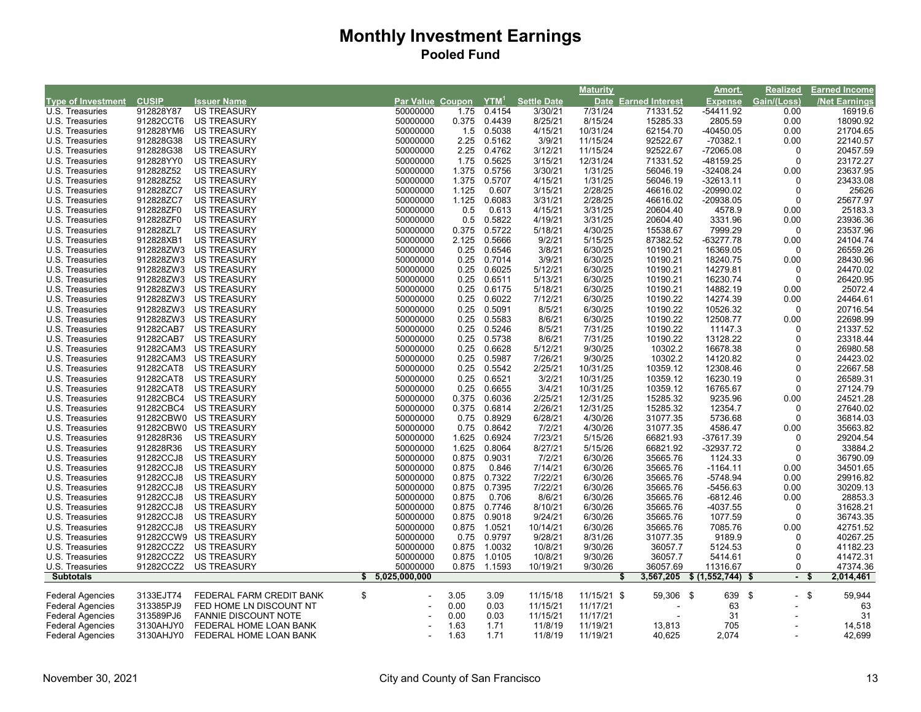|                           |              |                          |                                   |       |        |                    | <b>Maturity</b> |                        | Amort.         | <b>Realized</b> | <b>Earned Income</b> |
|---------------------------|--------------|--------------------------|-----------------------------------|-------|--------|--------------------|-----------------|------------------------|----------------|-----------------|----------------------|
| <b>Type of Investment</b> | <b>CUSIP</b> | <b>Issuer Name</b>       | Par Value Coupon YTM <sup>1</sup> |       |        | <b>Settle Date</b> | <b>Date</b>     | <b>Earned Interest</b> | <b>Expense</b> | Gain/(Loss)     | <b>Net Earnings</b>  |
| U.S. Treasuries           | 912828Y87    | US TREASURY              | 50000000                          | 1.75  | 0.4154 | 3/30/21            | 7/31/24         | 71331.52               | $-54411.92$    | 0.00            | 16919.6              |
| U.S. Treasuries           | 91282CCT6    | <b>US TREASURY</b>       | 50000000                          | 0.375 | 0.4439 | 8/25/21            | 8/15/24         | 15285.33               | 2805.59        | 0.00            | 18090.92             |
| U.S. Treasuries           | 912828YM6    | <b>US TREASURY</b>       | 50000000                          | 1.5   | 0.5038 | 4/15/21            | 10/31/24        | 62154.70               | -40450.05      | 0.00            | 21704.65             |
| U.S. Treasuries           | 912828G38    | <b>US TREASURY</b>       | 50000000                          | 2.25  | 0.5162 | 3/9/21             | 11/15/24        | 92522.67               | $-70382.1$     | 0.00            | 22140.57             |
| U.S. Treasuries           | 912828G38    | US TREASURY              | 50000000                          | 2.25  | 0.4762 | 3/12/21            | 11/15/24        | 92522.67               | -72065.08      | $\mathbf 0$     | 20457.59             |
| U.S. Treasuries           | 912828YY0    | <b>US TREASURY</b>       | 50000000                          | 1.75  | 0.5625 | 3/15/21            | 12/31/24        | 71331.52               | -48159.25      | $\mathbf 0$     | 23172.27             |
| U.S. Treasuries           | 912828Z52    | <b>US TREASURY</b>       | 50000000                          | 1.375 | 0.5756 | 3/30/21            | 1/31/25         | 56046.19               | $-32408.24$    | 0.00            | 23637.95             |
| U.S. Treasuries           | 912828Z52    | <b>US TREASURY</b>       | 50000000                          | 1.375 | 0.5707 | 4/15/21            | 1/31/25         | 56046.19               | $-32613.11$    | $\mathbf 0$     | 23433.08             |
| U.S. Treasuries           | 912828ZC7    | <b>US TREASURY</b>       | 50000000                          | 1.125 | 0.607  | 3/15/21            | 2/28/25         | 46616.02               | $-20990.02$    | $\Omega$        | 25626                |
| U.S. Treasuries           | 912828ZC7    | <b>US TREASURY</b>       | 50000000                          | 1.125 | 0.6083 | 3/31/21            | 2/28/25         | 46616.02               | -20938.05      | $\mathbf 0$     | 25677.97             |
| U.S. Treasuries           | 912828ZF0    | <b>US TREASURY</b>       | 50000000                          | 0.5   | 0.613  | 4/15/21            | 3/31/25         | 20604.40               | 4578.9         | 0.00            | 25183.3              |
| U.S. Treasuries           | 912828ZF0    | US TREASURY              | 50000000                          | 0.5   | 0.5822 | 4/19/21            | 3/31/25         | 20604.40               | 3331.96        | 0.00            | 23936.36             |
| U.S. Treasuries           | 912828ZL7    | <b>US TREASURY</b>       | 50000000                          | 0.375 | 0.5722 | 5/18/21            | 4/30/25         | 15538.67               | 7999.29        | $\Omega$        | 23537.96             |
| U.S. Treasuries           | 912828XB1    | US TREASURY              | 50000000                          | 2.125 | 0.5666 | 9/2/21             | 5/15/25         | 87382.52               | -63277.78      | 0.00            | 24104.74             |
| U.S. Treasuries           | 912828ZW3    | US TREASURY              | 50000000                          | 0.25  | 0.6546 | 3/8/21             | 6/30/25         | 10190.21               | 16369.05       | $\Omega$        | 26559.26             |
| U.S. Treasuries           | 912828ZW3    | <b>US TREASURY</b>       | 50000000                          | 0.25  | 0.7014 | 3/9/21             | 6/30/25         | 10190.21               | 18240.75       | 0.00            | 28430.96             |
| U.S. Treasuries           | 912828ZW3    | <b>US TREASURY</b>       | 50000000                          | 0.25  | 0.6025 | 5/12/21            | 6/30/25         | 10190.21               | 14279.81       | $\Omega$        | 24470.02             |
| U.S. Treasuries           | 912828ZW3    | <b>US TREASURY</b>       | 50000000                          | 0.25  | 0.6511 | 5/13/21            | 6/30/25         | 10190.21               | 16230.74       | $\Omega$        | 26420.95             |
| U.S. Treasuries           | 912828ZW3    | <b>US TREASURY</b>       | 50000000                          | 0.25  | 0.6175 | 5/18/21            | 6/30/25         | 10190.21               | 14882.19       | 0.00            | 25072.4              |
| U.S. Treasuries           | 912828ZW3    | <b>US TREASURY</b>       | 50000000                          | 0.25  | 0.6022 | 7/12/21            | 6/30/25         | 10190.22               | 14274.39       | 0.00            | 24464.61             |
| U.S. Treasuries           | 912828ZW3    | US TREASURY              | 50000000                          | 0.25  | 0.5091 | 8/5/21             | 6/30/25         | 10190.22               | 10526.32       | 0               | 20716.54             |
| U.S. Treasuries           | 912828ZW3    | <b>US TREASURY</b>       | 50000000                          | 0.25  | 0.5583 | 8/6/21             | 6/30/25         | 10190.22               | 12508.77       | 0.00            | 22698.99             |
| U.S. Treasuries           | 91282CAB7    | <b>US TREASURY</b>       | 50000000                          | 0.25  | 0.5246 | 8/5/21             | 7/31/25         | 10190.22               | 11147.3        | 0               | 21337.52             |
| U.S. Treasuries           | 91282CAB7    | <b>US TREASURY</b>       | 50000000                          | 0.25  | 0.5738 | 8/6/21             | 7/31/25         | 10190.22               | 13128.22       | $\Omega$        | 23318.44             |
| U.S. Treasuries           | 91282CAM3    | US TREASURY              | 50000000                          | 0.25  | 0.6628 | 5/12/21            | 9/30/25         | 10302.2                | 16678.38       | $\Omega$        | 26980.58             |
| U.S. Treasuries           | 91282CAM3    | <b>US TREASURY</b>       | 50000000                          | 0.25  | 0.5987 | 7/26/21            | 9/30/25         | 10302.2                | 14120.82       | 0               | 24423.02             |
| U.S. Treasuries           | 91282CAT8    | <b>US TREASURY</b>       | 50000000                          | 0.25  | 0.5542 | 2/25/21            | 10/31/25        | 10359.12               | 12308.46       | $\Omega$        | 22667.58             |
| U.S. Treasuries           | 91282CAT8    | <b>US TREASURY</b>       | 50000000                          | 0.25  | 0.6521 | 3/2/21             | 10/31/25        | 10359.12               | 16230.19       | 0               | 26589.31             |
| U.S. Treasuries           | 91282CAT8    | <b>US TREASURY</b>       | 50000000                          | 0.25  | 0.6655 | 3/4/21             | 10/31/25        | 10359.12               | 16765.67       | $\Omega$        | 27124.79             |
| U.S. Treasuries           | 91282CBC4    | US TREASURY              | 50000000                          | 0.375 | 0.6036 | 2/25/21            | 12/31/25        | 15285.32               | 9235.96        | 0.00            | 24521.28             |
| U.S. Treasuries           | 91282CBC4    | <b>US TREASURY</b>       | 50000000                          | 0.375 | 0.6814 | 2/26/21            | 12/31/25        | 15285.32               | 12354.7        | $\Omega$        | 27640.02             |
| U.S. Treasuries           | 91282CBW0    | <b>US TREASURY</b>       | 50000000                          | 0.75  | 0.8929 | 6/28/21            | 4/30/26         | 31077.35               | 5736.68        | 0               | 36814.03             |
| U.S. Treasuries           |              | 91282CBW0 US TREASURY    | 50000000                          | 0.75  | 0.8642 | 7/2/21             | 4/30/26         | 31077.35               | 4586.47        | 0.00            | 35663.82             |
| U.S. Treasuries           | 912828R36    | <b>US TREASURY</b>       | 50000000                          | 1.625 | 0.6924 | 7/23/21            | 5/15/26         | 66821.93               | -37617.39      | $\Omega$        | 29204.54             |
| U.S. Treasuries           | 912828R36    | <b>US TREASURY</b>       | 50000000                          | 1.625 | 0.8064 | 8/27/21            | 5/15/26         | 66821.92               | -32937.72      | 0               | 33884.2              |
| U.S. Treasuries           | 91282CCJ8    | <b>US TREASURY</b>       | 50000000                          | 0.875 | 0.9031 | 7/2/21             | 6/30/26         | 35665.76               | 1124.33        | $\Omega$        | 36790.09             |
| U.S. Treasuries           | 91282CCJ8    | US TREASURY              | 50000000                          | 0.875 | 0.846  | 7/14/21            | 6/30/26         | 35665.76               | $-1164.11$     | 0.00            | 34501.65             |
| U.S. Treasuries           | 91282CCJ8    | <b>US TREASURY</b>       | 50000000                          | 0.875 | 0.7322 | 7/22/21            | 6/30/26         | 35665.76               | $-5748.94$     | 0.00            | 29916.82             |
| U.S. Treasuries           | 91282CCJ8    | <b>US TREASURY</b>       | 50000000                          | 0.875 | 0.7395 | 7/22/21            | 6/30/26         | 35665.76               | -5456.63       | 0.00            | 30209.13             |
| U.S. Treasuries           | 91282CCJ8    | US TREASURY              | 50000000                          | 0.875 | 0.706  | 8/6/21             | 6/30/26         | 35665.76               | -6812.46       | 0.00            | 28853.3              |
| U.S. Treasuries           | 91282CCJ8    | <b>US TREASURY</b>       | 50000000                          | 0.875 | 0.7746 | 8/10/21            | 6/30/26         | 35665.76               | -4037.55       | $\Omega$        | 31628.21             |
| U.S. Treasuries           | 91282CCJ8    | <b>US TREASURY</b>       | 50000000                          | 0.875 | 0.9018 | 9/24/21            | 6/30/26         | 35665.76               | 1077.59        | $\Omega$        | 36743.35             |
| U.S. Treasuries           | 91282CCJ8    | <b>US TREASURY</b>       | 50000000                          | 0.875 | 1.0521 | 10/14/21           | 6/30/26         | 35665.76               | 7085.76        | 0.00            | 42751.52             |
| U.S. Treasuries           |              | 91282CCW9 US TREASURY    | 50000000                          | 0.75  | 0.9797 | 9/28/21            | 8/31/26         | 31077.35               | 9189.9         | 0               | 40267.25             |
| U.S. Treasuries           | 91282CCZ2    | <b>US TREASURY</b>       | 50000000                          | 0.875 | 1.0032 | 10/8/21            | 9/30/26         | 36057.7                | 5124.53        | $\Omega$        | 41182.23             |
| U.S. Treasuries           | 91282CCZ2    | US TREASURY              | 50000000                          | 0.875 | 1.0105 | 10/8/21            | 9/30/26         | 36057.7                | 5414.61        | $\Omega$        | 41472.31             |
| U.S. Treasuries           | 91282CCZ2    | <b>US TREASURY</b>       | 50000000                          | 0.875 | 1.1593 | 10/19/21           | 9/30/26         | 36057.69               | 11316.67       | 0               | 47374.36             |
| <b>Subtotals</b>          |              |                          | \$5,025,000,000                   |       |        |                    |                 | 3,567,205              | \$ (1,552,744) | $\blacksquare$  | 2,014,461<br>- 5     |
|                           |              |                          |                                   |       |        |                    |                 |                        |                |                 |                      |
| <b>Federal Agencies</b>   | 3133EJT74    | FEDERAL FARM CREDIT BANK | \$                                | 3.05  | 3.09   | 11/15/18           | 11/15/21 \$     | 59,306 \$              | 639            | $-$ \$<br>-\$   | 59,944               |
| <b>Federal Agencies</b>   | 313385PJ9    | FED HOME LN DISCOUNT NT  |                                   | 0.00  | 0.03   | 11/15/21           | 11/17/21        |                        | 63             |                 | 63                   |
| <b>Federal Agencies</b>   | 313589PJ6    | FANNIE DISCOUNT NOTE     |                                   | 0.00  | 0.03   | 11/15/21           | 11/17/21        |                        | 31             |                 | 31                   |
| Federal Agencies          | 3130AHJY0    | FEDERAL HOME LOAN BANK   |                                   | 1.63  | 1.71   | 11/8/19            | 11/19/21        | 13,813                 | 705            |                 | 14,518               |
| <b>Federal Agencies</b>   | 3130AHJY0    | FEDERAL HOME LOAN BANK   |                                   | 1.63  | 1.71   | 11/8/19            | 11/19/21        | 40,625                 | 2,074          |                 | 42,699               |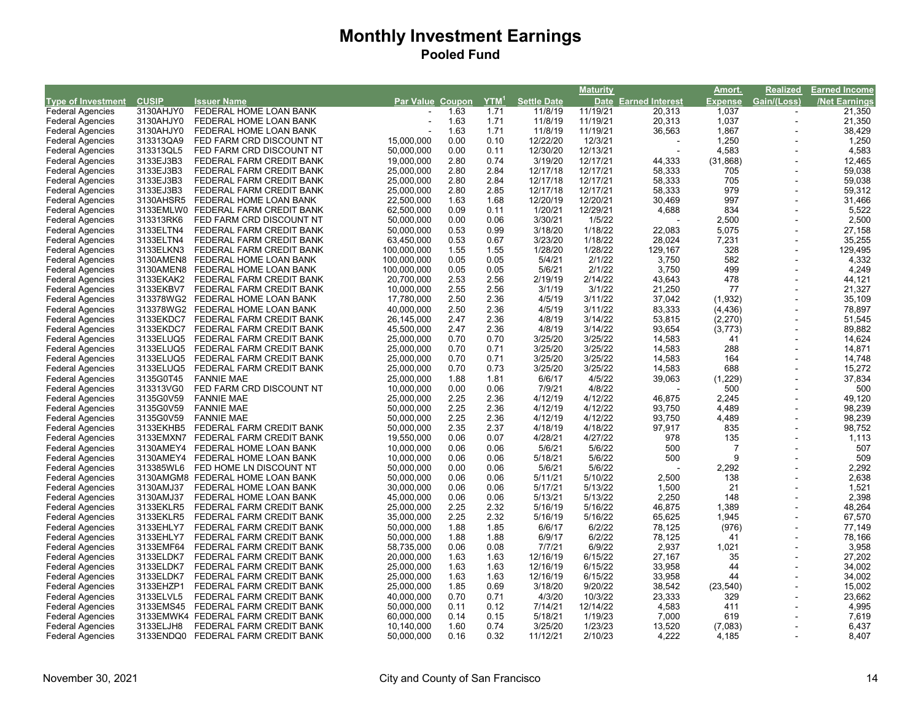| Par Value Coupon<br>Settle Date<br>Date Earned Interest<br><b>Type of Investment</b><br><b>CUSIP</b><br><b>Issuer Name</b><br><b>Expense</b><br>Gain/(Loss)<br><b>Net Earnings</b><br>3130AHJY0<br>FEDERAL HOME LOAN BANK<br>11/8/19<br>1,037<br><b>Federal Agencies</b><br>1.63<br>1.71<br>11/19/21<br>20,313<br>21,350<br>1,037<br>21,350<br>3130AHJY0<br>FEDERAL HOME LOAN BANK<br>1.63<br>1.71<br>11/8/19<br>11/19/21<br>20,313<br><b>Federal Agencies</b><br>$\sim$<br>38,429<br>3130AHJY0<br>1.63<br>1.71<br>11/8/19<br>11/19/21<br>36,563<br>1,867<br><b>Federal Agencies</b><br>FEDERAL HOME LOAN BANK<br>1,250<br>0.00<br>12/22/20<br>12/3/21<br>1,250<br>313313QA9<br>FED FARM CRD DISCOUNT NT<br>15.000.000<br>0.10<br><b>Federal Agencies</b><br>4,583<br>4,583<br>313313QL5<br>12/30/20<br>12/13/21<br>FED FARM CRD DISCOUNT NT<br>50,000,000<br>0.00<br>0.11<br><b>Federal Agencies</b><br>(31, 868)<br>12,465<br><b>Federal Agencies</b><br>3133EJ3B3<br>19,000,000<br>2.80<br>0.74<br>3/19/20<br>12/17/21<br>44,333<br>FEDERAL FARM CREDIT BANK<br>59,038<br>3133EJ3B3<br>2.80<br>2.84<br>12/17/18<br>58,333<br>705<br><b>Federal Agencies</b><br>FEDERAL FARM CREDIT BANK<br>25,000,000<br>12/17/21<br>12/17/18<br>58,333<br>705<br>59,038<br>3133EJ3B3<br>2.80<br>12/17/21<br>Federal Agencies<br>FEDERAL FARM CREDIT BANK<br>25,000,000<br>2.84<br>979<br>59,312<br><b>Federal Agencies</b><br>3133EJ3B3<br>FEDERAL FARM CREDIT BANK<br>25,000,000<br>2.80<br>2.85<br>12/17/18<br>12/17/21<br>58,333<br>997<br>31,466<br>3130AHSR5<br>FEDERAL HOME LOAN BANK<br>1.63<br>1.68<br>12/20/19<br>12/20/21<br>30,469<br><b>Federal Agencies</b><br>22,500,000<br>834<br>5,522<br>0.09<br>1/20/21<br><b>Federal Agencies</b><br>3133EMLW0 FEDERAL FARM CREDIT BANK<br>62,500,000<br>0.11<br>12/29/21<br>4,688<br>2,500<br>2,500<br><b>Federal Agencies</b><br>313313RK6<br>FED FARM CRD DISCOUNT NT<br>50,000,000<br>0.00<br>0.06<br>3/30/21<br>1/5/22<br>0.53<br>1/18/22<br>5,075<br>27,158<br><b>Federal Agencies</b><br>3133ELTN4<br>FEDERAL FARM CREDIT BANK<br>50,000,000<br>0.99<br>3/18/20<br>22,083<br>3/23/20<br>1/18/22<br>7,231<br>35,255<br>3133ELTN4<br>63,450,000<br>0.53<br>28,024<br><b>Federal Agencies</b><br>FEDERAL FARM CREDIT BANK<br>0.67<br>129,495<br>328<br>1.55<br>1/28/20<br>1/28/22<br>129,167<br><b>Federal Agencies</b><br>3133ELKN3<br>FEDERAL FARM CREDIT BANK<br>100,000,000<br>1.55<br>4,332<br>0.05<br>5/4/21<br>2/1/22<br>3,750<br>582<br><b>Federal Agencies</b><br>3130AMEN8<br>FEDERAL HOME LOAN BANK<br>100,000,000<br>0.05<br>4,249<br>5/6/21<br>2/1/22<br>3,750<br>499<br>3130AMEN8<br>FEDERAL HOME LOAN BANK<br>100,000,000<br>0.05<br>0.05<br><b>Federal Agencies</b><br>44,121<br>2.53<br>2.56<br>2/19/19<br>2/14/22<br>478<br><b>Federal Agencies</b><br>3133EKAK2<br>FEDERAL FARM CREDIT BANK<br>20,700,000<br>43,643<br>21,327<br>10,000,000<br>2.55<br>2.56<br>3/1/19<br>3/1/22<br>21,250<br>77<br><b>Federal Agencies</b><br>3133EKBV7<br>FEDERAL FARM CREDIT BANK<br>35,109<br>2.50<br>2.36<br>4/5/19<br>3/11/22<br>37,042<br>(1, 932)<br><b>Federal Agencies</b><br>313378WG2 FEDERAL HOME LOAN BANK<br>17,780,000<br>78,897<br>2.50<br>2.36<br>4/5/19<br>3/11/22<br>83,333<br>(4, 436)<br><b>Federal Agencies</b><br>313378WG2<br>FEDERAL HOME LOAN BANK<br>40,000,000<br>2.47<br>4/8/19<br>3/14/22<br>(2, 270)<br>51,545<br><b>Federal Agencies</b><br>3133EKDC7<br>FEDERAL FARM CREDIT BANK<br>26,145,000<br>2.36<br>53,815<br>89,882<br>45,500,000<br>2.47<br>2.36<br>4/8/19<br>3/14/22<br>93,654<br>(3,773)<br>3133EKDC7<br>FEDERAL FARM CREDIT BANK<br><b>Federal Agencies</b><br>3/25/20<br>3/25/22<br>14,624<br>0.70<br>0.70<br>14,583<br>41<br><b>Federal Agencies</b><br>3133ELUQ5<br>FEDERAL FARM CREDIT BANK<br>25,000,000<br>14,871<br>0.70<br>0.71<br>3/25/20<br>3/25/22<br>14,583<br>288<br><b>Federal Agencies</b><br>3133ELUQ5<br>FEDERAL FARM CREDIT BANK<br>25,000,000<br>3/25/22<br>164<br>14,748<br>3133ELUQ5<br>FEDERAL FARM CREDIT BANK<br>25,000,000<br>0.70<br>0.71<br>3/25/20<br>14,583<br><b>Federal Agencies</b><br>3/25/22<br>688<br>15,272<br>3/25/20<br>14,583<br><b>Federal Agencies</b><br>FEDERAL FARM CREDIT BANK<br>0.70<br>0.73<br>3133ELUQ5<br>25,000,000<br>(1,229)<br>37,834<br>3135G0T45<br><b>FANNIE MAE</b><br>25,000,000<br>1.88<br>6/6/17<br>4/5/22<br>39,063<br><b>Federal Agencies</b><br>1.81<br>500<br>500<br>313313VG0<br>FED FARM CRD DISCOUNT NT<br>10,000,000<br>0.00<br>7/9/21<br>4/8/22<br><b>Federal Agencies</b><br>0.06<br>49,120<br>2.25<br>2.36<br>4/12/19<br>4/12/22<br>46,875<br>2,245<br><b>Federal Agencies</b><br>3135G0V59<br><b>FANNIE MAE</b><br>25,000,000<br>98,239<br>4/12/19<br>4/12/22<br>4,489<br><b>Federal Agencies</b><br>3135G0V59<br><b>FANNIE MAE</b><br>50,000,000<br>2.25<br>2.36<br>93,750<br>98,239<br>2.25<br>4/12/19<br>4/12/22<br>4,489<br>3135G0V59<br><b>FANNIE MAE</b><br>50,000,000<br>2.36<br>93,750<br><b>Federal Agencies</b><br>98,752<br>4/18/19<br>4/18/22<br>835<br><b>Federal Agencies</b><br>3133EKHB5<br>FEDERAL FARM CREDIT BANK<br>2.35<br>2.37<br>97,917<br>50,000,000<br>1,113<br>4/27/22<br>135<br><b>Federal Agencies</b><br>3133EMXN7<br>FEDERAL FARM CREDIT BANK<br>19,550,000<br>0.06<br>0.07<br>4/28/21<br>978<br>5/6/22<br>500<br>507<br><b>Federal Agencies</b><br>3130AMEY4<br>FEDERAL HOME LOAN BANK<br>10,000,000<br>0.06<br>0.06<br>5/6/21<br>$\overline{7}$<br>509<br>5/6/22<br>9<br>5/18/21<br>500<br><b>Federal Agencies</b><br>FEDERAL HOME LOAN BANK<br>10,000,000<br>0.06<br>0.06<br>3130AMEY4<br>2,292<br>2,292<br>FED HOME LN DISCOUNT NT<br>0.00<br>5/6/21<br>5/6/22<br><b>Federal Agencies</b><br>313385WL6<br>50,000,000<br>0.06<br>2,638<br>5/10/22<br>2,500<br>138<br><b>Federal Agencies</b><br>3130AMGM8 FEDERAL HOME LOAN BANK<br>50,000,000<br>0.06<br>0.06<br>5/11/21<br>1,521<br>5/13/22<br>1,500<br>21<br>0.06<br>0.06<br>5/17/21<br><b>Federal Agencies</b><br>3130AMJ37<br>FEDERAL HOME LOAN BANK<br>30,000,000<br>2,398<br>5/13/22<br>2,250<br><b>Federal Agencies</b><br>3130AMJ37<br>FEDERAL HOME LOAN BANK<br>45,000,000<br>0.06<br>0.06<br>5/13/21<br>148<br>48,264<br>2.25<br>2.32<br>5/16/19<br>5/16/22<br>46,875<br>1,389<br><b>Federal Agencies</b><br>3133EKLR5<br>FEDERAL FARM CREDIT BANK<br>25,000,000<br>67,570<br>2.25<br>2.32<br>5/16/22<br>65,625<br>1,945<br><b>Federal Agencies</b><br>3133EKLR5<br>FEDERAL FARM CREDIT BANK<br>35,000,000<br>5/16/19<br>(976)<br>77,149<br>3133EHLY7<br>1.88<br>6/6/17<br>6/2/22<br>78,125<br><b>Federal Agencies</b><br>FEDERAL FARM CREDIT BANK<br>50,000,000<br>1.85<br>78,166<br>3133EHLY7<br>FEDERAL FARM CREDIT BANK<br>50,000,000<br>1.88<br>6/9/17<br>6/2/22<br>78,125<br><b>Federal Agencies</b><br>1.88<br>41<br>6/9/22<br>3,958<br>0.06<br>0.08<br>7/7/21<br>2,937<br>1,021<br><b>Federal Agencies</b><br>3133EMF64<br>FEDERAL FARM CREDIT BANK<br>58,735,000<br>6/15/22<br>35<br>27,202<br><b>Federal Agencies</b><br>3133ELDK7<br>FEDERAL FARM CREDIT BANK<br>20,000,000<br>1.63<br>12/16/19<br>27,167<br>1.63<br>34,002<br>3133ELDK7<br>1.63<br>12/16/19<br>6/15/22<br>33,958<br>44<br><b>Federal Agencies</b><br>FEDERAL FARM CREDIT BANK<br>25,000,000<br>1.63<br>34,002<br>1.63<br>1.63<br>12/16/19<br>6/15/22<br>33,958<br>44<br><b>Federal Agencies</b><br>3133ELDK7<br>FEDERAL FARM CREDIT BANK<br>25,000,000<br>15,002<br>3133EHZP1<br>3/18/20<br>9/20/22<br>(23, 540)<br><b>Federal Agencies</b><br>FEDERAL FARM CREDIT BANK<br>25,000,000<br>1.85<br>0.69<br>38,542<br>23,662<br><b>Federal Agencies</b><br>3133ELVL5<br>FEDERAL FARM CREDIT BANK<br>40,000,000<br>0.70<br>0.71<br>4/3/20<br>10/3/22<br>23,333<br>329<br>4,995<br>12/14/22<br>4,583<br>411<br><b>Federal Agencies</b><br>3133EMS45<br>FEDERAL FARM CREDIT BANK<br>50,000,000<br>0.11<br>0.12<br>7/14/21<br>7,619<br>3133EMWK4 FEDERAL FARM CREDIT BANK<br>0.14<br>5/18/21<br>1/19/23<br>7,000<br>619<br><b>Federal Agencies</b><br>60,000,000<br>0.15<br>6,437<br>Federal Agencies<br>3133ELJH8<br>FEDERAL FARM CREDIT BANK<br>1.60<br>0.74<br>3/25/20<br>1/23/23<br>13,520<br>(7,083)<br>10,140,000<br>0.16 |                         |           |                          |            |                 |          | <b>Maturity</b> |       | Amort. | <b>Realized</b> | Earned Income |
|---------------------------------------------------------------------------------------------------------------------------------------------------------------------------------------------------------------------------------------------------------------------------------------------------------------------------------------------------------------------------------------------------------------------------------------------------------------------------------------------------------------------------------------------------------------------------------------------------------------------------------------------------------------------------------------------------------------------------------------------------------------------------------------------------------------------------------------------------------------------------------------------------------------------------------------------------------------------------------------------------------------------------------------------------------------------------------------------------------------------------------------------------------------------------------------------------------------------------------------------------------------------------------------------------------------------------------------------------------------------------------------------------------------------------------------------------------------------------------------------------------------------------------------------------------------------------------------------------------------------------------------------------------------------------------------------------------------------------------------------------------------------------------------------------------------------------------------------------------------------------------------------------------------------------------------------------------------------------------------------------------------------------------------------------------------------------------------------------------------------------------------------------------------------------------------------------------------------------------------------------------------------------------------------------------------------------------------------------------------------------------------------------------------------------------------------------------------------------------------------------------------------------------------------------------------------------------------------------------------------------------------------------------------------------------------------------------------------------------------------------------------------------------------------------------------------------------------------------------------------------------------------------------------------------------------------------------------------------------------------------------------------------------------------------------------------------------------------------------------------------------------------------------------------------------------------------------------------------------------------------------------------------------------------------------------------------------------------------------------------------------------------------------------------------------------------------------------------------------------------------------------------------------------------------------------------------------------------------------------------------------------------------------------------------------------------------------------------------------------------------------------------------------------------------------------------------------------------------------------------------------------------------------------------------------------------------------------------------------------------------------------------------------------------------------------------------------------------------------------------------------------------------------------------------------------------------------------------------------------------------------------------------------------------------------------------------------------------------------------------------------------------------------------------------------------------------------------------------------------------------------------------------------------------------------------------------------------------------------------------------------------------------------------------------------------------------------------------------------------------------------------------------------------------------------------------------------------------------------------------------------------------------------------------------------------------------------------------------------------------------------------------------------------------------------------------------------------------------------------------------------------------------------------------------------------------------------------------------------------------------------------------------------------------------------------------------------------------------------------------------------------------------------------------------------------------------------------------------------------------------------------------------------------------------------------------------------------------------------------------------------------------------------------------------------------------------------------------------------------------------------------------------------------------------------------------------------------------------------------------------------------------------------------------------------------------------------------------------------------------------------------------------------------------------------------------------------------------------------------------------------------------------------------------------------------------------------------------------------------------------------------------------------------------------------------------------------------------------------------------------------------------------------------------------------------------------------------------------------------------------------------------------------------------------------------------------------------------------------------------------------------------------------------------------------------------------------------------------------------------------------------------------------------------------------------------------------------------------------------------------------------------------------------------------------------------------------------------------------------------------------------------------------------------------------------------------------------------------------------------------------------------------------------------------------------------------------------------------------------------------------------------------------------------------------------------------------------------------------------------------------------------------------------------------------------------------------------------------------------------------------------------------------------------------------------------------------------------------------------------------------------------------------------------------------------------------------------------------------------------------------------------------------------------------------------------------------------------------------------------------------------------------------------------------------------------------------------------------------------------------------------------------------------------------------------------------------------------------------------------------------------------------------------------|-------------------------|-----------|--------------------------|------------|-----------------|----------|-----------------|-------|--------|-----------------|---------------|
|                                                                                                                                                                                                                                                                                                                                                                                                                                                                                                                                                                                                                                                                                                                                                                                                                                                                                                                                                                                                                                                                                                                                                                                                                                                                                                                                                                                                                                                                                                                                                                                                                                                                                                                                                                                                                                                                                                                                                                                                                                                                                                                                                                                                                                                                                                                                                                                                                                                                                                                                                                                                                                                                                                                                                                                                                                                                                                                                                                                                                                                                                                                                                                                                                                                                                                                                                                                                                                                                                                                                                                                                                                                                                                                                                                                                                                                                                                                                                                                                                                                                                                                                                                                                                                                                                                                                                                                                                                                                                                                                                                                                                                                                                                                                                                                                                                                                                                                                                                                                                                                                                                                                                                                                                                                                                                                                                                                                                                                                                                                                                                                                                                                                                                                                                                                                                                                                                                                                                                                                                                                                                                                                                                                                                                                                                                                                                                                                                                                                                                                                                                                                                                                                                                                                                                                                                                                                                                                                                                                                                                                                                                                                                                                                                                                                                                                                                                                                                                                                                                                                                                                                                                                                                                                                                                                                                                                                                                                                                                                                                                                                                                                                                                     |                         |           |                          |            | $\boxed{YTM}^1$ |          |                 |       |        |                 |               |
|                                                                                                                                                                                                                                                                                                                                                                                                                                                                                                                                                                                                                                                                                                                                                                                                                                                                                                                                                                                                                                                                                                                                                                                                                                                                                                                                                                                                                                                                                                                                                                                                                                                                                                                                                                                                                                                                                                                                                                                                                                                                                                                                                                                                                                                                                                                                                                                                                                                                                                                                                                                                                                                                                                                                                                                                                                                                                                                                                                                                                                                                                                                                                                                                                                                                                                                                                                                                                                                                                                                                                                                                                                                                                                                                                                                                                                                                                                                                                                                                                                                                                                                                                                                                                                                                                                                                                                                                                                                                                                                                                                                                                                                                                                                                                                                                                                                                                                                                                                                                                                                                                                                                                                                                                                                                                                                                                                                                                                                                                                                                                                                                                                                                                                                                                                                                                                                                                                                                                                                                                                                                                                                                                                                                                                                                                                                                                                                                                                                                                                                                                                                                                                                                                                                                                                                                                                                                                                                                                                                                                                                                                                                                                                                                                                                                                                                                                                                                                                                                                                                                                                                                                                                                                                                                                                                                                                                                                                                                                                                                                                                                                                                                                                     |                         |           |                          |            |                 |          |                 |       |        |                 |               |
|                                                                                                                                                                                                                                                                                                                                                                                                                                                                                                                                                                                                                                                                                                                                                                                                                                                                                                                                                                                                                                                                                                                                                                                                                                                                                                                                                                                                                                                                                                                                                                                                                                                                                                                                                                                                                                                                                                                                                                                                                                                                                                                                                                                                                                                                                                                                                                                                                                                                                                                                                                                                                                                                                                                                                                                                                                                                                                                                                                                                                                                                                                                                                                                                                                                                                                                                                                                                                                                                                                                                                                                                                                                                                                                                                                                                                                                                                                                                                                                                                                                                                                                                                                                                                                                                                                                                                                                                                                                                                                                                                                                                                                                                                                                                                                                                                                                                                                                                                                                                                                                                                                                                                                                                                                                                                                                                                                                                                                                                                                                                                                                                                                                                                                                                                                                                                                                                                                                                                                                                                                                                                                                                                                                                                                                                                                                                                                                                                                                                                                                                                                                                                                                                                                                                                                                                                                                                                                                                                                                                                                                                                                                                                                                                                                                                                                                                                                                                                                                                                                                                                                                                                                                                                                                                                                                                                                                                                                                                                                                                                                                                                                                                                                     |                         |           |                          |            |                 |          |                 |       |        |                 |               |
|                                                                                                                                                                                                                                                                                                                                                                                                                                                                                                                                                                                                                                                                                                                                                                                                                                                                                                                                                                                                                                                                                                                                                                                                                                                                                                                                                                                                                                                                                                                                                                                                                                                                                                                                                                                                                                                                                                                                                                                                                                                                                                                                                                                                                                                                                                                                                                                                                                                                                                                                                                                                                                                                                                                                                                                                                                                                                                                                                                                                                                                                                                                                                                                                                                                                                                                                                                                                                                                                                                                                                                                                                                                                                                                                                                                                                                                                                                                                                                                                                                                                                                                                                                                                                                                                                                                                                                                                                                                                                                                                                                                                                                                                                                                                                                                                                                                                                                                                                                                                                                                                                                                                                                                                                                                                                                                                                                                                                                                                                                                                                                                                                                                                                                                                                                                                                                                                                                                                                                                                                                                                                                                                                                                                                                                                                                                                                                                                                                                                                                                                                                                                                                                                                                                                                                                                                                                                                                                                                                                                                                                                                                                                                                                                                                                                                                                                                                                                                                                                                                                                                                                                                                                                                                                                                                                                                                                                                                                                                                                                                                                                                                                                                                     |                         |           |                          |            |                 |          |                 |       |        |                 |               |
|                                                                                                                                                                                                                                                                                                                                                                                                                                                                                                                                                                                                                                                                                                                                                                                                                                                                                                                                                                                                                                                                                                                                                                                                                                                                                                                                                                                                                                                                                                                                                                                                                                                                                                                                                                                                                                                                                                                                                                                                                                                                                                                                                                                                                                                                                                                                                                                                                                                                                                                                                                                                                                                                                                                                                                                                                                                                                                                                                                                                                                                                                                                                                                                                                                                                                                                                                                                                                                                                                                                                                                                                                                                                                                                                                                                                                                                                                                                                                                                                                                                                                                                                                                                                                                                                                                                                                                                                                                                                                                                                                                                                                                                                                                                                                                                                                                                                                                                                                                                                                                                                                                                                                                                                                                                                                                                                                                                                                                                                                                                                                                                                                                                                                                                                                                                                                                                                                                                                                                                                                                                                                                                                                                                                                                                                                                                                                                                                                                                                                                                                                                                                                                                                                                                                                                                                                                                                                                                                                                                                                                                                                                                                                                                                                                                                                                                                                                                                                                                                                                                                                                                                                                                                                                                                                                                                                                                                                                                                                                                                                                                                                                                                                                     |                         |           |                          |            |                 |          |                 |       |        |                 |               |
|                                                                                                                                                                                                                                                                                                                                                                                                                                                                                                                                                                                                                                                                                                                                                                                                                                                                                                                                                                                                                                                                                                                                                                                                                                                                                                                                                                                                                                                                                                                                                                                                                                                                                                                                                                                                                                                                                                                                                                                                                                                                                                                                                                                                                                                                                                                                                                                                                                                                                                                                                                                                                                                                                                                                                                                                                                                                                                                                                                                                                                                                                                                                                                                                                                                                                                                                                                                                                                                                                                                                                                                                                                                                                                                                                                                                                                                                                                                                                                                                                                                                                                                                                                                                                                                                                                                                                                                                                                                                                                                                                                                                                                                                                                                                                                                                                                                                                                                                                                                                                                                                                                                                                                                                                                                                                                                                                                                                                                                                                                                                                                                                                                                                                                                                                                                                                                                                                                                                                                                                                                                                                                                                                                                                                                                                                                                                                                                                                                                                                                                                                                                                                                                                                                                                                                                                                                                                                                                                                                                                                                                                                                                                                                                                                                                                                                                                                                                                                                                                                                                                                                                                                                                                                                                                                                                                                                                                                                                                                                                                                                                                                                                                                                     |                         |           |                          |            |                 |          |                 |       |        |                 |               |
|                                                                                                                                                                                                                                                                                                                                                                                                                                                                                                                                                                                                                                                                                                                                                                                                                                                                                                                                                                                                                                                                                                                                                                                                                                                                                                                                                                                                                                                                                                                                                                                                                                                                                                                                                                                                                                                                                                                                                                                                                                                                                                                                                                                                                                                                                                                                                                                                                                                                                                                                                                                                                                                                                                                                                                                                                                                                                                                                                                                                                                                                                                                                                                                                                                                                                                                                                                                                                                                                                                                                                                                                                                                                                                                                                                                                                                                                                                                                                                                                                                                                                                                                                                                                                                                                                                                                                                                                                                                                                                                                                                                                                                                                                                                                                                                                                                                                                                                                                                                                                                                                                                                                                                                                                                                                                                                                                                                                                                                                                                                                                                                                                                                                                                                                                                                                                                                                                                                                                                                                                                                                                                                                                                                                                                                                                                                                                                                                                                                                                                                                                                                                                                                                                                                                                                                                                                                                                                                                                                                                                                                                                                                                                                                                                                                                                                                                                                                                                                                                                                                                                                                                                                                                                                                                                                                                                                                                                                                                                                                                                                                                                                                                                                     |                         |           |                          |            |                 |          |                 |       |        |                 |               |
|                                                                                                                                                                                                                                                                                                                                                                                                                                                                                                                                                                                                                                                                                                                                                                                                                                                                                                                                                                                                                                                                                                                                                                                                                                                                                                                                                                                                                                                                                                                                                                                                                                                                                                                                                                                                                                                                                                                                                                                                                                                                                                                                                                                                                                                                                                                                                                                                                                                                                                                                                                                                                                                                                                                                                                                                                                                                                                                                                                                                                                                                                                                                                                                                                                                                                                                                                                                                                                                                                                                                                                                                                                                                                                                                                                                                                                                                                                                                                                                                                                                                                                                                                                                                                                                                                                                                                                                                                                                                                                                                                                                                                                                                                                                                                                                                                                                                                                                                                                                                                                                                                                                                                                                                                                                                                                                                                                                                                                                                                                                                                                                                                                                                                                                                                                                                                                                                                                                                                                                                                                                                                                                                                                                                                                                                                                                                                                                                                                                                                                                                                                                                                                                                                                                                                                                                                                                                                                                                                                                                                                                                                                                                                                                                                                                                                                                                                                                                                                                                                                                                                                                                                                                                                                                                                                                                                                                                                                                                                                                                                                                                                                                                                                     |                         |           |                          |            |                 |          |                 |       |        |                 |               |
|                                                                                                                                                                                                                                                                                                                                                                                                                                                                                                                                                                                                                                                                                                                                                                                                                                                                                                                                                                                                                                                                                                                                                                                                                                                                                                                                                                                                                                                                                                                                                                                                                                                                                                                                                                                                                                                                                                                                                                                                                                                                                                                                                                                                                                                                                                                                                                                                                                                                                                                                                                                                                                                                                                                                                                                                                                                                                                                                                                                                                                                                                                                                                                                                                                                                                                                                                                                                                                                                                                                                                                                                                                                                                                                                                                                                                                                                                                                                                                                                                                                                                                                                                                                                                                                                                                                                                                                                                                                                                                                                                                                                                                                                                                                                                                                                                                                                                                                                                                                                                                                                                                                                                                                                                                                                                                                                                                                                                                                                                                                                                                                                                                                                                                                                                                                                                                                                                                                                                                                                                                                                                                                                                                                                                                                                                                                                                                                                                                                                                                                                                                                                                                                                                                                                                                                                                                                                                                                                                                                                                                                                                                                                                                                                                                                                                                                                                                                                                                                                                                                                                                                                                                                                                                                                                                                                                                                                                                                                                                                                                                                                                                                                                                     |                         |           |                          |            |                 |          |                 |       |        |                 |               |
|                                                                                                                                                                                                                                                                                                                                                                                                                                                                                                                                                                                                                                                                                                                                                                                                                                                                                                                                                                                                                                                                                                                                                                                                                                                                                                                                                                                                                                                                                                                                                                                                                                                                                                                                                                                                                                                                                                                                                                                                                                                                                                                                                                                                                                                                                                                                                                                                                                                                                                                                                                                                                                                                                                                                                                                                                                                                                                                                                                                                                                                                                                                                                                                                                                                                                                                                                                                                                                                                                                                                                                                                                                                                                                                                                                                                                                                                                                                                                                                                                                                                                                                                                                                                                                                                                                                                                                                                                                                                                                                                                                                                                                                                                                                                                                                                                                                                                                                                                                                                                                                                                                                                                                                                                                                                                                                                                                                                                                                                                                                                                                                                                                                                                                                                                                                                                                                                                                                                                                                                                                                                                                                                                                                                                                                                                                                                                                                                                                                                                                                                                                                                                                                                                                                                                                                                                                                                                                                                                                                                                                                                                                                                                                                                                                                                                                                                                                                                                                                                                                                                                                                                                                                                                                                                                                                                                                                                                                                                                                                                                                                                                                                                                                     |                         |           |                          |            |                 |          |                 |       |        |                 |               |
|                                                                                                                                                                                                                                                                                                                                                                                                                                                                                                                                                                                                                                                                                                                                                                                                                                                                                                                                                                                                                                                                                                                                                                                                                                                                                                                                                                                                                                                                                                                                                                                                                                                                                                                                                                                                                                                                                                                                                                                                                                                                                                                                                                                                                                                                                                                                                                                                                                                                                                                                                                                                                                                                                                                                                                                                                                                                                                                                                                                                                                                                                                                                                                                                                                                                                                                                                                                                                                                                                                                                                                                                                                                                                                                                                                                                                                                                                                                                                                                                                                                                                                                                                                                                                                                                                                                                                                                                                                                                                                                                                                                                                                                                                                                                                                                                                                                                                                                                                                                                                                                                                                                                                                                                                                                                                                                                                                                                                                                                                                                                                                                                                                                                                                                                                                                                                                                                                                                                                                                                                                                                                                                                                                                                                                                                                                                                                                                                                                                                                                                                                                                                                                                                                                                                                                                                                                                                                                                                                                                                                                                                                                                                                                                                                                                                                                                                                                                                                                                                                                                                                                                                                                                                                                                                                                                                                                                                                                                                                                                                                                                                                                                                                                     |                         |           |                          |            |                 |          |                 |       |        |                 |               |
|                                                                                                                                                                                                                                                                                                                                                                                                                                                                                                                                                                                                                                                                                                                                                                                                                                                                                                                                                                                                                                                                                                                                                                                                                                                                                                                                                                                                                                                                                                                                                                                                                                                                                                                                                                                                                                                                                                                                                                                                                                                                                                                                                                                                                                                                                                                                                                                                                                                                                                                                                                                                                                                                                                                                                                                                                                                                                                                                                                                                                                                                                                                                                                                                                                                                                                                                                                                                                                                                                                                                                                                                                                                                                                                                                                                                                                                                                                                                                                                                                                                                                                                                                                                                                                                                                                                                                                                                                                                                                                                                                                                                                                                                                                                                                                                                                                                                                                                                                                                                                                                                                                                                                                                                                                                                                                                                                                                                                                                                                                                                                                                                                                                                                                                                                                                                                                                                                                                                                                                                                                                                                                                                                                                                                                                                                                                                                                                                                                                                                                                                                                                                                                                                                                                                                                                                                                                                                                                                                                                                                                                                                                                                                                                                                                                                                                                                                                                                                                                                                                                                                                                                                                                                                                                                                                                                                                                                                                                                                                                                                                                                                                                                                                     |                         |           |                          |            |                 |          |                 |       |        |                 |               |
|                                                                                                                                                                                                                                                                                                                                                                                                                                                                                                                                                                                                                                                                                                                                                                                                                                                                                                                                                                                                                                                                                                                                                                                                                                                                                                                                                                                                                                                                                                                                                                                                                                                                                                                                                                                                                                                                                                                                                                                                                                                                                                                                                                                                                                                                                                                                                                                                                                                                                                                                                                                                                                                                                                                                                                                                                                                                                                                                                                                                                                                                                                                                                                                                                                                                                                                                                                                                                                                                                                                                                                                                                                                                                                                                                                                                                                                                                                                                                                                                                                                                                                                                                                                                                                                                                                                                                                                                                                                                                                                                                                                                                                                                                                                                                                                                                                                                                                                                                                                                                                                                                                                                                                                                                                                                                                                                                                                                                                                                                                                                                                                                                                                                                                                                                                                                                                                                                                                                                                                                                                                                                                                                                                                                                                                                                                                                                                                                                                                                                                                                                                                                                                                                                                                                                                                                                                                                                                                                                                                                                                                                                                                                                                                                                                                                                                                                                                                                                                                                                                                                                                                                                                                                                                                                                                                                                                                                                                                                                                                                                                                                                                                                                                     |                         |           |                          |            |                 |          |                 |       |        |                 |               |
|                                                                                                                                                                                                                                                                                                                                                                                                                                                                                                                                                                                                                                                                                                                                                                                                                                                                                                                                                                                                                                                                                                                                                                                                                                                                                                                                                                                                                                                                                                                                                                                                                                                                                                                                                                                                                                                                                                                                                                                                                                                                                                                                                                                                                                                                                                                                                                                                                                                                                                                                                                                                                                                                                                                                                                                                                                                                                                                                                                                                                                                                                                                                                                                                                                                                                                                                                                                                                                                                                                                                                                                                                                                                                                                                                                                                                                                                                                                                                                                                                                                                                                                                                                                                                                                                                                                                                                                                                                                                                                                                                                                                                                                                                                                                                                                                                                                                                                                                                                                                                                                                                                                                                                                                                                                                                                                                                                                                                                                                                                                                                                                                                                                                                                                                                                                                                                                                                                                                                                                                                                                                                                                                                                                                                                                                                                                                                                                                                                                                                                                                                                                                                                                                                                                                                                                                                                                                                                                                                                                                                                                                                                                                                                                                                                                                                                                                                                                                                                                                                                                                                                                                                                                                                                                                                                                                                                                                                                                                                                                                                                                                                                                                                                     |                         |           |                          |            |                 |          |                 |       |        |                 |               |
|                                                                                                                                                                                                                                                                                                                                                                                                                                                                                                                                                                                                                                                                                                                                                                                                                                                                                                                                                                                                                                                                                                                                                                                                                                                                                                                                                                                                                                                                                                                                                                                                                                                                                                                                                                                                                                                                                                                                                                                                                                                                                                                                                                                                                                                                                                                                                                                                                                                                                                                                                                                                                                                                                                                                                                                                                                                                                                                                                                                                                                                                                                                                                                                                                                                                                                                                                                                                                                                                                                                                                                                                                                                                                                                                                                                                                                                                                                                                                                                                                                                                                                                                                                                                                                                                                                                                                                                                                                                                                                                                                                                                                                                                                                                                                                                                                                                                                                                                                                                                                                                                                                                                                                                                                                                                                                                                                                                                                                                                                                                                                                                                                                                                                                                                                                                                                                                                                                                                                                                                                                                                                                                                                                                                                                                                                                                                                                                                                                                                                                                                                                                                                                                                                                                                                                                                                                                                                                                                                                                                                                                                                                                                                                                                                                                                                                                                                                                                                                                                                                                                                                                                                                                                                                                                                                                                                                                                                                                                                                                                                                                                                                                                                                     |                         |           |                          |            |                 |          |                 |       |        |                 |               |
|                                                                                                                                                                                                                                                                                                                                                                                                                                                                                                                                                                                                                                                                                                                                                                                                                                                                                                                                                                                                                                                                                                                                                                                                                                                                                                                                                                                                                                                                                                                                                                                                                                                                                                                                                                                                                                                                                                                                                                                                                                                                                                                                                                                                                                                                                                                                                                                                                                                                                                                                                                                                                                                                                                                                                                                                                                                                                                                                                                                                                                                                                                                                                                                                                                                                                                                                                                                                                                                                                                                                                                                                                                                                                                                                                                                                                                                                                                                                                                                                                                                                                                                                                                                                                                                                                                                                                                                                                                                                                                                                                                                                                                                                                                                                                                                                                                                                                                                                                                                                                                                                                                                                                                                                                                                                                                                                                                                                                                                                                                                                                                                                                                                                                                                                                                                                                                                                                                                                                                                                                                                                                                                                                                                                                                                                                                                                                                                                                                                                                                                                                                                                                                                                                                                                                                                                                                                                                                                                                                                                                                                                                                                                                                                                                                                                                                                                                                                                                                                                                                                                                                                                                                                                                                                                                                                                                                                                                                                                                                                                                                                                                                                                                                     |                         |           |                          |            |                 |          |                 |       |        |                 |               |
|                                                                                                                                                                                                                                                                                                                                                                                                                                                                                                                                                                                                                                                                                                                                                                                                                                                                                                                                                                                                                                                                                                                                                                                                                                                                                                                                                                                                                                                                                                                                                                                                                                                                                                                                                                                                                                                                                                                                                                                                                                                                                                                                                                                                                                                                                                                                                                                                                                                                                                                                                                                                                                                                                                                                                                                                                                                                                                                                                                                                                                                                                                                                                                                                                                                                                                                                                                                                                                                                                                                                                                                                                                                                                                                                                                                                                                                                                                                                                                                                                                                                                                                                                                                                                                                                                                                                                                                                                                                                                                                                                                                                                                                                                                                                                                                                                                                                                                                                                                                                                                                                                                                                                                                                                                                                                                                                                                                                                                                                                                                                                                                                                                                                                                                                                                                                                                                                                                                                                                                                                                                                                                                                                                                                                                                                                                                                                                                                                                                                                                                                                                                                                                                                                                                                                                                                                                                                                                                                                                                                                                                                                                                                                                                                                                                                                                                                                                                                                                                                                                                                                                                                                                                                                                                                                                                                                                                                                                                                                                                                                                                                                                                                                                     |                         |           |                          |            |                 |          |                 |       |        |                 |               |
|                                                                                                                                                                                                                                                                                                                                                                                                                                                                                                                                                                                                                                                                                                                                                                                                                                                                                                                                                                                                                                                                                                                                                                                                                                                                                                                                                                                                                                                                                                                                                                                                                                                                                                                                                                                                                                                                                                                                                                                                                                                                                                                                                                                                                                                                                                                                                                                                                                                                                                                                                                                                                                                                                                                                                                                                                                                                                                                                                                                                                                                                                                                                                                                                                                                                                                                                                                                                                                                                                                                                                                                                                                                                                                                                                                                                                                                                                                                                                                                                                                                                                                                                                                                                                                                                                                                                                                                                                                                                                                                                                                                                                                                                                                                                                                                                                                                                                                                                                                                                                                                                                                                                                                                                                                                                                                                                                                                                                                                                                                                                                                                                                                                                                                                                                                                                                                                                                                                                                                                                                                                                                                                                                                                                                                                                                                                                                                                                                                                                                                                                                                                                                                                                                                                                                                                                                                                                                                                                                                                                                                                                                                                                                                                                                                                                                                                                                                                                                                                                                                                                                                                                                                                                                                                                                                                                                                                                                                                                                                                                                                                                                                                                                                     |                         |           |                          |            |                 |          |                 |       |        |                 |               |
|                                                                                                                                                                                                                                                                                                                                                                                                                                                                                                                                                                                                                                                                                                                                                                                                                                                                                                                                                                                                                                                                                                                                                                                                                                                                                                                                                                                                                                                                                                                                                                                                                                                                                                                                                                                                                                                                                                                                                                                                                                                                                                                                                                                                                                                                                                                                                                                                                                                                                                                                                                                                                                                                                                                                                                                                                                                                                                                                                                                                                                                                                                                                                                                                                                                                                                                                                                                                                                                                                                                                                                                                                                                                                                                                                                                                                                                                                                                                                                                                                                                                                                                                                                                                                                                                                                                                                                                                                                                                                                                                                                                                                                                                                                                                                                                                                                                                                                                                                                                                                                                                                                                                                                                                                                                                                                                                                                                                                                                                                                                                                                                                                                                                                                                                                                                                                                                                                                                                                                                                                                                                                                                                                                                                                                                                                                                                                                                                                                                                                                                                                                                                                                                                                                                                                                                                                                                                                                                                                                                                                                                                                                                                                                                                                                                                                                                                                                                                                                                                                                                                                                                                                                                                                                                                                                                                                                                                                                                                                                                                                                                                                                                                                                     |                         |           |                          |            |                 |          |                 |       |        |                 |               |
|                                                                                                                                                                                                                                                                                                                                                                                                                                                                                                                                                                                                                                                                                                                                                                                                                                                                                                                                                                                                                                                                                                                                                                                                                                                                                                                                                                                                                                                                                                                                                                                                                                                                                                                                                                                                                                                                                                                                                                                                                                                                                                                                                                                                                                                                                                                                                                                                                                                                                                                                                                                                                                                                                                                                                                                                                                                                                                                                                                                                                                                                                                                                                                                                                                                                                                                                                                                                                                                                                                                                                                                                                                                                                                                                                                                                                                                                                                                                                                                                                                                                                                                                                                                                                                                                                                                                                                                                                                                                                                                                                                                                                                                                                                                                                                                                                                                                                                                                                                                                                                                                                                                                                                                                                                                                                                                                                                                                                                                                                                                                                                                                                                                                                                                                                                                                                                                                                                                                                                                                                                                                                                                                                                                                                                                                                                                                                                                                                                                                                                                                                                                                                                                                                                                                                                                                                                                                                                                                                                                                                                                                                                                                                                                                                                                                                                                                                                                                                                                                                                                                                                                                                                                                                                                                                                                                                                                                                                                                                                                                                                                                                                                                                                     |                         |           |                          |            |                 |          |                 |       |        |                 |               |
|                                                                                                                                                                                                                                                                                                                                                                                                                                                                                                                                                                                                                                                                                                                                                                                                                                                                                                                                                                                                                                                                                                                                                                                                                                                                                                                                                                                                                                                                                                                                                                                                                                                                                                                                                                                                                                                                                                                                                                                                                                                                                                                                                                                                                                                                                                                                                                                                                                                                                                                                                                                                                                                                                                                                                                                                                                                                                                                                                                                                                                                                                                                                                                                                                                                                                                                                                                                                                                                                                                                                                                                                                                                                                                                                                                                                                                                                                                                                                                                                                                                                                                                                                                                                                                                                                                                                                                                                                                                                                                                                                                                                                                                                                                                                                                                                                                                                                                                                                                                                                                                                                                                                                                                                                                                                                                                                                                                                                                                                                                                                                                                                                                                                                                                                                                                                                                                                                                                                                                                                                                                                                                                                                                                                                                                                                                                                                                                                                                                                                                                                                                                                                                                                                                                                                                                                                                                                                                                                                                                                                                                                                                                                                                                                                                                                                                                                                                                                                                                                                                                                                                                                                                                                                                                                                                                                                                                                                                                                                                                                                                                                                                                                                                     |                         |           |                          |            |                 |          |                 |       |        |                 |               |
|                                                                                                                                                                                                                                                                                                                                                                                                                                                                                                                                                                                                                                                                                                                                                                                                                                                                                                                                                                                                                                                                                                                                                                                                                                                                                                                                                                                                                                                                                                                                                                                                                                                                                                                                                                                                                                                                                                                                                                                                                                                                                                                                                                                                                                                                                                                                                                                                                                                                                                                                                                                                                                                                                                                                                                                                                                                                                                                                                                                                                                                                                                                                                                                                                                                                                                                                                                                                                                                                                                                                                                                                                                                                                                                                                                                                                                                                                                                                                                                                                                                                                                                                                                                                                                                                                                                                                                                                                                                                                                                                                                                                                                                                                                                                                                                                                                                                                                                                                                                                                                                                                                                                                                                                                                                                                                                                                                                                                                                                                                                                                                                                                                                                                                                                                                                                                                                                                                                                                                                                                                                                                                                                                                                                                                                                                                                                                                                                                                                                                                                                                                                                                                                                                                                                                                                                                                                                                                                                                                                                                                                                                                                                                                                                                                                                                                                                                                                                                                                                                                                                                                                                                                                                                                                                                                                                                                                                                                                                                                                                                                                                                                                                                                     |                         |           |                          |            |                 |          |                 |       |        |                 |               |
|                                                                                                                                                                                                                                                                                                                                                                                                                                                                                                                                                                                                                                                                                                                                                                                                                                                                                                                                                                                                                                                                                                                                                                                                                                                                                                                                                                                                                                                                                                                                                                                                                                                                                                                                                                                                                                                                                                                                                                                                                                                                                                                                                                                                                                                                                                                                                                                                                                                                                                                                                                                                                                                                                                                                                                                                                                                                                                                                                                                                                                                                                                                                                                                                                                                                                                                                                                                                                                                                                                                                                                                                                                                                                                                                                                                                                                                                                                                                                                                                                                                                                                                                                                                                                                                                                                                                                                                                                                                                                                                                                                                                                                                                                                                                                                                                                                                                                                                                                                                                                                                                                                                                                                                                                                                                                                                                                                                                                                                                                                                                                                                                                                                                                                                                                                                                                                                                                                                                                                                                                                                                                                                                                                                                                                                                                                                                                                                                                                                                                                                                                                                                                                                                                                                                                                                                                                                                                                                                                                                                                                                                                                                                                                                                                                                                                                                                                                                                                                                                                                                                                                                                                                                                                                                                                                                                                                                                                                                                                                                                                                                                                                                                                                     |                         |           |                          |            |                 |          |                 |       |        |                 |               |
|                                                                                                                                                                                                                                                                                                                                                                                                                                                                                                                                                                                                                                                                                                                                                                                                                                                                                                                                                                                                                                                                                                                                                                                                                                                                                                                                                                                                                                                                                                                                                                                                                                                                                                                                                                                                                                                                                                                                                                                                                                                                                                                                                                                                                                                                                                                                                                                                                                                                                                                                                                                                                                                                                                                                                                                                                                                                                                                                                                                                                                                                                                                                                                                                                                                                                                                                                                                                                                                                                                                                                                                                                                                                                                                                                                                                                                                                                                                                                                                                                                                                                                                                                                                                                                                                                                                                                                                                                                                                                                                                                                                                                                                                                                                                                                                                                                                                                                                                                                                                                                                                                                                                                                                                                                                                                                                                                                                                                                                                                                                                                                                                                                                                                                                                                                                                                                                                                                                                                                                                                                                                                                                                                                                                                                                                                                                                                                                                                                                                                                                                                                                                                                                                                                                                                                                                                                                                                                                                                                                                                                                                                                                                                                                                                                                                                                                                                                                                                                                                                                                                                                                                                                                                                                                                                                                                                                                                                                                                                                                                                                                                                                                                                                     |                         |           |                          |            |                 |          |                 |       |        |                 |               |
|                                                                                                                                                                                                                                                                                                                                                                                                                                                                                                                                                                                                                                                                                                                                                                                                                                                                                                                                                                                                                                                                                                                                                                                                                                                                                                                                                                                                                                                                                                                                                                                                                                                                                                                                                                                                                                                                                                                                                                                                                                                                                                                                                                                                                                                                                                                                                                                                                                                                                                                                                                                                                                                                                                                                                                                                                                                                                                                                                                                                                                                                                                                                                                                                                                                                                                                                                                                                                                                                                                                                                                                                                                                                                                                                                                                                                                                                                                                                                                                                                                                                                                                                                                                                                                                                                                                                                                                                                                                                                                                                                                                                                                                                                                                                                                                                                                                                                                                                                                                                                                                                                                                                                                                                                                                                                                                                                                                                                                                                                                                                                                                                                                                                                                                                                                                                                                                                                                                                                                                                                                                                                                                                                                                                                                                                                                                                                                                                                                                                                                                                                                                                                                                                                                                                                                                                                                                                                                                                                                                                                                                                                                                                                                                                                                                                                                                                                                                                                                                                                                                                                                                                                                                                                                                                                                                                                                                                                                                                                                                                                                                                                                                                                                     |                         |           |                          |            |                 |          |                 |       |        |                 |               |
|                                                                                                                                                                                                                                                                                                                                                                                                                                                                                                                                                                                                                                                                                                                                                                                                                                                                                                                                                                                                                                                                                                                                                                                                                                                                                                                                                                                                                                                                                                                                                                                                                                                                                                                                                                                                                                                                                                                                                                                                                                                                                                                                                                                                                                                                                                                                                                                                                                                                                                                                                                                                                                                                                                                                                                                                                                                                                                                                                                                                                                                                                                                                                                                                                                                                                                                                                                                                                                                                                                                                                                                                                                                                                                                                                                                                                                                                                                                                                                                                                                                                                                                                                                                                                                                                                                                                                                                                                                                                                                                                                                                                                                                                                                                                                                                                                                                                                                                                                                                                                                                                                                                                                                                                                                                                                                                                                                                                                                                                                                                                                                                                                                                                                                                                                                                                                                                                                                                                                                                                                                                                                                                                                                                                                                                                                                                                                                                                                                                                                                                                                                                                                                                                                                                                                                                                                                                                                                                                                                                                                                                                                                                                                                                                                                                                                                                                                                                                                                                                                                                                                                                                                                                                                                                                                                                                                                                                                                                                                                                                                                                                                                                                                                     |                         |           |                          |            |                 |          |                 |       |        |                 |               |
|                                                                                                                                                                                                                                                                                                                                                                                                                                                                                                                                                                                                                                                                                                                                                                                                                                                                                                                                                                                                                                                                                                                                                                                                                                                                                                                                                                                                                                                                                                                                                                                                                                                                                                                                                                                                                                                                                                                                                                                                                                                                                                                                                                                                                                                                                                                                                                                                                                                                                                                                                                                                                                                                                                                                                                                                                                                                                                                                                                                                                                                                                                                                                                                                                                                                                                                                                                                                                                                                                                                                                                                                                                                                                                                                                                                                                                                                                                                                                                                                                                                                                                                                                                                                                                                                                                                                                                                                                                                                                                                                                                                                                                                                                                                                                                                                                                                                                                                                                                                                                                                                                                                                                                                                                                                                                                                                                                                                                                                                                                                                                                                                                                                                                                                                                                                                                                                                                                                                                                                                                                                                                                                                                                                                                                                                                                                                                                                                                                                                                                                                                                                                                                                                                                                                                                                                                                                                                                                                                                                                                                                                                                                                                                                                                                                                                                                                                                                                                                                                                                                                                                                                                                                                                                                                                                                                                                                                                                                                                                                                                                                                                                                                                                     |                         |           |                          |            |                 |          |                 |       |        |                 |               |
|                                                                                                                                                                                                                                                                                                                                                                                                                                                                                                                                                                                                                                                                                                                                                                                                                                                                                                                                                                                                                                                                                                                                                                                                                                                                                                                                                                                                                                                                                                                                                                                                                                                                                                                                                                                                                                                                                                                                                                                                                                                                                                                                                                                                                                                                                                                                                                                                                                                                                                                                                                                                                                                                                                                                                                                                                                                                                                                                                                                                                                                                                                                                                                                                                                                                                                                                                                                                                                                                                                                                                                                                                                                                                                                                                                                                                                                                                                                                                                                                                                                                                                                                                                                                                                                                                                                                                                                                                                                                                                                                                                                                                                                                                                                                                                                                                                                                                                                                                                                                                                                                                                                                                                                                                                                                                                                                                                                                                                                                                                                                                                                                                                                                                                                                                                                                                                                                                                                                                                                                                                                                                                                                                                                                                                                                                                                                                                                                                                                                                                                                                                                                                                                                                                                                                                                                                                                                                                                                                                                                                                                                                                                                                                                                                                                                                                                                                                                                                                                                                                                                                                                                                                                                                                                                                                                                                                                                                                                                                                                                                                                                                                                                                                     |                         |           |                          |            |                 |          |                 |       |        |                 |               |
|                                                                                                                                                                                                                                                                                                                                                                                                                                                                                                                                                                                                                                                                                                                                                                                                                                                                                                                                                                                                                                                                                                                                                                                                                                                                                                                                                                                                                                                                                                                                                                                                                                                                                                                                                                                                                                                                                                                                                                                                                                                                                                                                                                                                                                                                                                                                                                                                                                                                                                                                                                                                                                                                                                                                                                                                                                                                                                                                                                                                                                                                                                                                                                                                                                                                                                                                                                                                                                                                                                                                                                                                                                                                                                                                                                                                                                                                                                                                                                                                                                                                                                                                                                                                                                                                                                                                                                                                                                                                                                                                                                                                                                                                                                                                                                                                                                                                                                                                                                                                                                                                                                                                                                                                                                                                                                                                                                                                                                                                                                                                                                                                                                                                                                                                                                                                                                                                                                                                                                                                                                                                                                                                                                                                                                                                                                                                                                                                                                                                                                                                                                                                                                                                                                                                                                                                                                                                                                                                                                                                                                                                                                                                                                                                                                                                                                                                                                                                                                                                                                                                                                                                                                                                                                                                                                                                                                                                                                                                                                                                                                                                                                                                                                     |                         |           |                          |            |                 |          |                 |       |        |                 |               |
|                                                                                                                                                                                                                                                                                                                                                                                                                                                                                                                                                                                                                                                                                                                                                                                                                                                                                                                                                                                                                                                                                                                                                                                                                                                                                                                                                                                                                                                                                                                                                                                                                                                                                                                                                                                                                                                                                                                                                                                                                                                                                                                                                                                                                                                                                                                                                                                                                                                                                                                                                                                                                                                                                                                                                                                                                                                                                                                                                                                                                                                                                                                                                                                                                                                                                                                                                                                                                                                                                                                                                                                                                                                                                                                                                                                                                                                                                                                                                                                                                                                                                                                                                                                                                                                                                                                                                                                                                                                                                                                                                                                                                                                                                                                                                                                                                                                                                                                                                                                                                                                                                                                                                                                                                                                                                                                                                                                                                                                                                                                                                                                                                                                                                                                                                                                                                                                                                                                                                                                                                                                                                                                                                                                                                                                                                                                                                                                                                                                                                                                                                                                                                                                                                                                                                                                                                                                                                                                                                                                                                                                                                                                                                                                                                                                                                                                                                                                                                                                                                                                                                                                                                                                                                                                                                                                                                                                                                                                                                                                                                                                                                                                                                                     |                         |           |                          |            |                 |          |                 |       |        |                 |               |
|                                                                                                                                                                                                                                                                                                                                                                                                                                                                                                                                                                                                                                                                                                                                                                                                                                                                                                                                                                                                                                                                                                                                                                                                                                                                                                                                                                                                                                                                                                                                                                                                                                                                                                                                                                                                                                                                                                                                                                                                                                                                                                                                                                                                                                                                                                                                                                                                                                                                                                                                                                                                                                                                                                                                                                                                                                                                                                                                                                                                                                                                                                                                                                                                                                                                                                                                                                                                                                                                                                                                                                                                                                                                                                                                                                                                                                                                                                                                                                                                                                                                                                                                                                                                                                                                                                                                                                                                                                                                                                                                                                                                                                                                                                                                                                                                                                                                                                                                                                                                                                                                                                                                                                                                                                                                                                                                                                                                                                                                                                                                                                                                                                                                                                                                                                                                                                                                                                                                                                                                                                                                                                                                                                                                                                                                                                                                                                                                                                                                                                                                                                                                                                                                                                                                                                                                                                                                                                                                                                                                                                                                                                                                                                                                                                                                                                                                                                                                                                                                                                                                                                                                                                                                                                                                                                                                                                                                                                                                                                                                                                                                                                                                                                     |                         |           |                          |            |                 |          |                 |       |        |                 |               |
|                                                                                                                                                                                                                                                                                                                                                                                                                                                                                                                                                                                                                                                                                                                                                                                                                                                                                                                                                                                                                                                                                                                                                                                                                                                                                                                                                                                                                                                                                                                                                                                                                                                                                                                                                                                                                                                                                                                                                                                                                                                                                                                                                                                                                                                                                                                                                                                                                                                                                                                                                                                                                                                                                                                                                                                                                                                                                                                                                                                                                                                                                                                                                                                                                                                                                                                                                                                                                                                                                                                                                                                                                                                                                                                                                                                                                                                                                                                                                                                                                                                                                                                                                                                                                                                                                                                                                                                                                                                                                                                                                                                                                                                                                                                                                                                                                                                                                                                                                                                                                                                                                                                                                                                                                                                                                                                                                                                                                                                                                                                                                                                                                                                                                                                                                                                                                                                                                                                                                                                                                                                                                                                                                                                                                                                                                                                                                                                                                                                                                                                                                                                                                                                                                                                                                                                                                                                                                                                                                                                                                                                                                                                                                                                                                                                                                                                                                                                                                                                                                                                                                                                                                                                                                                                                                                                                                                                                                                                                                                                                                                                                                                                                                                     |                         |           |                          |            |                 |          |                 |       |        |                 |               |
|                                                                                                                                                                                                                                                                                                                                                                                                                                                                                                                                                                                                                                                                                                                                                                                                                                                                                                                                                                                                                                                                                                                                                                                                                                                                                                                                                                                                                                                                                                                                                                                                                                                                                                                                                                                                                                                                                                                                                                                                                                                                                                                                                                                                                                                                                                                                                                                                                                                                                                                                                                                                                                                                                                                                                                                                                                                                                                                                                                                                                                                                                                                                                                                                                                                                                                                                                                                                                                                                                                                                                                                                                                                                                                                                                                                                                                                                                                                                                                                                                                                                                                                                                                                                                                                                                                                                                                                                                                                                                                                                                                                                                                                                                                                                                                                                                                                                                                                                                                                                                                                                                                                                                                                                                                                                                                                                                                                                                                                                                                                                                                                                                                                                                                                                                                                                                                                                                                                                                                                                                                                                                                                                                                                                                                                                                                                                                                                                                                                                                                                                                                                                                                                                                                                                                                                                                                                                                                                                                                                                                                                                                                                                                                                                                                                                                                                                                                                                                                                                                                                                                                                                                                                                                                                                                                                                                                                                                                                                                                                                                                                                                                                                                                     |                         |           |                          |            |                 |          |                 |       |        |                 |               |
|                                                                                                                                                                                                                                                                                                                                                                                                                                                                                                                                                                                                                                                                                                                                                                                                                                                                                                                                                                                                                                                                                                                                                                                                                                                                                                                                                                                                                                                                                                                                                                                                                                                                                                                                                                                                                                                                                                                                                                                                                                                                                                                                                                                                                                                                                                                                                                                                                                                                                                                                                                                                                                                                                                                                                                                                                                                                                                                                                                                                                                                                                                                                                                                                                                                                                                                                                                                                                                                                                                                                                                                                                                                                                                                                                                                                                                                                                                                                                                                                                                                                                                                                                                                                                                                                                                                                                                                                                                                                                                                                                                                                                                                                                                                                                                                                                                                                                                                                                                                                                                                                                                                                                                                                                                                                                                                                                                                                                                                                                                                                                                                                                                                                                                                                                                                                                                                                                                                                                                                                                                                                                                                                                                                                                                                                                                                                                                                                                                                                                                                                                                                                                                                                                                                                                                                                                                                                                                                                                                                                                                                                                                                                                                                                                                                                                                                                                                                                                                                                                                                                                                                                                                                                                                                                                                                                                                                                                                                                                                                                                                                                                                                                                                     |                         |           |                          |            |                 |          |                 |       |        |                 |               |
|                                                                                                                                                                                                                                                                                                                                                                                                                                                                                                                                                                                                                                                                                                                                                                                                                                                                                                                                                                                                                                                                                                                                                                                                                                                                                                                                                                                                                                                                                                                                                                                                                                                                                                                                                                                                                                                                                                                                                                                                                                                                                                                                                                                                                                                                                                                                                                                                                                                                                                                                                                                                                                                                                                                                                                                                                                                                                                                                                                                                                                                                                                                                                                                                                                                                                                                                                                                                                                                                                                                                                                                                                                                                                                                                                                                                                                                                                                                                                                                                                                                                                                                                                                                                                                                                                                                                                                                                                                                                                                                                                                                                                                                                                                                                                                                                                                                                                                                                                                                                                                                                                                                                                                                                                                                                                                                                                                                                                                                                                                                                                                                                                                                                                                                                                                                                                                                                                                                                                                                                                                                                                                                                                                                                                                                                                                                                                                                                                                                                                                                                                                                                                                                                                                                                                                                                                                                                                                                                                                                                                                                                                                                                                                                                                                                                                                                                                                                                                                                                                                                                                                                                                                                                                                                                                                                                                                                                                                                                                                                                                                                                                                                                                                     |                         |           |                          |            |                 |          |                 |       |        |                 |               |
|                                                                                                                                                                                                                                                                                                                                                                                                                                                                                                                                                                                                                                                                                                                                                                                                                                                                                                                                                                                                                                                                                                                                                                                                                                                                                                                                                                                                                                                                                                                                                                                                                                                                                                                                                                                                                                                                                                                                                                                                                                                                                                                                                                                                                                                                                                                                                                                                                                                                                                                                                                                                                                                                                                                                                                                                                                                                                                                                                                                                                                                                                                                                                                                                                                                                                                                                                                                                                                                                                                                                                                                                                                                                                                                                                                                                                                                                                                                                                                                                                                                                                                                                                                                                                                                                                                                                                                                                                                                                                                                                                                                                                                                                                                                                                                                                                                                                                                                                                                                                                                                                                                                                                                                                                                                                                                                                                                                                                                                                                                                                                                                                                                                                                                                                                                                                                                                                                                                                                                                                                                                                                                                                                                                                                                                                                                                                                                                                                                                                                                                                                                                                                                                                                                                                                                                                                                                                                                                                                                                                                                                                                                                                                                                                                                                                                                                                                                                                                                                                                                                                                                                                                                                                                                                                                                                                                                                                                                                                                                                                                                                                                                                                                                     |                         |           |                          |            |                 |          |                 |       |        |                 |               |
|                                                                                                                                                                                                                                                                                                                                                                                                                                                                                                                                                                                                                                                                                                                                                                                                                                                                                                                                                                                                                                                                                                                                                                                                                                                                                                                                                                                                                                                                                                                                                                                                                                                                                                                                                                                                                                                                                                                                                                                                                                                                                                                                                                                                                                                                                                                                                                                                                                                                                                                                                                                                                                                                                                                                                                                                                                                                                                                                                                                                                                                                                                                                                                                                                                                                                                                                                                                                                                                                                                                                                                                                                                                                                                                                                                                                                                                                                                                                                                                                                                                                                                                                                                                                                                                                                                                                                                                                                                                                                                                                                                                                                                                                                                                                                                                                                                                                                                                                                                                                                                                                                                                                                                                                                                                                                                                                                                                                                                                                                                                                                                                                                                                                                                                                                                                                                                                                                                                                                                                                                                                                                                                                                                                                                                                                                                                                                                                                                                                                                                                                                                                                                                                                                                                                                                                                                                                                                                                                                                                                                                                                                                                                                                                                                                                                                                                                                                                                                                                                                                                                                                                                                                                                                                                                                                                                                                                                                                                                                                                                                                                                                                                                                                     |                         |           |                          |            |                 |          |                 |       |        |                 |               |
|                                                                                                                                                                                                                                                                                                                                                                                                                                                                                                                                                                                                                                                                                                                                                                                                                                                                                                                                                                                                                                                                                                                                                                                                                                                                                                                                                                                                                                                                                                                                                                                                                                                                                                                                                                                                                                                                                                                                                                                                                                                                                                                                                                                                                                                                                                                                                                                                                                                                                                                                                                                                                                                                                                                                                                                                                                                                                                                                                                                                                                                                                                                                                                                                                                                                                                                                                                                                                                                                                                                                                                                                                                                                                                                                                                                                                                                                                                                                                                                                                                                                                                                                                                                                                                                                                                                                                                                                                                                                                                                                                                                                                                                                                                                                                                                                                                                                                                                                                                                                                                                                                                                                                                                                                                                                                                                                                                                                                                                                                                                                                                                                                                                                                                                                                                                                                                                                                                                                                                                                                                                                                                                                                                                                                                                                                                                                                                                                                                                                                                                                                                                                                                                                                                                                                                                                                                                                                                                                                                                                                                                                                                                                                                                                                                                                                                                                                                                                                                                                                                                                                                                                                                                                                                                                                                                                                                                                                                                                                                                                                                                                                                                                                                     |                         |           |                          |            |                 |          |                 |       |        |                 |               |
|                                                                                                                                                                                                                                                                                                                                                                                                                                                                                                                                                                                                                                                                                                                                                                                                                                                                                                                                                                                                                                                                                                                                                                                                                                                                                                                                                                                                                                                                                                                                                                                                                                                                                                                                                                                                                                                                                                                                                                                                                                                                                                                                                                                                                                                                                                                                                                                                                                                                                                                                                                                                                                                                                                                                                                                                                                                                                                                                                                                                                                                                                                                                                                                                                                                                                                                                                                                                                                                                                                                                                                                                                                                                                                                                                                                                                                                                                                                                                                                                                                                                                                                                                                                                                                                                                                                                                                                                                                                                                                                                                                                                                                                                                                                                                                                                                                                                                                                                                                                                                                                                                                                                                                                                                                                                                                                                                                                                                                                                                                                                                                                                                                                                                                                                                                                                                                                                                                                                                                                                                                                                                                                                                                                                                                                                                                                                                                                                                                                                                                                                                                                                                                                                                                                                                                                                                                                                                                                                                                                                                                                                                                                                                                                                                                                                                                                                                                                                                                                                                                                                                                                                                                                                                                                                                                                                                                                                                                                                                                                                                                                                                                                                                                     |                         |           |                          |            |                 |          |                 |       |        |                 |               |
|                                                                                                                                                                                                                                                                                                                                                                                                                                                                                                                                                                                                                                                                                                                                                                                                                                                                                                                                                                                                                                                                                                                                                                                                                                                                                                                                                                                                                                                                                                                                                                                                                                                                                                                                                                                                                                                                                                                                                                                                                                                                                                                                                                                                                                                                                                                                                                                                                                                                                                                                                                                                                                                                                                                                                                                                                                                                                                                                                                                                                                                                                                                                                                                                                                                                                                                                                                                                                                                                                                                                                                                                                                                                                                                                                                                                                                                                                                                                                                                                                                                                                                                                                                                                                                                                                                                                                                                                                                                                                                                                                                                                                                                                                                                                                                                                                                                                                                                                                                                                                                                                                                                                                                                                                                                                                                                                                                                                                                                                                                                                                                                                                                                                                                                                                                                                                                                                                                                                                                                                                                                                                                                                                                                                                                                                                                                                                                                                                                                                                                                                                                                                                                                                                                                                                                                                                                                                                                                                                                                                                                                                                                                                                                                                                                                                                                                                                                                                                                                                                                                                                                                                                                                                                                                                                                                                                                                                                                                                                                                                                                                                                                                                                                     |                         |           |                          |            |                 |          |                 |       |        |                 |               |
|                                                                                                                                                                                                                                                                                                                                                                                                                                                                                                                                                                                                                                                                                                                                                                                                                                                                                                                                                                                                                                                                                                                                                                                                                                                                                                                                                                                                                                                                                                                                                                                                                                                                                                                                                                                                                                                                                                                                                                                                                                                                                                                                                                                                                                                                                                                                                                                                                                                                                                                                                                                                                                                                                                                                                                                                                                                                                                                                                                                                                                                                                                                                                                                                                                                                                                                                                                                                                                                                                                                                                                                                                                                                                                                                                                                                                                                                                                                                                                                                                                                                                                                                                                                                                                                                                                                                                                                                                                                                                                                                                                                                                                                                                                                                                                                                                                                                                                                                                                                                                                                                                                                                                                                                                                                                                                                                                                                                                                                                                                                                                                                                                                                                                                                                                                                                                                                                                                                                                                                                                                                                                                                                                                                                                                                                                                                                                                                                                                                                                                                                                                                                                                                                                                                                                                                                                                                                                                                                                                                                                                                                                                                                                                                                                                                                                                                                                                                                                                                                                                                                                                                                                                                                                                                                                                                                                                                                                                                                                                                                                                                                                                                                                                     |                         |           |                          |            |                 |          |                 |       |        |                 |               |
|                                                                                                                                                                                                                                                                                                                                                                                                                                                                                                                                                                                                                                                                                                                                                                                                                                                                                                                                                                                                                                                                                                                                                                                                                                                                                                                                                                                                                                                                                                                                                                                                                                                                                                                                                                                                                                                                                                                                                                                                                                                                                                                                                                                                                                                                                                                                                                                                                                                                                                                                                                                                                                                                                                                                                                                                                                                                                                                                                                                                                                                                                                                                                                                                                                                                                                                                                                                                                                                                                                                                                                                                                                                                                                                                                                                                                                                                                                                                                                                                                                                                                                                                                                                                                                                                                                                                                                                                                                                                                                                                                                                                                                                                                                                                                                                                                                                                                                                                                                                                                                                                                                                                                                                                                                                                                                                                                                                                                                                                                                                                                                                                                                                                                                                                                                                                                                                                                                                                                                                                                                                                                                                                                                                                                                                                                                                                                                                                                                                                                                                                                                                                                                                                                                                                                                                                                                                                                                                                                                                                                                                                                                                                                                                                                                                                                                                                                                                                                                                                                                                                                                                                                                                                                                                                                                                                                                                                                                                                                                                                                                                                                                                                                                     |                         |           |                          |            |                 |          |                 |       |        |                 |               |
|                                                                                                                                                                                                                                                                                                                                                                                                                                                                                                                                                                                                                                                                                                                                                                                                                                                                                                                                                                                                                                                                                                                                                                                                                                                                                                                                                                                                                                                                                                                                                                                                                                                                                                                                                                                                                                                                                                                                                                                                                                                                                                                                                                                                                                                                                                                                                                                                                                                                                                                                                                                                                                                                                                                                                                                                                                                                                                                                                                                                                                                                                                                                                                                                                                                                                                                                                                                                                                                                                                                                                                                                                                                                                                                                                                                                                                                                                                                                                                                                                                                                                                                                                                                                                                                                                                                                                                                                                                                                                                                                                                                                                                                                                                                                                                                                                                                                                                                                                                                                                                                                                                                                                                                                                                                                                                                                                                                                                                                                                                                                                                                                                                                                                                                                                                                                                                                                                                                                                                                                                                                                                                                                                                                                                                                                                                                                                                                                                                                                                                                                                                                                                                                                                                                                                                                                                                                                                                                                                                                                                                                                                                                                                                                                                                                                                                                                                                                                                                                                                                                                                                                                                                                                                                                                                                                                                                                                                                                                                                                                                                                                                                                                                                     |                         |           |                          |            |                 |          |                 |       |        |                 |               |
|                                                                                                                                                                                                                                                                                                                                                                                                                                                                                                                                                                                                                                                                                                                                                                                                                                                                                                                                                                                                                                                                                                                                                                                                                                                                                                                                                                                                                                                                                                                                                                                                                                                                                                                                                                                                                                                                                                                                                                                                                                                                                                                                                                                                                                                                                                                                                                                                                                                                                                                                                                                                                                                                                                                                                                                                                                                                                                                                                                                                                                                                                                                                                                                                                                                                                                                                                                                                                                                                                                                                                                                                                                                                                                                                                                                                                                                                                                                                                                                                                                                                                                                                                                                                                                                                                                                                                                                                                                                                                                                                                                                                                                                                                                                                                                                                                                                                                                                                                                                                                                                                                                                                                                                                                                                                                                                                                                                                                                                                                                                                                                                                                                                                                                                                                                                                                                                                                                                                                                                                                                                                                                                                                                                                                                                                                                                                                                                                                                                                                                                                                                                                                                                                                                                                                                                                                                                                                                                                                                                                                                                                                                                                                                                                                                                                                                                                                                                                                                                                                                                                                                                                                                                                                                                                                                                                                                                                                                                                                                                                                                                                                                                                                                     |                         |           |                          |            |                 |          |                 |       |        |                 |               |
|                                                                                                                                                                                                                                                                                                                                                                                                                                                                                                                                                                                                                                                                                                                                                                                                                                                                                                                                                                                                                                                                                                                                                                                                                                                                                                                                                                                                                                                                                                                                                                                                                                                                                                                                                                                                                                                                                                                                                                                                                                                                                                                                                                                                                                                                                                                                                                                                                                                                                                                                                                                                                                                                                                                                                                                                                                                                                                                                                                                                                                                                                                                                                                                                                                                                                                                                                                                                                                                                                                                                                                                                                                                                                                                                                                                                                                                                                                                                                                                                                                                                                                                                                                                                                                                                                                                                                                                                                                                                                                                                                                                                                                                                                                                                                                                                                                                                                                                                                                                                                                                                                                                                                                                                                                                                                                                                                                                                                                                                                                                                                                                                                                                                                                                                                                                                                                                                                                                                                                                                                                                                                                                                                                                                                                                                                                                                                                                                                                                                                                                                                                                                                                                                                                                                                                                                                                                                                                                                                                                                                                                                                                                                                                                                                                                                                                                                                                                                                                                                                                                                                                                                                                                                                                                                                                                                                                                                                                                                                                                                                                                                                                                                                                     |                         |           |                          |            |                 |          |                 |       |        |                 |               |
|                                                                                                                                                                                                                                                                                                                                                                                                                                                                                                                                                                                                                                                                                                                                                                                                                                                                                                                                                                                                                                                                                                                                                                                                                                                                                                                                                                                                                                                                                                                                                                                                                                                                                                                                                                                                                                                                                                                                                                                                                                                                                                                                                                                                                                                                                                                                                                                                                                                                                                                                                                                                                                                                                                                                                                                                                                                                                                                                                                                                                                                                                                                                                                                                                                                                                                                                                                                                                                                                                                                                                                                                                                                                                                                                                                                                                                                                                                                                                                                                                                                                                                                                                                                                                                                                                                                                                                                                                                                                                                                                                                                                                                                                                                                                                                                                                                                                                                                                                                                                                                                                                                                                                                                                                                                                                                                                                                                                                                                                                                                                                                                                                                                                                                                                                                                                                                                                                                                                                                                                                                                                                                                                                                                                                                                                                                                                                                                                                                                                                                                                                                                                                                                                                                                                                                                                                                                                                                                                                                                                                                                                                                                                                                                                                                                                                                                                                                                                                                                                                                                                                                                                                                                                                                                                                                                                                                                                                                                                                                                                                                                                                                                                                                     |                         |           |                          |            |                 |          |                 |       |        |                 |               |
|                                                                                                                                                                                                                                                                                                                                                                                                                                                                                                                                                                                                                                                                                                                                                                                                                                                                                                                                                                                                                                                                                                                                                                                                                                                                                                                                                                                                                                                                                                                                                                                                                                                                                                                                                                                                                                                                                                                                                                                                                                                                                                                                                                                                                                                                                                                                                                                                                                                                                                                                                                                                                                                                                                                                                                                                                                                                                                                                                                                                                                                                                                                                                                                                                                                                                                                                                                                                                                                                                                                                                                                                                                                                                                                                                                                                                                                                                                                                                                                                                                                                                                                                                                                                                                                                                                                                                                                                                                                                                                                                                                                                                                                                                                                                                                                                                                                                                                                                                                                                                                                                                                                                                                                                                                                                                                                                                                                                                                                                                                                                                                                                                                                                                                                                                                                                                                                                                                                                                                                                                                                                                                                                                                                                                                                                                                                                                                                                                                                                                                                                                                                                                                                                                                                                                                                                                                                                                                                                                                                                                                                                                                                                                                                                                                                                                                                                                                                                                                                                                                                                                                                                                                                                                                                                                                                                                                                                                                                                                                                                                                                                                                                                                                     |                         |           |                          |            |                 |          |                 |       |        |                 |               |
|                                                                                                                                                                                                                                                                                                                                                                                                                                                                                                                                                                                                                                                                                                                                                                                                                                                                                                                                                                                                                                                                                                                                                                                                                                                                                                                                                                                                                                                                                                                                                                                                                                                                                                                                                                                                                                                                                                                                                                                                                                                                                                                                                                                                                                                                                                                                                                                                                                                                                                                                                                                                                                                                                                                                                                                                                                                                                                                                                                                                                                                                                                                                                                                                                                                                                                                                                                                                                                                                                                                                                                                                                                                                                                                                                                                                                                                                                                                                                                                                                                                                                                                                                                                                                                                                                                                                                                                                                                                                                                                                                                                                                                                                                                                                                                                                                                                                                                                                                                                                                                                                                                                                                                                                                                                                                                                                                                                                                                                                                                                                                                                                                                                                                                                                                                                                                                                                                                                                                                                                                                                                                                                                                                                                                                                                                                                                                                                                                                                                                                                                                                                                                                                                                                                                                                                                                                                                                                                                                                                                                                                                                                                                                                                                                                                                                                                                                                                                                                                                                                                                                                                                                                                                                                                                                                                                                                                                                                                                                                                                                                                                                                                                                                     |                         |           |                          |            |                 |          |                 |       |        |                 |               |
|                                                                                                                                                                                                                                                                                                                                                                                                                                                                                                                                                                                                                                                                                                                                                                                                                                                                                                                                                                                                                                                                                                                                                                                                                                                                                                                                                                                                                                                                                                                                                                                                                                                                                                                                                                                                                                                                                                                                                                                                                                                                                                                                                                                                                                                                                                                                                                                                                                                                                                                                                                                                                                                                                                                                                                                                                                                                                                                                                                                                                                                                                                                                                                                                                                                                                                                                                                                                                                                                                                                                                                                                                                                                                                                                                                                                                                                                                                                                                                                                                                                                                                                                                                                                                                                                                                                                                                                                                                                                                                                                                                                                                                                                                                                                                                                                                                                                                                                                                                                                                                                                                                                                                                                                                                                                                                                                                                                                                                                                                                                                                                                                                                                                                                                                                                                                                                                                                                                                                                                                                                                                                                                                                                                                                                                                                                                                                                                                                                                                                                                                                                                                                                                                                                                                                                                                                                                                                                                                                                                                                                                                                                                                                                                                                                                                                                                                                                                                                                                                                                                                                                                                                                                                                                                                                                                                                                                                                                                                                                                                                                                                                                                                                                     |                         |           |                          |            |                 |          |                 |       |        |                 |               |
|                                                                                                                                                                                                                                                                                                                                                                                                                                                                                                                                                                                                                                                                                                                                                                                                                                                                                                                                                                                                                                                                                                                                                                                                                                                                                                                                                                                                                                                                                                                                                                                                                                                                                                                                                                                                                                                                                                                                                                                                                                                                                                                                                                                                                                                                                                                                                                                                                                                                                                                                                                                                                                                                                                                                                                                                                                                                                                                                                                                                                                                                                                                                                                                                                                                                                                                                                                                                                                                                                                                                                                                                                                                                                                                                                                                                                                                                                                                                                                                                                                                                                                                                                                                                                                                                                                                                                                                                                                                                                                                                                                                                                                                                                                                                                                                                                                                                                                                                                                                                                                                                                                                                                                                                                                                                                                                                                                                                                                                                                                                                                                                                                                                                                                                                                                                                                                                                                                                                                                                                                                                                                                                                                                                                                                                                                                                                                                                                                                                                                                                                                                                                                                                                                                                                                                                                                                                                                                                                                                                                                                                                                                                                                                                                                                                                                                                                                                                                                                                                                                                                                                                                                                                                                                                                                                                                                                                                                                                                                                                                                                                                                                                                                                     |                         |           |                          |            |                 |          |                 |       |        |                 |               |
|                                                                                                                                                                                                                                                                                                                                                                                                                                                                                                                                                                                                                                                                                                                                                                                                                                                                                                                                                                                                                                                                                                                                                                                                                                                                                                                                                                                                                                                                                                                                                                                                                                                                                                                                                                                                                                                                                                                                                                                                                                                                                                                                                                                                                                                                                                                                                                                                                                                                                                                                                                                                                                                                                                                                                                                                                                                                                                                                                                                                                                                                                                                                                                                                                                                                                                                                                                                                                                                                                                                                                                                                                                                                                                                                                                                                                                                                                                                                                                                                                                                                                                                                                                                                                                                                                                                                                                                                                                                                                                                                                                                                                                                                                                                                                                                                                                                                                                                                                                                                                                                                                                                                                                                                                                                                                                                                                                                                                                                                                                                                                                                                                                                                                                                                                                                                                                                                                                                                                                                                                                                                                                                                                                                                                                                                                                                                                                                                                                                                                                                                                                                                                                                                                                                                                                                                                                                                                                                                                                                                                                                                                                                                                                                                                                                                                                                                                                                                                                                                                                                                                                                                                                                                                                                                                                                                                                                                                                                                                                                                                                                                                                                                                                     |                         |           |                          |            |                 |          |                 |       |        |                 |               |
|                                                                                                                                                                                                                                                                                                                                                                                                                                                                                                                                                                                                                                                                                                                                                                                                                                                                                                                                                                                                                                                                                                                                                                                                                                                                                                                                                                                                                                                                                                                                                                                                                                                                                                                                                                                                                                                                                                                                                                                                                                                                                                                                                                                                                                                                                                                                                                                                                                                                                                                                                                                                                                                                                                                                                                                                                                                                                                                                                                                                                                                                                                                                                                                                                                                                                                                                                                                                                                                                                                                                                                                                                                                                                                                                                                                                                                                                                                                                                                                                                                                                                                                                                                                                                                                                                                                                                                                                                                                                                                                                                                                                                                                                                                                                                                                                                                                                                                                                                                                                                                                                                                                                                                                                                                                                                                                                                                                                                                                                                                                                                                                                                                                                                                                                                                                                                                                                                                                                                                                                                                                                                                                                                                                                                                                                                                                                                                                                                                                                                                                                                                                                                                                                                                                                                                                                                                                                                                                                                                                                                                                                                                                                                                                                                                                                                                                                                                                                                                                                                                                                                                                                                                                                                                                                                                                                                                                                                                                                                                                                                                                                                                                                                                     |                         |           |                          |            |                 |          |                 |       |        |                 |               |
|                                                                                                                                                                                                                                                                                                                                                                                                                                                                                                                                                                                                                                                                                                                                                                                                                                                                                                                                                                                                                                                                                                                                                                                                                                                                                                                                                                                                                                                                                                                                                                                                                                                                                                                                                                                                                                                                                                                                                                                                                                                                                                                                                                                                                                                                                                                                                                                                                                                                                                                                                                                                                                                                                                                                                                                                                                                                                                                                                                                                                                                                                                                                                                                                                                                                                                                                                                                                                                                                                                                                                                                                                                                                                                                                                                                                                                                                                                                                                                                                                                                                                                                                                                                                                                                                                                                                                                                                                                                                                                                                                                                                                                                                                                                                                                                                                                                                                                                                                                                                                                                                                                                                                                                                                                                                                                                                                                                                                                                                                                                                                                                                                                                                                                                                                                                                                                                                                                                                                                                                                                                                                                                                                                                                                                                                                                                                                                                                                                                                                                                                                                                                                                                                                                                                                                                                                                                                                                                                                                                                                                                                                                                                                                                                                                                                                                                                                                                                                                                                                                                                                                                                                                                                                                                                                                                                                                                                                                                                                                                                                                                                                                                                                                     |                         |           |                          |            |                 |          |                 |       |        |                 |               |
|                                                                                                                                                                                                                                                                                                                                                                                                                                                                                                                                                                                                                                                                                                                                                                                                                                                                                                                                                                                                                                                                                                                                                                                                                                                                                                                                                                                                                                                                                                                                                                                                                                                                                                                                                                                                                                                                                                                                                                                                                                                                                                                                                                                                                                                                                                                                                                                                                                                                                                                                                                                                                                                                                                                                                                                                                                                                                                                                                                                                                                                                                                                                                                                                                                                                                                                                                                                                                                                                                                                                                                                                                                                                                                                                                                                                                                                                                                                                                                                                                                                                                                                                                                                                                                                                                                                                                                                                                                                                                                                                                                                                                                                                                                                                                                                                                                                                                                                                                                                                                                                                                                                                                                                                                                                                                                                                                                                                                                                                                                                                                                                                                                                                                                                                                                                                                                                                                                                                                                                                                                                                                                                                                                                                                                                                                                                                                                                                                                                                                                                                                                                                                                                                                                                                                                                                                                                                                                                                                                                                                                                                                                                                                                                                                                                                                                                                                                                                                                                                                                                                                                                                                                                                                                                                                                                                                                                                                                                                                                                                                                                                                                                                                                     |                         |           |                          |            |                 |          |                 |       |        |                 |               |
|                                                                                                                                                                                                                                                                                                                                                                                                                                                                                                                                                                                                                                                                                                                                                                                                                                                                                                                                                                                                                                                                                                                                                                                                                                                                                                                                                                                                                                                                                                                                                                                                                                                                                                                                                                                                                                                                                                                                                                                                                                                                                                                                                                                                                                                                                                                                                                                                                                                                                                                                                                                                                                                                                                                                                                                                                                                                                                                                                                                                                                                                                                                                                                                                                                                                                                                                                                                                                                                                                                                                                                                                                                                                                                                                                                                                                                                                                                                                                                                                                                                                                                                                                                                                                                                                                                                                                                                                                                                                                                                                                                                                                                                                                                                                                                                                                                                                                                                                                                                                                                                                                                                                                                                                                                                                                                                                                                                                                                                                                                                                                                                                                                                                                                                                                                                                                                                                                                                                                                                                                                                                                                                                                                                                                                                                                                                                                                                                                                                                                                                                                                                                                                                                                                                                                                                                                                                                                                                                                                                                                                                                                                                                                                                                                                                                                                                                                                                                                                                                                                                                                                                                                                                                                                                                                                                                                                                                                                                                                                                                                                                                                                                                                                     | <b>Federal Agencies</b> | 3133ENDQ0 | FEDERAL FARM CREDIT BANK | 50,000,000 | 0.32            | 11/12/21 | 2/10/23         | 4,222 | 4,185  |                 | 8,407         |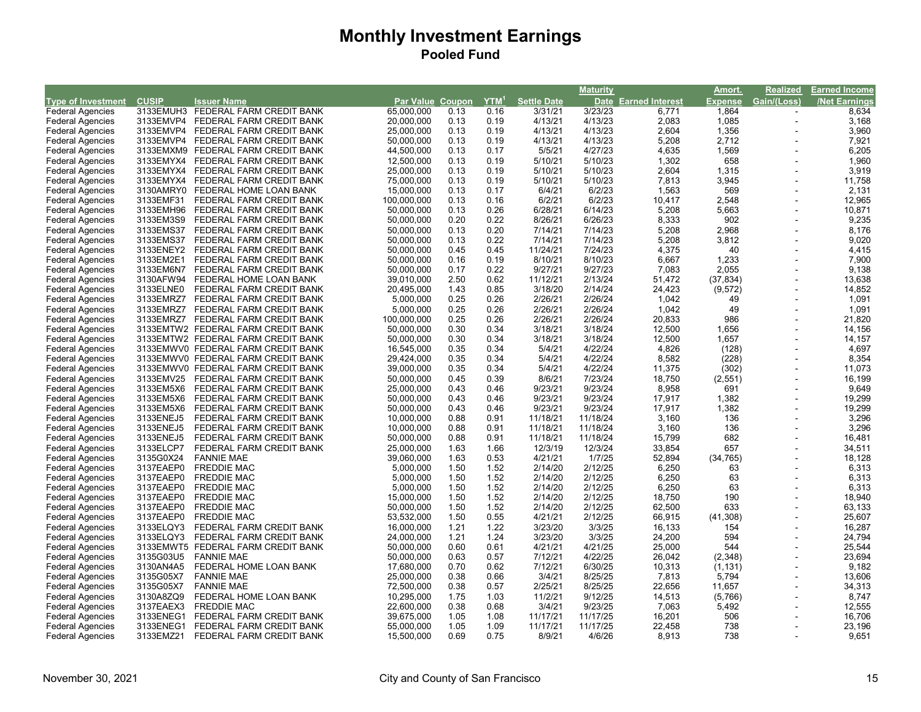|                           |              |                                    |                  |      |                  |                    | <b>Maturity</b> |                      | Amort.         | <b>Realized</b> | Earned Income |
|---------------------------|--------------|------------------------------------|------------------|------|------------------|--------------------|-----------------|----------------------|----------------|-----------------|---------------|
| <b>Type of Investment</b> | <b>CUSIP</b> | <b>Issuer Name</b>                 | Par Value Coupon |      | YTM <sup>1</sup> | <b>Settle Date</b> |                 | Date Earned Interest | <b>Expense</b> | Gain/(Loss)     | /Net Earnings |
| <b>Federal Agencies</b>   |              | 3133EMUH3 FEDERAL FARM CREDIT BANK | 65.000.000       | 0.13 | 0.16             | 3/31/21            | 3/23/23         | 6,771                | 1,864          |                 | 8,634         |
| <b>Federal Agencies</b>   | 3133EMVP4    | FEDERAL FARM CREDIT BANK           | 20,000,000       | 0.13 | 0.19             | 4/13/21            | 4/13/23         | 2,083                | 1,085          | $\sim$          | 3,168         |
| <b>Federal Agencies</b>   | 3133EMVP4    | FEDERAL FARM CREDIT BANK           | 25,000,000       | 0.13 | 0.19             | 4/13/21            | 4/13/23         | 2,604                | 1,356          |                 | 3,960         |
| <b>Federal Agencies</b>   | 3133EMVP4    | FEDERAL FARM CREDIT BANK           | 50,000,000       | 0.13 | 0.19             | 4/13/21            | 4/13/23         | 5,208                | 2,712          |                 | 7,921         |
| <b>Federal Agencies</b>   | 3133EMXM9    | FEDERAL FARM CREDIT BANK           | 44,500,000       | 0.13 | 0.17             | 5/5/21             | 4/27/23         | 4,635                | 1,569          |                 | 6,205         |
| <b>Federal Agencies</b>   | 3133EMYX4    | FEDERAL FARM CREDIT BANK           | 12,500,000       | 0.13 | 0.19             | 5/10/21            | 5/10/23         | 1,302                | 658            |                 | 1,960         |
| <b>Federal Agencies</b>   | 3133EMYX4    | FEDERAL FARM CREDIT BANK           | 25,000,000       | 0.13 | 0.19             | 5/10/21            | 5/10/23         | 2,604                | 1,315          |                 | 3,919         |
| <b>Federal Agencies</b>   | 3133EMYX4    | FEDERAL FARM CREDIT BANK           | 75,000,000       | 0.13 | 0.19             | 5/10/21            | 5/10/23         | 7,813                | 3,945          |                 | 11,758        |
| <b>Federal Agencies</b>   | 3130AMRY0    | FEDERAL HOME LOAN BANK             | 15,000,000       | 0.13 | 0.17             | 6/4/21             | 6/2/23          | 1,563                | 569            |                 | 2,131         |
| <b>Federal Agencies</b>   | 3133EMF31    | FEDERAL FARM CREDIT BANK           | 100,000,000      | 0.13 | 0.16             | 6/2/21             | 6/2/23          | 10,417               | 2,548          |                 | 12,965        |
| <b>Federal Agencies</b>   | 3133EMH96    | FEDERAL FARM CREDIT BANK           | 50,000,000       | 0.13 | 0.26             | 6/28/21            | 6/14/23         | 5,208                | 5,663          |                 | 10,871        |
| <b>Federal Agencies</b>   | 3133EM3S9    | FEDERAL FARM CREDIT BANK           | 50,000,000       | 0.20 | 0.22             | 8/26/21            | 6/26/23         | 8,333                | 902            |                 | 9,235         |
| <b>Federal Agencies</b>   | 3133EMS37    | FEDERAL FARM CREDIT BANK           | 50,000,000       | 0.13 | 0.20             | 7/14/21            | 7/14/23         | 5,208                | 2,968          |                 | 8,176         |
|                           | 3133EMS37    | FEDERAL FARM CREDIT BANK           |                  | 0.13 | 0.22             | 7/14/21            | 7/14/23         | 5,208                | 3,812          |                 | 9,020         |
| <b>Federal Agencies</b>   |              |                                    | 50,000,000       |      | 0.45             |                    |                 |                      | 40             |                 | 4,415         |
| <b>Federal Agencies</b>   | 3133ENEY2    | FEDERAL FARM CREDIT BANK           | 50,000,000       | 0.45 |                  | 11/24/21           | 7/24/23         | 4,375                |                |                 |               |
| <b>Federal Agencies</b>   | 3133EM2E1    | FEDERAL FARM CREDIT BANK           | 50,000,000       | 0.16 | 0.19             | 8/10/21            | 8/10/23         | 6,667                | 1,233          |                 | 7,900         |
| <b>Federal Agencies</b>   | 3133EM6N7    | FEDERAL FARM CREDIT BANK           | 50,000,000       | 0.17 | 0.22             | 9/27/21            | 9/27/23         | 7,083                | 2,055          |                 | 9,138         |
| <b>Federal Agencies</b>   | 3130AFW94    | FEDERAL HOME LOAN BANK             | 39,010,000       | 2.50 | 0.62             | 11/12/21           | 2/13/24         | 51,472               | (37, 834)      |                 | 13,638        |
| <b>Federal Agencies</b>   | 3133ELNE0    | FEDERAL FARM CREDIT BANK           | 20,495,000       | 1.43 | 0.85             | 3/18/20            | 2/14/24         | 24,423               | (9, 572)       |                 | 14,852        |
| <b>Federal Agencies</b>   | 3133EMRZ7    | FEDERAL FARM CREDIT BANK           | 5,000,000        | 0.25 | 0.26             | 2/26/21            | 2/26/24         | 1,042                | 49             |                 | 1,091         |
| <b>Federal Agencies</b>   | 3133EMRZ7    | FEDERAL FARM CREDIT BANK           | 5,000,000        | 0.25 | 0.26             | 2/26/21            | 2/26/24         | 1,042                | 49             |                 | 1,091         |
| <b>Federal Agencies</b>   | 3133EMRZ7    | FEDERAL FARM CREDIT BANK           | 100,000,000      | 0.25 | 0.26             | 2/26/21            | 2/26/24         | 20,833               | 986            |                 | 21,820        |
| <b>Federal Agencies</b>   |              | 3133EMTW2 FEDERAL FARM CREDIT BANK | 50,000,000       | 0.30 | 0.34             | 3/18/21            | 3/18/24         | 12,500               | 1,656          |                 | 14,156        |
| <b>Federal Agencies</b>   |              | 3133EMTW2 FEDERAL FARM CREDIT BANK | 50,000,000       | 0.30 | 0.34             | 3/18/21            | 3/18/24         | 12,500               | 1,657          |                 | 14,157        |
| <b>Federal Agencies</b>   |              | 3133EMWV0 FEDERAL FARM CREDIT BANK | 16,545,000       | 0.35 | 0.34             | 5/4/21             | 4/22/24         | 4,826                | (128)          |                 | 4,697         |
| <b>Federal Agencies</b>   |              | 3133EMWV0 FEDERAL FARM CREDIT BANK | 29,424,000       | 0.35 | 0.34             | 5/4/21             | 4/22/24         | 8,582                | (228)          |                 | 8,354         |
| <b>Federal Agencies</b>   |              | 3133EMWV0 FEDERAL FARM CREDIT BANK | 39,000,000       | 0.35 | 0.34             | 5/4/21             | 4/22/24         | 11,375               | (302)          |                 | 11,073        |
| <b>Federal Agencies</b>   | 3133EMV25    | FEDERAL FARM CREDIT BANK           | 50,000,000       | 0.45 | 0.39             | 8/6/21             | 7/23/24         | 18,750               | (2, 551)       |                 | 16,199        |
| <b>Federal Agencies</b>   | 3133EM5X6    | FEDERAL FARM CREDIT BANK           | 25,000,000       | 0.43 | 0.46             | 9/23/21            | 9/23/24         | 8,958                | 691            |                 | 9,649         |
| <b>Federal Agencies</b>   | 3133EM5X6    | FEDERAL FARM CREDIT BANK           | 50,000,000       | 0.43 | 0.46             | 9/23/21            | 9/23/24         | 17,917               | 1,382          |                 | 19,299        |
| <b>Federal Agencies</b>   | 3133EM5X6    | FEDERAL FARM CREDIT BANK           | 50,000,000       | 0.43 | 0.46             | 9/23/21            | 9/23/24         | 17,917               | 1,382          |                 | 19,299        |
| <b>Federal Agencies</b>   | 3133ENEJ5    | FEDERAL FARM CREDIT BANK           | 10,000,000       | 0.88 | 0.91             | 11/18/21           | 11/18/24        | 3,160                | 136            |                 | 3,296         |
| <b>Federal Agencies</b>   | 3133ENEJ5    | FEDERAL FARM CREDIT BANK           | 10,000,000       | 0.88 | 0.91             | 11/18/21           | 11/18/24        | 3,160                | 136            |                 | 3,296         |
| <b>Federal Agencies</b>   | 3133ENEJ5    | FEDERAL FARM CREDIT BANK           | 50,000,000       | 0.88 | 0.91             | 11/18/21           | 11/18/24        | 15,799               | 682            |                 | 16,481        |
| <b>Federal Agencies</b>   | 3133ELCP7    | FEDERAL FARM CREDIT BANK           | 25,000,000       | 1.63 | 1.66             | 12/3/19            | 12/3/24         | 33,854               | 657            |                 | 34,511        |
| <b>Federal Agencies</b>   | 3135G0X24    | <b>FANNIE MAE</b>                  | 39,060,000       | 1.63 | 0.53             | 4/21/21            | 1/7/25          | 52,894               | (34, 765)      |                 | 18,128        |
| <b>Federal Agencies</b>   | 3137EAEP0    | <b>FREDDIE MAC</b>                 | 5,000,000        | 1.50 | 1.52             | 2/14/20            | 2/12/25         | 6,250                | 63             |                 | 6,313         |
| <b>Federal Agencies</b>   | 3137EAEP0    | <b>FREDDIE MAC</b>                 | 5,000,000        | 1.50 | 1.52             | 2/14/20            | 2/12/25         | 6,250                | 63             |                 | 6,313         |
| <b>Federal Agencies</b>   | 3137EAEP0    | <b>FREDDIE MAC</b>                 | 5,000,000        | 1.50 | 1.52             | 2/14/20            | 2/12/25         | 6,250                | 63             |                 | 6,313         |
| <b>Federal Agencies</b>   | 3137EAEP0    | <b>FREDDIE MAC</b>                 | 15,000,000       | 1.50 | 1.52             | 2/14/20            | 2/12/25         | 18,750               | 190            |                 | 18,940        |
| <b>Federal Agencies</b>   | 3137EAEP0    | <b>FREDDIE MAC</b>                 | 50,000,000       | 1.50 | 1.52             | 2/14/20            | 2/12/25         | 62,500               | 633            |                 | 63,133        |
| <b>Federal Agencies</b>   | 3137EAEP0    | <b>FREDDIE MAC</b>                 | 53,532,000       | 1.50 | 0.55             | 4/21/21            | 2/12/25         | 66,915               | (41, 308)      |                 | 25,607        |
|                           | 3133ELQY3    |                                    | 16,000,000       | 1.21 | 1.22             | 3/23/20            | 3/3/25          | 16,133               | 154            |                 | 16,287        |
| <b>Federal Agencies</b>   | 3133ELQY3    | FEDERAL FARM CREDIT BANK           |                  | 1.21 | 1.24             | 3/23/20            | 3/3/25          | 24,200               | 594            |                 | 24,794        |
| <b>Federal Agencies</b>   |              | FEDERAL FARM CREDIT BANK           | 24,000,000       |      |                  |                    |                 |                      | 544            |                 |               |
| <b>Federal Agencies</b>   | 3133EMWT5    | FEDERAL FARM CREDIT BANK           | 50,000,000       | 0.60 | 0.61             | 4/21/21            | 4/21/25         | 25,000               |                |                 | 25,544        |
| <b>Federal Agencies</b>   | 3135G03U5    | <b>FANNIE MAE</b>                  | 50,000,000       | 0.63 | 0.57             | 7/12/21            | 4/22/25         | 26,042               | (2,348)        |                 | 23,694        |
| <b>Federal Agencies</b>   | 3130AN4A5    | FEDERAL HOME LOAN BANK             | 17,680,000       | 0.70 | 0.62             | 7/12/21            | 6/30/25         | 10,313               | (1, 131)       |                 | 9,182         |
| <b>Federal Agencies</b>   | 3135G05X7    | <b>FANNIE MAE</b>                  | 25,000,000       | 0.38 | 0.66             | 3/4/21             | 8/25/25         | 7,813                | 5,794          |                 | 13,606        |
| <b>Federal Agencies</b>   | 3135G05X7    | <b>FANNIE MAE</b>                  | 72,500,000       | 0.38 | 0.57             | 2/25/21            | 8/25/25         | 22,656               | 11,657         |                 | 34,313        |
| <b>Federal Agencies</b>   | 3130A8ZQ9    | FEDERAL HOME LOAN BANK             | 10,295,000       | 1.75 | 1.03             | 11/2/21            | 9/12/25         | 14,513               | (5,766)        |                 | 8,747         |
| <b>Federal Agencies</b>   | 3137EAEX3    | <b>FREDDIE MAC</b>                 | 22,600,000       | 0.38 | 0.68             | 3/4/21             | 9/23/25         | 7,063                | 5,492          |                 | 12,555        |
| <b>Federal Agencies</b>   | 3133ENEG1    | FEDERAL FARM CREDIT BANK           | 39,675,000       | 1.05 | 1.08             | 11/17/21           | 11/17/25        | 16,201               | 506            |                 | 16,706        |
| <b>Federal Agencies</b>   | 3133ENEG1    | FEDERAL FARM CREDIT BANK           | 55,000,000       | 1.05 | 1.09             | 11/17/21           | 11/17/25        | 22,458               | 738            |                 | 23,196        |
| <b>Federal Agencies</b>   | 3133EMZ21    | FEDERAL FARM CREDIT BANK           | 15,500,000       | 0.69 | 0.75             | 8/9/21             | 4/6/26          | 8,913                | 738            |                 | 9,651         |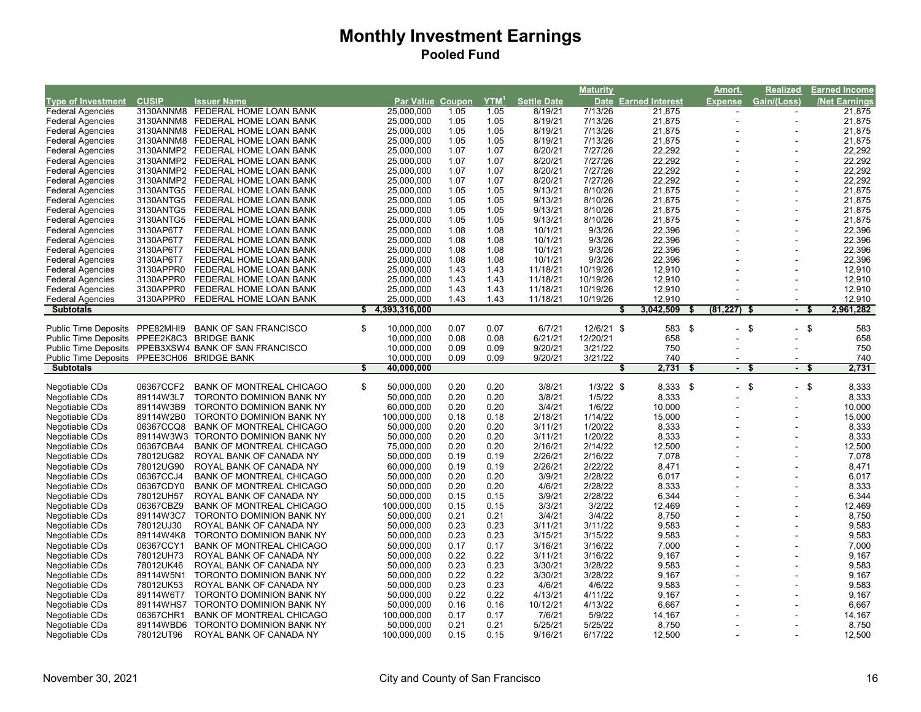|                                            |                        |                                                             |                           |              |                  |                     | <b>Maturity</b>    |                      | Amort.               | <b>Realized</b>          | <b>Earned Income</b> |       |
|--------------------------------------------|------------------------|-------------------------------------------------------------|---------------------------|--------------|------------------|---------------------|--------------------|----------------------|----------------------|--------------------------|----------------------|-------|
| <b>Type of Investment</b>                  | <b>CUSIP</b>           | <b>Issuer Name</b>                                          | Par Value Coupon          |              | YTM <sup>1</sup> | <b>Settle Date</b>  |                    | Date Earned Interest | <b>Expense</b>       | Gain/(Loss)              | <b>Net Earnings</b>  |       |
| <b>Federal Agencies</b>                    |                        | 3130ANNM8 FEDERAL HOME LOAN BANK                            | 25.000.000                | 1.05         | 1.05             | 8/19/21             | 7/13/26            | 21,875               |                      |                          | 21,875               |       |
| <b>Federal Agencies</b>                    | 3130ANNM8              | FEDERAL HOME LOAN BANK                                      | 25,000,000                | 1.05         | 1.05             | 8/19/21             | 7/13/26            | 21,875               |                      | $\sim$                   | 21,875               |       |
| <b>Federal Agencies</b>                    | 3130ANNM8              | FEDERAL HOME LOAN BANK                                      | 25,000,000                | 1.05         | 1.05             | 8/19/21             | 7/13/26            | 21,875               |                      | $\overline{a}$           | 21,875               |       |
| <b>Federal Agencies</b>                    | 3130ANNM8              | FEDERAL HOME LOAN BANK                                      | 25,000,000                | 1.05         | 1.05             | 8/19/21             | 7/13/26            | 21,875               |                      |                          | 21,875               |       |
| <b>Federal Agencies</b>                    | 3130ANMP2              | FEDERAL HOME LOAN BANK                                      | 25,000,000                | 1.07         | 1.07             | 8/20/21             | 7/27/26            | 22,292               |                      | $\blacksquare$           | 22,292               |       |
| <b>Federal Agencies</b>                    |                        | 3130ANMP2 FEDERAL HOME LOAN BANK                            | 25,000,000                | 1.07         | 1.07             | 8/20/21             | 7/27/26            | 22,292               |                      | L,                       | 22,292               |       |
| <b>Federal Agencies</b>                    | 3130ANMP2              | FEDERAL HOME LOAN BANK                                      | 25,000,000                | 1.07         | 1.07             | 8/20/21             | 7/27/26            | 22,292               |                      |                          | 22,292               |       |
| <b>Federal Agencies</b>                    | 3130ANMP2              | FEDERAL HOME LOAN BANK                                      | 25,000,000                | 1.07         | 1.07             | 8/20/21             | 7/27/26            | 22,292               |                      | $\overline{a}$           | 22,292               |       |
| <b>Federal Agencies</b>                    | 3130ANTG5              | FEDERAL HOME LOAN BANK                                      | 25,000,000                | 1.05         | 1.05             | 9/13/21             | 8/10/26            | 21,875               |                      | $\overline{a}$           | 21,875               |       |
| <b>Federal Agencies</b>                    | 3130ANTG5              | FEDERAL HOME LOAN BANK                                      | 25,000,000                | 1.05         | 1.05             | 9/13/21             | 8/10/26            | 21,875               |                      |                          | 21,875               |       |
| <b>Federal Agencies</b>                    | 3130ANTG5              | FEDERAL HOME LOAN BANK                                      | 25,000,000                | 1.05         | 1.05             | 9/13/21             | 8/10/26            | 21,875               |                      |                          | 21,875               |       |
| <b>Federal Agencies</b>                    | 3130ANTG5              | FEDERAL HOME LOAN BANK                                      | 25,000,000                | 1.05         | 1.05             | 9/13/21             | 8/10/26            | 21,875               |                      |                          | 21,875               |       |
| <b>Federal Agencies</b>                    | 3130AP6T7              | FEDERAL HOME LOAN BANK                                      | 25,000,000                | 1.08         | 1.08             | 10/1/21             | 9/3/26             | 22,396               |                      |                          | 22,396               |       |
| <b>Federal Agencies</b>                    | 3130AP6T7              | FEDERAL HOME LOAN BANK                                      | 25,000,000                | 1.08         | 1.08             | 10/1/21             | 9/3/26             | 22,396               |                      |                          | 22,396               |       |
| <b>Federal Agencies</b>                    | 3130AP6T7              | FEDERAL HOME LOAN BANK                                      | 25,000,000                | 1.08         | 1.08             | 10/1/21             | 9/3/26             | 22,396               |                      |                          | 22,396               |       |
| <b>Federal Agencies</b>                    | 3130AP6T7              | FEDERAL HOME LOAN BANK                                      | 25,000,000                | 1.08         | 1.08             | 10/1/21             | 9/3/26             | 22,396               |                      |                          | 22,396               |       |
| <b>Federal Agencies</b>                    | 3130APPR0              | FEDERAL HOME LOAN BANK                                      | 25,000,000                | 1.43         | 1.43             | 11/18/21            | 10/19/26           | 12,910               |                      |                          | 12,910               |       |
| <b>Federal Agencies</b>                    | 3130APPR0              | FEDERAL HOME LOAN BANK                                      | 25,000,000                | 1.43         | 1.43             | 11/18/21            | 10/19/26           | 12,910               |                      |                          | 12,910               |       |
| <b>Federal Agencies</b>                    | 3130APPR0              | FEDERAL HOME LOAN BANK                                      | 25,000,000                | 1.43         | 1.43             | 11/18/21            | 10/19/26           | 12,910               |                      |                          | 12,910               |       |
| <b>Federal Agencies</b>                    | 3130APPR0              | FEDERAL HOME LOAN BANK                                      | 25,000,000                | 1.43         | 1.43             | 11/18/21            | 10/19/26           | 12,910               |                      |                          | 12,910               |       |
| <b>Subtotals</b>                           |                        |                                                             | \$<br>4,393,316,000       |              |                  |                     |                    | 3,042,509<br>S       | $(81, 227)$ \$<br>S  | $\overline{\phantom{a}}$ | 2,961,282            |       |
|                                            |                        |                                                             |                           |              |                  |                     |                    |                      |                      |                          |                      |       |
| <b>Public Time Deposits</b>                | PPE82MHI9              | <b>BANK OF SAN FRANCISCO</b>                                | \$<br>10,000,000          | 0.07         | 0.07             | 6/7/21              | 12/6/21 \$         | 583 \$               |                      | \$<br>- \$               |                      | 583   |
| Public Time Deposits PPEE2K8C3             |                        | <b>BRIDGE BANK</b>                                          | 10,000,000                | 0.08         | 0.08             | 6/21/21             | 12/20/21           | 658                  |                      |                          |                      | 658   |
|                                            |                        | Public Time Deposits PPEB3XSW4 BANK OF SAN FRANCISCO        | 10,000,000                | 0.09         | 0.09             | 9/20/21             | 3/21/22            | 750                  |                      |                          |                      | 750   |
| Public Time Deposits PPEE3CH06 BRIDGE BANK |                        |                                                             | 10,000,000                | 0.09         | 0.09             | 9/20/21             | 3/21/22            | 740                  |                      |                          |                      | 740   |
|                                            |                        |                                                             |                           |              |                  |                     |                    |                      |                      |                          |                      |       |
| <b>Subtotals</b>                           |                        |                                                             | \$<br>40,000,000          |              |                  |                     |                    | 2,731                | \$<br>$\blacksquare$ | S<br>- \$                | 2,731                |       |
|                                            |                        |                                                             |                           |              |                  |                     |                    |                      |                      |                          |                      |       |
| Negotiable CDs                             | 06367CCF2              | <b>BANK OF MONTREAL CHICAGO</b>                             | \$<br>50,000,000          | 0.20         | 0.20             | 3/8/21              | $1/3/22$ \$        | 8,333                | \$<br>$\sim$         | \$<br>- \$               | 8,333                |       |
| Negotiable CDs                             | 89114W3L7              | <b>TORONTO DOMINION BANK NY</b>                             | 50.000.000                | 0.20         | 0.20             | 3/8/21              | 1/5/22             | 8,333                |                      | $\blacksquare$           |                      | 8,333 |
| Negotiable CDs                             | 89114W3B9              | TORONTO DOMINION BANK NY                                    | 60,000,000                | 0.20         | 0.20             | 3/4/21              | 1/6/22             | 10,000               |                      | $\overline{a}$           | 10,000               |       |
| Negotiable CDs                             | 89114W2B0              | TORONTO DOMINION BANK NY                                    | 100,000,000               | 0.18         | 0.18             | 2/18/21             | 1/14/22            | 15,000               |                      | $\ddot{\phantom{1}}$     | 15,000               |       |
| Negotiable CDs                             | 06367CCQ8              | <b>BANK OF MONTREAL CHICAGO</b>                             | 50,000,000                | 0.20         | 0.20             | 3/11/21             | 1/20/22            | 8,333                |                      | $\ddot{\phantom{1}}$     | 8,333                |       |
| Negotiable CDs                             | 89114W3W3              | TORONTO DOMINION BANK NY                                    | 50,000,000                | 0.20         | 0.20             | 3/11/21             | 1/20/22            | 8,333                |                      | $\blacksquare$           |                      | 8,333 |
| Negotiable CDs                             | 06367CBA4              | <b>BANK OF MONTREAL CHICAGO</b>                             | 75,000,000                | 0.20         | 0.20             | 2/16/21             | 2/14/22            | 12,500               |                      | $\ddot{\phantom{1}}$     | 12,500               |       |
| Negotiable CDs                             | 78012UG82              | ROYAL BANK OF CANADA NY                                     | 50,000,000                | 0.19         | 0.19             | 2/26/21             | 2/16/22            | 7,078                |                      | $\blacksquare$           | 7,078                |       |
| Negotiable CDs                             | 78012UG90              | ROYAL BANK OF CANADA NY                                     | 60,000,000                | 0.19         | 0.19             | 2/26/21             | 2/22/22            | 8,471                |                      |                          | 8,471                |       |
| Negotiable CDs                             | 06367CCJ4              | <b>BANK OF MONTREAL CHICAGO</b>                             | 50,000,000                | 0.20         | 0.20             | 3/9/21              | 2/28/22            | 6,017                |                      |                          |                      | 6,017 |
| Negotiable CDs                             | 06367CDY0              | BANK OF MONTREAL CHICAGO                                    | 50,000,000                | 0.20         | 0.20             | 4/6/21              | 2/28/22            | 8,333                |                      |                          | 8,333                |       |
| Negotiable CDs                             | 78012UH57              | ROYAL BANK OF CANADA NY                                     | 50,000,000                | 0.15         | 0.15             | 3/9/21              | 2/28/22            | 6,344                |                      |                          | 6,344                |       |
| Negotiable CDs                             | 06367CBZ9              | <b>BANK OF MONTREAL CHICAGO</b>                             | 100,000,000               | 0.15         | 0.15             | 3/3/21              | 3/2/22             | 12,469               |                      |                          | 12,469               |       |
| Negotiable CDs                             | 89114W3C7              | TORONTO DOMINION BANK NY                                    | 50.000.000                | 0.21         | 0.21             | 3/4/21              | 3/4/22             | 8,750                |                      |                          | 8,750                |       |
| Negotiable CDs                             | 78012UJ30              | ROYAL BANK OF CANADA NY                                     | 50,000,000                | 0.23         | 0.23             | 3/11/21             | 3/11/22            | 9,583                |                      |                          |                      | 9,583 |
| Negotiable CDs                             | 89114W4K8              | TORONTO DOMINION BANK NY                                    | 50,000,000                | 0.23         | 0.23             | 3/15/21             | 3/15/22            | 9,583                |                      |                          | 9,583                |       |
| Negotiable CDs                             | 06367CCY1              | <b>BANK OF MONTREAL CHICAGO</b>                             | 50,000,000                | 0.17         | 0.17             | 3/16/21             | 3/16/22            | 7,000                |                      |                          | 7,000                |       |
|                                            | 78012UH73              | ROYAL BANK OF CANADA NY                                     |                           | 0.22         | 0.22             |                     |                    |                      |                      | $\blacksquare$           |                      |       |
| Negotiable CDs<br>Negotiable CDs           | 78012UK46              | ROYAL BANK OF CANADA NY                                     | 50,000,000<br>50,000,000  | 0.23         | 0.23             | 3/11/21<br>3/30/21  | 3/16/22<br>3/28/22 | 9,167<br>9,583       |                      |                          | 9,167<br>9,583       |       |
| Negotiable CDs                             | 89114W5N1              | TORONTO DOMINION BANK NY                                    | 50,000,000                | 0.22         | 0.22             | 3/30/21             | 3/28/22            | 9,167                |                      |                          |                      |       |
|                                            | 78012UK53              | ROYAL BANK OF CANADA NY                                     |                           | 0.23         | 0.23             | 4/6/21              | 4/6/22             |                      |                      | $\overline{\phantom{a}}$ | 9,167                |       |
| Negotiable CDs                             |                        |                                                             | 50,000,000                |              | 0.22             |                     |                    | 9,583                |                      |                          |                      | 9,583 |
| Negotiable CDs                             | 89114W6T7<br>89114WHS7 | TORONTO DOMINION BANK NY<br>TORONTO DOMINION BANK NY        | 50,000,000                | 0.22<br>0.16 | 0.16             | 4/13/21<br>10/12/21 | 4/11/22<br>4/13/22 | 9,167                |                      |                          | 9,167                |       |
| Negotiable CDs                             |                        |                                                             | 50,000,000                |              |                  |                     |                    | 6,667                |                      |                          | 6,667                |       |
| Negotiable CDs<br>Negotiable CDs           | 06367CHR1<br>89114WBD6 | <b>BANK OF MONTREAL CHICAGO</b><br>TORONTO DOMINION BANK NY | 100,000,000<br>50,000,000 | 0.17<br>0.21 | 0.17<br>0.21     | 7/6/21<br>5/25/21   | 5/9/22<br>5/25/22  | 14,167<br>8,750      |                      |                          | 14,167<br>8,750      |       |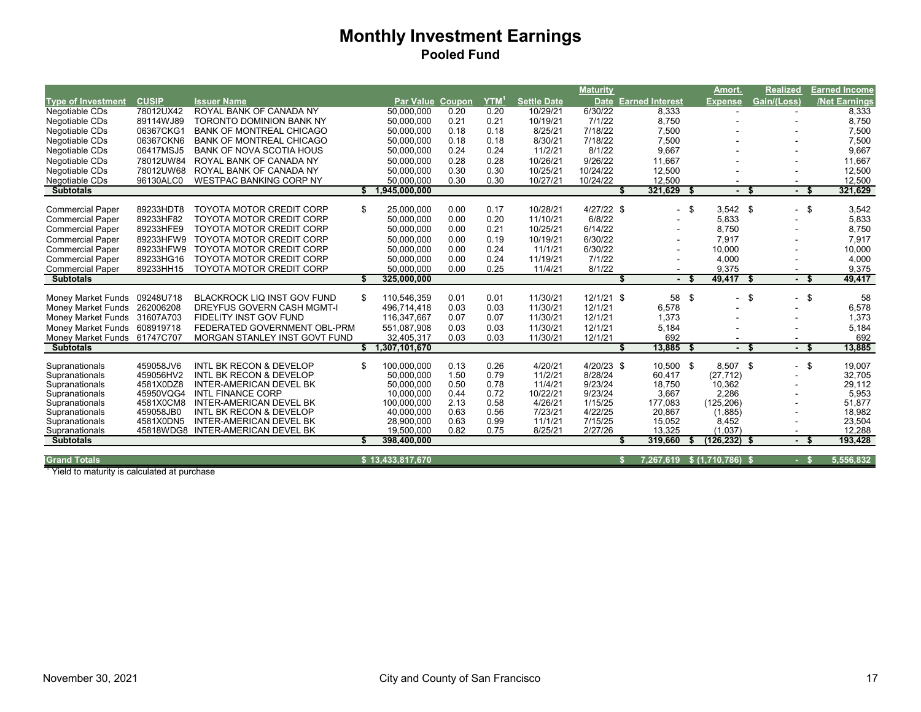|                              |              |                                    |    |                  |        |                  |                    | <b>Maturity</b> |                             |      | Amort.          | <b>Realized</b> |           | <b>Earned Income</b> |
|------------------------------|--------------|------------------------------------|----|------------------|--------|------------------|--------------------|-----------------|-----------------------------|------|-----------------|-----------------|-----------|----------------------|
| <b>Type of Investment</b>    | <b>CUSIP</b> | <b>Issuer Name</b>                 |    | Par Value        | Coupon | YTM <sup>1</sup> | <b>Settle Date</b> |                 | <b>Date Earned Interest</b> |      | <b>Expense</b>  | Gain/(Loss)     |           | /Net Earnings        |
| Negotiable CDs               | 78012UX42    | ROYAL BANK OF CANADA NY            |    | 50,000,000       | 0.20   | 0.20             | 10/29/21           | 6/30/22         | 8,333                       |      |                 |                 |           | 8,333                |
| Negotiable CDs               | 89114WJ89    | <b>TORONTO DOMINION BANK NY</b>    |    | 50,000,000       | 0.21   | 0.21             | 10/19/21           | 7/1/22          | 8,750                       |      |                 |                 |           | 8,750                |
| Negotiable CDs               | 06367CKG1    | <b>BANK OF MONTREAL CHICAGO</b>    |    | 50,000,000       | 0.18   | 0.18             | 8/25/21            | 7/18/22         | 7,500                       |      |                 |                 |           | 7,500                |
| Negotiable CDs               | 06367CKN6    | <b>BANK OF MONTREAL CHICAGO</b>    |    | 50,000,000       | 0.18   | 0.18             | 8/30/21            | 7/18/22         | 7,500                       |      |                 |                 |           | 7,500                |
| Negotiable CDs               | 06417MSJ5    | <b>BANK OF NOVA SCOTIA HOUS</b>    |    | 50,000,000       | 0.24   | 0.24             | 11/2/21            | 8/1/22          | 9.667                       |      |                 |                 |           | 9,667                |
| Negotiable CDs               | 78012UW84    | ROYAL BANK OF CANADA NY            |    | 50,000,000       | 0.28   | 0.28             | 10/26/21           | 9/26/22         | 11,667                      |      |                 |                 |           | 11,667               |
| Negotiable CDs               | 78012UW68    | ROYAL BANK OF CANADA NY            |    | 50.000.000       | 0.30   | 0.30             | 10/25/21           | 10/24/22        | 12.500                      |      |                 |                 |           | 12,500               |
| Negotiable CDs               | 96130ALC0    | <b>WESTPAC BANKING CORP NY</b>     |    | 50,000,000       | 0.30   | 0.30             | 10/27/21           | 10/24/22        | 12,500                      |      |                 |                 |           | 12,500               |
| <b>Subtotals</b>             |              |                                    |    | 1,945,000,000    |        |                  |                    |                 | 321,629                     | \$.  |                 | £.              | - \$      | 321,629              |
| <b>Commercial Paper</b>      | 89233HDT8    | TOYOTA MOTOR CREDIT CORP           | \$ | 25,000,000       | 0.00   | 0.17             | 10/28/21           | $4/27/22$ \$    |                             | - \$ | $3,542$ \$      |                 | <b>\$</b> | 3,542                |
| <b>Commercial Paper</b>      | 89233HF82    | TOYOTA MOTOR CREDIT CORP           |    | 50.000.000       | 0.00   | 0.20             | 11/10/21           | 6/8/22          |                             |      | 5,833           |                 |           | 5,833                |
| <b>Commercial Paper</b>      | 89233HFE9    | TOYOTA MOTOR CREDIT CORP           |    | 50,000,000       | 0.00   | 0.21             | 10/25/21           | 6/14/22         |                             |      | 8,750           |                 |           | 8,750                |
| <b>Commercial Paper</b>      | 89233HFW9    | TOYOTA MOTOR CREDIT CORP           |    | 50,000,000       | 0.00   | 0.19             | 10/19/21           | 6/30/22         |                             |      | 7,917           |                 |           | 7,917                |
| <b>Commercial Paper</b>      | 89233HFW9    | TOYOTA MOTOR CREDIT CORP           |    | 50.000.000       | 0.00   | 0.24             | 11/1/21            | 6/30/22         |                             |      | 10,000          |                 |           | 10,000               |
| <b>Commercial Paper</b>      | 89233HG16    | <b>TOYOTA MOTOR CREDIT CORP</b>    |    | 50,000,000       | 0.00   | 0.24             | 11/19/21           | 7/1/22          |                             |      | 4,000           |                 |           | 4,000                |
| <b>Commercial Paper</b>      | 89233HH15    | TOYOTA MOTOR CREDIT CORP           |    | 50.000.000       | 0.00   | 0.25             | 11/4/21            | 8/1/22          |                             |      | 9,375           |                 |           | 9,375                |
| <b>Subtotals</b>             |              |                                    |    | 325,000,000      |        |                  |                    |                 |                             |      | 49,417          | - \$            | - \$      | 49,417               |
|                              |              |                                    |    |                  |        |                  |                    |                 |                             |      |                 |                 |           |                      |
| Money Market Funds           | 09248U718    | BLACKROCK LIQ INST GOV FUND        |    | 110,546,359      | 0.01   | 0.01             | 11/30/21           | $12/1/21$ \$    | 58                          | \$   |                 | \$              | - \$      | 58                   |
| Money Market Funds           | 262006208    | <b>DREYFUS GOVERN CASH MGMT-I</b>  |    | 496.714.418      | 0.03   | 0.03             | 11/30/21           | 12/1/21         | 6,578                       |      |                 |                 |           | 6,578                |
| Money Market Funds           | 31607A703    | <b>FIDELITY INST GOV FUND</b>      |    | 116,347,667      | 0.07   | 0.07             | 11/30/21           | 12/1/21         | 1,373                       |      |                 |                 |           | 1,373                |
| Money Market Funds 608919718 |              | FEDERATED GOVERNMENT OBL-PRM       |    | 551.087.908      | 0.03   | 0.03             | 11/30/21           | 12/1/21         | 5,184                       |      |                 |                 |           | 5,184                |
| Money Market Funds 61747C707 |              | MORGAN STANLEY INST GOVT FUND      |    | 32,405,317       | 0.03   | 0.03             | 11/30/21           | 12/1/21         | 692                         |      |                 |                 |           | 692                  |
| <b>Subtotals</b>             |              |                                    |    | 1,307,101,670    |        |                  |                    |                 | 13,885                      |      |                 |                 |           | 13,885               |
| Supranationals               | 459058JV6    | INTL BK RECON & DEVELOP            | £. | 100.000.000      | 0.13   | 0.26             | 4/20/21            | $4/20/23$ \$    | 10.500                      | - \$ | 8,507 \$        |                 | \$        | 19.007               |
| Supranationals               | 459056HV2    | <b>INTL BK RECON &amp; DEVELOP</b> |    | 50,000,000       | 1.50   | 0.79             | 11/2/21            | 8/28/24         | 60,417                      |      | (27, 712)       |                 |           | 32,705               |
| Supranationals               | 4581X0DZ8    | <b>INTER-AMERICAN DEVEL BK</b>     |    | 50.000.000       | 0.50   | 0.78             | 11/4/21            | 9/23/24         | 18.750                      |      | 10,362          |                 |           | 29,112               |
| Supranationals               | 45950VQG4    | <b>INTL FINANCE CORP</b>           |    | 10,000,000       | 0.44   | 0.72             | 10/22/21           | 9/23/24         | 3,667                       |      | 2,286           |                 |           | 5,953                |
| Supranationals               | 4581X0CM8    | <b>INTER-AMERICAN DEVEL BK</b>     |    | 100.000.000      | 2.13   | 0.58             | 4/26/21            | 1/15/25         | 177.083                     |      | (125, 206)      |                 |           | 51,877               |
| Supranationals               | 459058JB0    | <b>INTL BK RECON &amp; DEVELOP</b> |    | 40,000,000       | 0.63   | 0.56             | 7/23/21            | 4/22/25         | 20,867                      |      | (1,885)         |                 |           | 18,982               |
| Supranationals               | 4581X0DN5    | <b>INTER-AMERICAN DEVEL BK</b>     |    | 28.900.000       | 0.63   | 0.99             | 11/1/21            | 7/15/25         | 15,052                      |      | 8,452           |                 |           | 23,504               |
| Supranationals               |              | 45818WDG8 INTER-AMERICAN DEVEL BK  |    | 19.500.000       | 0.82   | 0.75             | 8/25/21            | 2/27/26         | 13.325                      |      | (1,037)         |                 |           | 12,288               |
| <b>Subtotals</b>             |              |                                    |    | 398,400,000      |        |                  |                    |                 | 319,660                     |      | (126,232) \$    |                 | - \$      | 193,428              |
| <b>Grand Totals</b>          |              |                                    |    | \$13,433,817,670 |        |                  |                    |                 | 7.267.619                   |      | \$(1,710,786)\$ |                 |           | 5.556.832            |
|                              |              |                                    |    |                  |        |                  |                    |                 |                             |      |                 |                 |           |                      |

Yield to maturity is calculated at purchase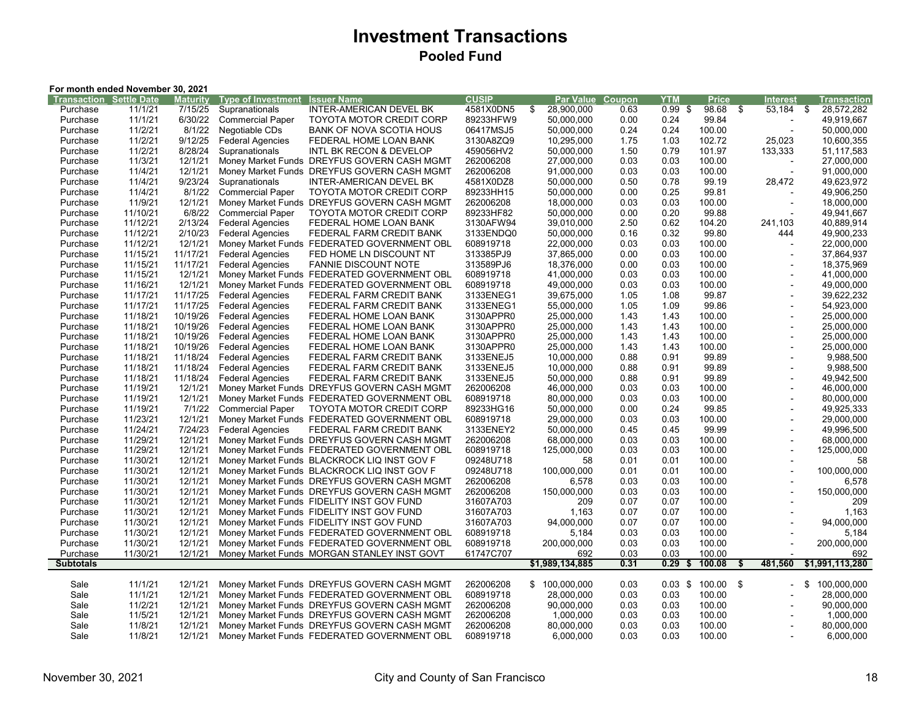# **Investment Transactions Pooled Fund**

| For month ended November 30, 2021 |          |          |                           |                                             |              |                  |        |            |                         |                |                          |      |                 |
|-----------------------------------|----------|----------|---------------------------|---------------------------------------------|--------------|------------------|--------|------------|-------------------------|----------------|--------------------------|------|-----------------|
| <b>Transaction Settle Date</b>    |          | Maturity | <b>Type of Investment</b> | <b>Issuer Name</b>                          | <b>CUSIP</b> | Par Value        | Coupon | <b>YTM</b> | <b>Price</b>            |                | Interest                 |      | Transaction     |
| Purchase                          | 11/1/21  | 7/15/25  | Supranationals            | INTER-AMERICAN DEVEL BK                     | 4581X0DN5    | \$<br>28,900,000 | 0.63   | $0.99$ \$  | 98.68                   | $\mathfrak{s}$ | 53,184                   | - \$ | 28,572,282      |
| Purchase                          | 11/1/21  | 6/30/22  | <b>Commercial Paper</b>   | <b>TOYOTA MOTOR CREDIT CORP</b>             | 89233HFW9    | 50,000,000       | 0.00   | 0.24       | 99.84                   |                |                          |      | 49,919,667      |
| Purchase                          | 11/2/21  | 8/1/22   | Negotiable CDs            | BANK OF NOVA SCOTIA HOUS                    | 06417MSJ5    | 50,000,000       | 0.24   | 0.24       | 100.00                  |                |                          |      | 50,000,000      |
| Purchase                          | 11/2/21  | 9/12/25  | <b>Federal Agencies</b>   | FEDERAL HOME LOAN BANK                      | 3130A8ZQ9    | 10,295,000       | 1.75   | 1.03       | 102.72                  |                | 25,023                   |      | 10,600,355      |
| Purchase                          | 11/2/21  | 8/28/24  | Supranationals            | INTL BK RECON & DEVELOP                     | 459056HV2    | 50,000,000       | 1.50   | 0.79       | 101.97                  |                | 133,333                  |      | 51.117.583      |
| Purchase                          | 11/3/21  | 12/1/21  | Money Market Funds        | DREYFUS GOVERN CASH MGMT                    | 262006208    | 27,000,000       | 0.03   | 0.03       | 100.00                  |                |                          |      | 27,000,000      |
| Purchase                          | 11/4/21  | 12/1/21  |                           | Money Market Funds DREYFUS GOVERN CASH MGMT | 262006208    | 91,000,000       | 0.03   | 0.03       | 100.00                  |                |                          |      | 91,000,000      |
| Purchase                          | 11/4/21  | 9/23/24  | Supranationals            | INTER-AMERICAN DEVEL BK                     | 4581X0DZ8    | 50,000,000       | 0.50   | 0.78       | 99.19                   |                | 28,472                   |      | 49,623,972      |
| Purchase                          | 11/4/21  | 8/1/22   | <b>Commercial Paper</b>   | <b>TOYOTA MOTOR CREDIT CORP</b>             | 89233HH15    | 50,000,000       | 0.00   | 0.25       | 99.81                   |                |                          |      | 49,906,250      |
| Purchase                          | 11/9/21  | 12/1/21  |                           | Money Market Funds DREYFUS GOVERN CASH MGMT | 262006208    | 18,000,000       | 0.03   | 0.03       | 100.00                  |                |                          |      | 18,000,000      |
| Purchase                          | 11/10/21 | 6/8/22   | <b>Commercial Paper</b>   | <b>TOYOTA MOTOR CREDIT CORP</b>             | 89233HF82    | 50,000,000       | 0.00   | 0.20       | 99.88                   |                |                          |      | 49,941,667      |
| Purchase                          | 11/12/21 | 2/13/24  | <b>Federal Agencies</b>   | FEDERAL HOME LOAN BANK                      | 3130AFW94    | 39,010,000       | 2.50   | 0.62       | 104.20                  |                | 241,103                  |      | 40,889,914      |
| Purchase                          | 11/12/21 | 2/10/23  | <b>Federal Agencies</b>   | FEDERAL FARM CREDIT BANK                    | 3133ENDQ0    | 50,000,000       | 0.16   | 0.32       | 99.80                   |                | 444                      |      | 49,900,233      |
| Purchase                          | 11/12/21 | 12/1/21  | Money Market Funds        | FEDERATED GOVERNMENT OBL                    | 608919718    | 22,000,000       | 0.03   | 0.03       | 100.00                  |                | $\overline{\phantom{a}}$ |      | 22,000,000      |
| Purchase                          | 11/15/21 | 11/17/21 | <b>Federal Agencies</b>   | FED HOME LN DISCOUNT NT                     | 313385PJ9    | 37,865,000       | 0.00   | 0.03       | 100.00                  |                |                          |      | 37,864,937      |
| Purchase                          | 11/15/21 | 11/17/21 | <b>Federal Agencies</b>   | <b>FANNIE DISCOUNT NOTE</b>                 | 313589PJ6    | 18,376,000       | 0.00   | 0.03       | 100.00                  |                |                          |      | 18,375,969      |
| Purchase                          | 11/15/21 | 12/1/21  | Money Market Funds        | FEDERATED GOVERNMENT OBL                    | 608919718    | 41,000,000       | 0.03   | 0.03       | 100.00                  |                |                          |      | 41,000,000      |
| Purchase                          | 11/16/21 | 12/1/21  |                           | Money Market Funds FEDERATED GOVERNMENT OBL | 608919718    | 49,000,000       | 0.03   | 0.03       | 100.00                  |                | $\overline{\phantom{a}}$ |      | 49,000,000      |
| Purchase                          | 11/17/21 | 11/17/25 | <b>Federal Agencies</b>   | FEDERAL FARM CREDIT BANK                    | 3133ENEG1    | 39,675,000       | 1.05   | 1.08       | 99.87                   |                |                          |      | 39,622,232      |
| Purchase                          | 11/17/21 | 11/17/25 | <b>Federal Agencies</b>   | FEDERAL FARM CREDIT BANK                    | 3133ENEG1    | 55,000,000       | 1.05   | 1.09       | 99.86                   |                |                          |      | 54,923,000      |
| Purchase                          | 11/18/21 | 10/19/26 | <b>Federal Agencies</b>   | FEDERAL HOME LOAN BANK                      | 3130APPR0    | 25,000,000       | 1.43   | 1.43       | 100.00                  |                | $\overline{\phantom{a}}$ |      | 25,000,000      |
| Purchase                          | 11/18/21 | 10/19/26 | <b>Federal Agencies</b>   | FEDERAL HOME LOAN BANK                      | 3130APPR0    | 25,000,000       | 1.43   | 1.43       | 100.00                  |                |                          |      | 25,000,000      |
| Purchase                          | 11/18/21 | 10/19/26 | <b>Federal Agencies</b>   | FEDERAL HOME LOAN BANK                      | 3130APPR0    | 25,000,000       | 1.43   | 1.43       | 100.00                  |                |                          |      | 25,000,000      |
| Purchase                          | 11/18/21 | 10/19/26 | <b>Federal Agencies</b>   | FEDERAL HOME LOAN BANK                      | 3130APPR0    | 25,000,000       | 1.43   | 1.43       | 100.00                  |                |                          |      | 25.000.000      |
| Purchase                          | 11/18/21 | 11/18/24 | <b>Federal Agencies</b>   | FEDERAL FARM CREDIT BANK                    | 3133ENEJ5    | 10,000,000       | 0.88   | 0.91       | 99.89                   |                |                          |      | 9,988,500       |
| Purchase                          | 11/18/21 | 11/18/24 | <b>Federal Agencies</b>   | FEDERAL FARM CREDIT BANK                    | 3133ENEJ5    | 10,000,000       | 0.88   | 0.91       | 99.89                   |                | $\overline{\phantom{a}}$ |      | 9,988,500       |
| Purchase                          | 11/18/21 | 11/18/24 | <b>Federal Agencies</b>   | FEDERAL FARM CREDIT BANK                    | 3133ENEJ5    | 50,000,000       | 0.88   | 0.91       | 99.89                   |                |                          |      | 49,942,500      |
| Purchase                          | 11/19/21 | 12/1/21  |                           | Money Market Funds DREYFUS GOVERN CASH MGMT | 262006208    | 46,000,000       | 0.03   | 0.03       | 100.00                  |                | $\overline{\phantom{a}}$ |      | 46,000,000      |
| Purchase                          | 11/19/21 | 12/1/21  |                           | Money Market Funds FEDERATED GOVERNMENT OBL | 608919718    | 80,000,000       | 0.03   | 0.03       | 100.00                  |                | $\blacksquare$           |      | 80,000,000      |
| Purchase                          | 11/19/21 | 7/1/22   | <b>Commercial Paper</b>   | <b>TOYOTA MOTOR CREDIT CORP</b>             | 89233HG16    | 50,000,000       | 0.00   | 0.24       | 99.85                   |                |                          |      | 49,925,333      |
| Purchase                          | 11/23/21 | 12/1/21  |                           | Money Market Funds FEDERATED GOVERNMENT OBL | 608919718    | 29,000,000       | 0.03   | 0.03       | 100.00                  |                |                          |      | 29,000,000      |
| Purchase                          | 11/24/21 | 7/24/23  | <b>Federal Agencies</b>   | FEDERAL FARM CREDIT BANK                    | 3133ENEY2    | 50,000,000       | 0.45   | 0.45       | 99.99                   |                |                          |      | 49.996.500      |
| Purchase                          | 11/29/21 | 12/1/21  |                           | Money Market Funds DREYFUS GOVERN CASH MGMT | 262006208    | 68,000,000       | 0.03   | 0.03       | 100.00                  |                | $\overline{\phantom{a}}$ |      | 68,000,000      |
| Purchase                          | 11/29/21 | 12/1/21  |                           | Money Market Funds FEDERATED GOVERNMENT OBL | 608919718    | 125,000,000      | 0.03   | 0.03       | 100.00                  |                | $\overline{\phantom{a}}$ |      | 125,000,000     |
| Purchase                          | 11/30/21 | 12/1/21  |                           | Money Market Funds BLACKROCK LIQ INST GOV F | 09248U718    | 58               | 0.01   | 0.01       | 100.00                  |                |                          |      | 58              |
| Purchase                          | 11/30/21 | 12/1/21  |                           | Money Market Funds BLACKROCK LIQ INST GOV F | 09248U718    | 100,000,000      | 0.01   | 0.01       | 100.00                  |                | ÷                        |      | 100,000,000     |
| Purchase                          | 11/30/21 | 12/1/21  |                           | Money Market Funds DREYFUS GOVERN CASH MGMT | 262006208    | 6,578            | 0.03   | 0.03       | 100.00                  |                | $\overline{\phantom{a}}$ |      | 6,578           |
| Purchase                          | 11/30/21 | 12/1/21  |                           | Money Market Funds DREYFUS GOVERN CASH MGMT | 262006208    | 150,000,000      | 0.03   | 0.03       | 100.00                  |                |                          |      | 150,000,000     |
| Purchase                          | 11/30/21 | 12/1/21  |                           | Money Market Funds FIDELITY INST GOV FUND   | 31607A703    | 209              | 0.07   | 0.07       | 100.00                  |                | $\blacksquare$           |      | 209             |
| Purchase                          | 11/30/21 | 12/1/21  |                           | Money Market Funds FIDELITY INST GOV FUND   | 31607A703    | 1,163            | 0.07   | 0.07       | 100.00                  |                | $\overline{\phantom{a}}$ |      | 1,163           |
| Purchase                          | 11/30/21 | 12/1/21  |                           | Money Market Funds FIDELITY INST GOV FUND   | 31607A703    | 94,000,000       | 0.07   | 0.07       | 100.00                  |                |                          |      | 94,000,000      |
| Purchase                          | 11/30/21 | 12/1/21  |                           | Money Market Funds FEDERATED GOVERNMENT OBL | 608919718    | 5,184            | 0.03   | 0.03       | 100.00                  |                |                          |      | 5,184           |
| Purchase                          | 11/30/21 | 12/1/21  |                           | Money Market Funds FEDERATED GOVERNMENT OBL | 608919718    | 200,000,000      | 0.03   | 0.03       | 100.00                  |                | $\overline{a}$           |      | 200,000,000     |
| Purchase                          | 11/30/21 | 12/1/21  |                           | Money Market Funds MORGAN STANLEY INST GOVT | 61747C707    | 692              | 0.03   | 0.03       | 100.00                  |                |                          |      | 692             |
| <b>Subtotals</b>                  |          |          |                           |                                             |              | \$1,989,134,885  | 0.31   | 0.29       | 100.08<br>$\frac{2}{3}$ | \$             | 481,560                  |      | \$1,991,113,280 |
|                                   |          |          |                           |                                             |              |                  |        |            |                         |                |                          |      |                 |
| Sale                              | 11/1/21  | 12/1/21  |                           | Money Market Funds DREYFUS GOVERN CASH MGMT | 262006208    | \$100,000,000    | 0.03   |            | $0.03$ \$ 100.00 \$     |                |                          |      | \$100,000,000   |
| Sale                              | 11/1/21  | 12/1/21  |                           | Money Market Funds FEDERATED GOVERNMENT OBL | 608919718    | 28,000,000       | 0.03   | 0.03       | 100.00                  |                |                          |      | 28,000,000      |
| Sale                              | 11/2/21  | 12/1/21  |                           | Money Market Funds DREYFUS GOVERN CASH MGMT | 262006208    | 90,000,000       | 0.03   | 0.03       | 100.00                  |                |                          |      | 90,000,000      |
| Sale                              | 11/5/21  | 12/1/21  |                           | Money Market Funds DREYFUS GOVERN CASH MGMT | 262006208    | 1,000,000        | 0.03   | 0.03       | 100.00                  |                |                          |      | 1,000,000       |
| Sale                              | 11/8/21  | 12/1/21  |                           | Money Market Funds DREYFUS GOVERN CASH MGMT | 262006208    | 80,000,000       | 0.03   | 0.03       | 100.00                  |                |                          |      | 80,000,000      |
| Sale                              | 11/8/21  | 12/1/21  |                           | Money Market Funds FEDERATED GOVERNMENT OBL | 608919718    | 6,000,000        | 0.03   | 0.03       | 100.00                  |                |                          |      | 6,000,000       |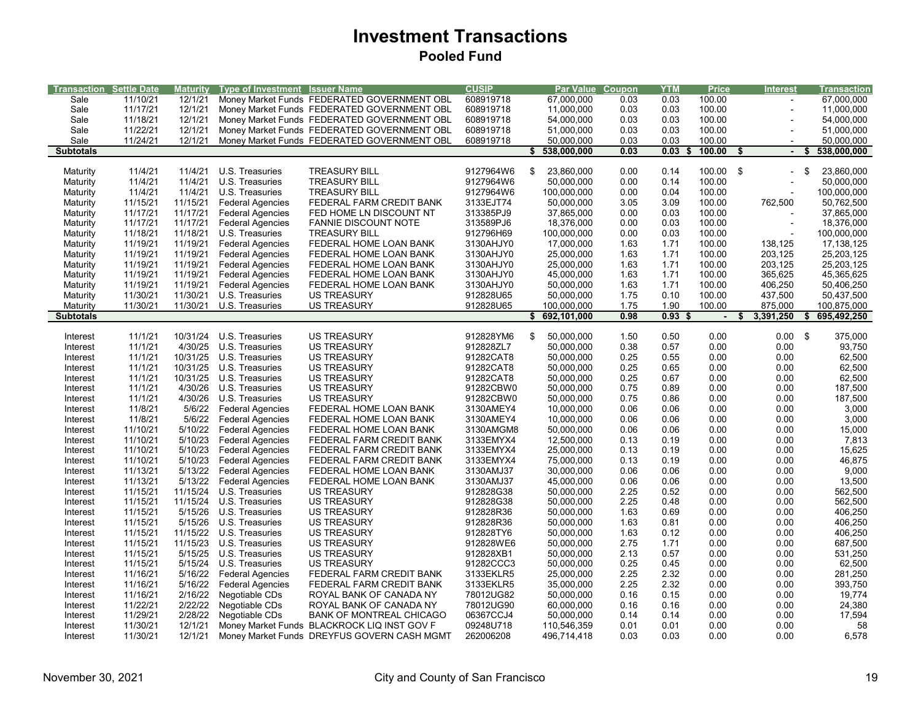# **Investment Transactions Pooled Fund**

| <b>Transaction Settle Date</b> |          | <b>Maturity</b> | <b>Type of Investment Issuer Name</b> |                                             | <b>CUSIP</b> | <b>Par Value Coupon</b> |      | <b>YTM</b>        | <b>Price</b>   | <b>Interest</b>   | <b>Transaction</b> |
|--------------------------------|----------|-----------------|---------------------------------------|---------------------------------------------|--------------|-------------------------|------|-------------------|----------------|-------------------|--------------------|
| Sale                           | 11/10/21 | 12/1/21         |                                       | Money Market Funds FEDERATED GOVERNMENT OBL | 608919718    | 67,000,000              | 0.03 | 0.03              | 100.00         |                   | 67,000,000         |
| Sale                           | 11/17/21 | 12/1/21         |                                       | Money Market Funds FEDERATED GOVERNMENT OBL | 608919718    | 11,000,000              | 0.03 | 0.03              | 100.00         | $\overline{a}$    | 11,000,000         |
| Sale                           | 11/18/21 | 12/1/21         |                                       | Money Market Funds FEDERATED GOVERNMENT OBL | 608919718    | 54,000,000              | 0.03 | 0.03              | 100.00         |                   | 54,000,000         |
| Sale                           | 11/22/21 | 12/1/21         |                                       | Money Market Funds FEDERATED GOVERNMENT OBL | 608919718    | 51,000,000              | 0.03 | 0.03              | 100.00         |                   | 51,000,000         |
| Sale                           | 11/24/21 | 12/1/21         |                                       | Money Market Funds FEDERATED GOVERNMENT OBL | 608919718    | 50,000,000              | 0.03 | 0.03              | 100.00         |                   | 50,000,000         |
| <b>Subtotals</b>               |          |                 |                                       |                                             |              | \$<br>538,000,000       | 0.03 | 0.03<br>Æ         | 100.00<br>S    | $\blacksquare$    | 538,000,000<br>\$  |
|                                |          |                 |                                       |                                             |              |                         |      |                   |                |                   |                    |
| Maturity                       | 11/4/21  | 11/4/21         | U.S. Treasuries                       | <b>TREASURY BILL</b>                        | 9127964W6    | 23,860,000<br>\$        | 0.00 | 0.14              | 100.00 \$      |                   | 23,860,000<br>-\$  |
| Maturity                       | 11/4/21  | 11/4/21         | U.S. Treasuries                       | <b>TREASURY BILL</b>                        | 9127964W6    | 50,000,000              | 0.00 | 0.14              | 100.00         |                   | 50,000,000         |
| Maturity                       | 11/4/21  | 11/4/21         | U.S. Treasuries                       | <b>TREASURY BILL</b>                        | 9127964W6    | 100,000,000             | 0.00 | 0.04              | 100.00         |                   | 100,000,000        |
| Maturity                       | 11/15/21 | 11/15/21        | <b>Federal Agencies</b>               | FEDERAL FARM CREDIT BANK                    | 3133EJT74    | 50,000,000              | 3.05 | 3.09              | 100.00         | 762,500           | 50,762,500         |
| Maturity                       | 11/17/21 | 11/17/21        | <b>Federal Agencies</b>               | FED HOME LN DISCOUNT NT                     | 313385PJ9    | 37,865,000              | 0.00 | 0.03              | 100.00         |                   | 37,865,000         |
| Maturity                       | 11/17/21 | 11/17/21        | <b>Federal Agencies</b>               | <b>FANNIE DISCOUNT NOTE</b>                 | 313589PJ6    | 18,376,000              | 0.00 | 0.03              | 100.00         |                   | 18,376,000         |
| Maturity                       | 11/18/21 | 11/18/21        | U.S. Treasuries                       | <b>TREASURY BILL</b>                        | 912796H69    | 100,000,000             | 0.00 | 0.03              | 100.00         |                   | 100,000,000        |
| Maturity                       | 11/19/21 | 11/19/21        | <b>Federal Agencies</b>               | FEDERAL HOME LOAN BANK                      | 3130AHJY0    | 17,000,000              | 1.63 | 1.71              | 100.00         | 138,125           | 17,138,125         |
| Maturity                       | 11/19/21 | 11/19/21        | <b>Federal Agencies</b>               | FEDERAL HOME LOAN BANK                      | 3130AHJY0    | 25,000,000              | 1.63 | 1.71              | 100.00         | 203,125           | 25,203,125         |
| Maturity                       | 11/19/21 | 11/19/21        | <b>Federal Agencies</b>               | FEDERAL HOME LOAN BANK                      | 3130AHJY0    | 25,000,000              | 1.63 | 1.71              | 100.00         | 203,125           | 25,203,125         |
| Maturity                       | 11/19/21 | 11/19/21        | <b>Federal Agencies</b>               | FEDERAL HOME LOAN BANK                      | 3130AHJY0    | 45,000,000              | 1.63 | 1.71              | 100.00         | 365,625           | 45,365,625         |
| Maturity                       | 11/19/21 | 11/19/21        | <b>Federal Agencies</b>               | FEDERAL HOME LOAN BANK                      | 3130AHJY0    | 50,000,000              | 1.63 | 1.71              | 100.00         | 406,250           | 50,406,250         |
| Maturity                       | 11/30/21 | 11/30/21        | U.S. Treasuries                       | <b>US TREASURY</b>                          | 912828U65    | 50,000,000              | 1.75 | 0.10              | 100.00         | 437,500           | 50,437,500         |
| Maturity                       | 11/30/21 | 11/30/21        | U.S. Treasuries                       | <b>US TREASURY</b>                          | 912828U65    | 100,000,000             | 1.75 | 1.90              | 100.00         | 875,000           | 100,875,000        |
| <b>Subtotals</b>               |          |                 |                                       |                                             |              | \$692,101,000           | 0.98 | 0.93 <sub>5</sub> | $\blacksquare$ | 3,391,250<br>S    | 695,492,250        |
| Interest                       | 11/1/21  | 10/31/24        | U.S. Treasuries                       | <b>US TREASURY</b>                          | 912828YM6    | 50,000,000<br>\$        | 1.50 | 0.50              | 0.00           | $0.00\  \  \,$ \$ | 375,000            |
| Interest                       | 11/1/21  | 4/30/25         | U.S. Treasuries                       | <b>US TREASURY</b>                          | 912828ZL7    | 50,000,000              | 0.38 | 0.57              | 0.00           | 0.00              | 93,750             |
| Interest                       | 11/1/21  | 10/31/25        | U.S. Treasuries                       | <b>US TREASURY</b>                          | 91282CAT8    | 50,000,000              | 0.25 | 0.55              | 0.00           | 0.00              | 62,500             |
| Interest                       | 11/1/21  | 10/31/25        | U.S. Treasuries                       | <b>US TREASURY</b>                          | 91282CAT8    | 50,000,000              | 0.25 | 0.65              | 0.00           | 0.00              | 62,500             |
| Interest                       | 11/1/21  | 10/31/25        | U.S. Treasuries                       | <b>US TREASURY</b>                          | 91282CAT8    | 50,000,000              | 0.25 | 0.67              | 0.00           | 0.00              | 62,500             |
| Interest                       | 11/1/21  | 4/30/26         | U.S. Treasuries                       | <b>US TREASURY</b>                          | 91282CBW0    | 50,000,000              | 0.75 | 0.89              | 0.00           | 0.00              | 187,500            |
| Interest                       | 11/1/21  | 4/30/26         | U.S. Treasuries                       | <b>US TREASURY</b>                          | 91282CBW0    | 50,000,000              | 0.75 | 0.86              | 0.00           | 0.00              | 187,500            |
| Interest                       | 11/8/21  | 5/6/22          | <b>Federal Agencies</b>               | FEDERAL HOME LOAN BANK                      | 3130AMEY4    | 10,000,000              | 0.06 | 0.06              | 0.00           | 0.00              | 3,000              |
| Interest                       | 11/8/21  | 5/6/22          | <b>Federal Agencies</b>               | FEDERAL HOME LOAN BANK                      | 3130AMEY4    | 10,000,000              | 0.06 | 0.06              | 0.00           | 0.00              | 3,000              |
| Interest                       | 11/10/21 | 5/10/22         | <b>Federal Agencies</b>               | FEDERAL HOME LOAN BANK                      | 3130AMGM8    | 50,000,000              | 0.06 | 0.06              | 0.00           | 0.00              | 15,000             |
| Interest                       | 11/10/21 | 5/10/23         | <b>Federal Agencies</b>               | FEDERAL FARM CREDIT BANK                    | 3133EMYX4    | 12,500,000              | 0.13 | 0.19              | 0.00           | 0.00              | 7,813              |
| Interest                       | 11/10/21 | 5/10/23         | <b>Federal Agencies</b>               | FEDERAL FARM CREDIT BANK                    | 3133EMYX4    | 25,000,000              | 0.13 | 0.19              | 0.00           | 0.00              | 15,625             |
| Interest                       | 11/10/21 | 5/10/23         | <b>Federal Agencies</b>               | FEDERAL FARM CREDIT BANK                    | 3133EMYX4    | 75,000,000              | 0.13 | 0.19              | 0.00           | 0.00              | 46,875             |
| Interest                       | 11/13/21 | 5/13/22         | <b>Federal Agencies</b>               | FEDERAL HOME LOAN BANK                      | 3130AMJ37    | 30,000,000              | 0.06 | 0.06              | 0.00           | 0.00              | 9,000              |
| Interest                       | 11/13/21 | 5/13/22         | <b>Federal Agencies</b>               | FEDERAL HOME LOAN BANK                      | 3130AMJ37    | 45,000,000              | 0.06 | 0.06              | 0.00           | 0.00              | 13,500             |
| Interest                       | 11/15/21 | 11/15/24        | U.S. Treasuries                       | <b>US TREASURY</b>                          | 912828G38    | 50,000,000              | 2.25 | 0.52              | 0.00           | 0.00              | 562,500            |
| Interest                       | 11/15/21 | 11/15/24        | U.S. Treasuries                       | <b>US TREASURY</b>                          | 912828G38    | 50,000,000              | 2.25 | 0.48              | 0.00           | 0.00              | 562,500            |
| Interest                       | 11/15/21 | 5/15/26         | U.S. Treasuries                       | <b>US TREASURY</b>                          | 912828R36    | 50,000,000              | 1.63 | 0.69              | 0.00           | 0.00              | 406,250            |
| Interest                       | 11/15/21 | 5/15/26         | U.S. Treasuries                       | <b>US TREASURY</b>                          | 912828R36    | 50,000,000              | 1.63 | 0.81              | 0.00           | 0.00              | 406,250            |
| Interest                       | 11/15/21 | 11/15/22        | U.S. Treasuries                       | <b>US TREASURY</b>                          | 912828TY6    | 50,000,000              | 1.63 | 0.12              | 0.00           | 0.00              | 406,250            |
| Interest                       | 11/15/21 | 11/15/23        | U.S. Treasuries                       | <b>US TREASURY</b>                          | 912828WE6    | 50,000,000              | 2.75 | 1.71              | 0.00           | 0.00              | 687,500            |
| Interest                       | 11/15/21 | 5/15/25         | U.S. Treasuries                       | <b>US TREASURY</b>                          | 912828XB1    | 50,000,000              | 2.13 | 0.57              | 0.00           | 0.00              | 531,250            |
| Interest                       | 11/15/21 | 5/15/24         | U.S. Treasuries                       | <b>US TREASURY</b>                          | 91282CCC3    | 50,000,000              | 0.25 | 0.45              | 0.00           | 0.00              | 62,500             |
| Interest                       | 11/16/21 | 5/16/22         | <b>Federal Agencies</b>               | FEDERAL FARM CREDIT BANK                    | 3133EKLR5    | 25,000,000              | 2.25 | 2.32              | 0.00           | 0.00              | 281,250            |
| Interest                       | 11/16/21 | 5/16/22         | <b>Federal Agencies</b>               | FEDERAL FARM CREDIT BANK                    | 3133EKLR5    | 35,000,000              | 2.25 | 2.32              | 0.00           | 0.00              | 393,750            |
| Interest                       | 11/16/21 | 2/16/22         | Negotiable CDs                        | ROYAL BANK OF CANADA NY                     | 78012UG82    | 50,000,000              | 0.16 | 0.15              | 0.00           | 0.00              | 19,774             |
| Interest                       | 11/22/21 | 2/22/22         | Negotiable CDs                        | ROYAL BANK OF CANADA NY                     | 78012UG90    | 60,000,000              | 0.16 | 0.16              | 0.00           | 0.00              | 24,380             |
| Interest                       | 11/29/21 | 2/28/22         | Negotiable CDs                        | <b>BANK OF MONTREAL CHICAGO</b>             | 06367CCJ4    | 50,000,000              | 0.14 | 0.14              | 0.00           | 0.00              | 17,594             |
| Interest                       | 11/30/21 | 12/1/21         |                                       | Money Market Funds BLACKROCK LIQ INST GOV F | 09248U718    | 110,546,359             | 0.01 | 0.01              | 0.00           | 0.00              | 58                 |
| Interest                       | 11/30/21 | 12/1/21         |                                       | Money Market Funds DREYFUS GOVERN CASH MGMT | 262006208    | 496,714,418             | 0.03 | 0.03              | 0.00           | 0.00              | 6,578              |